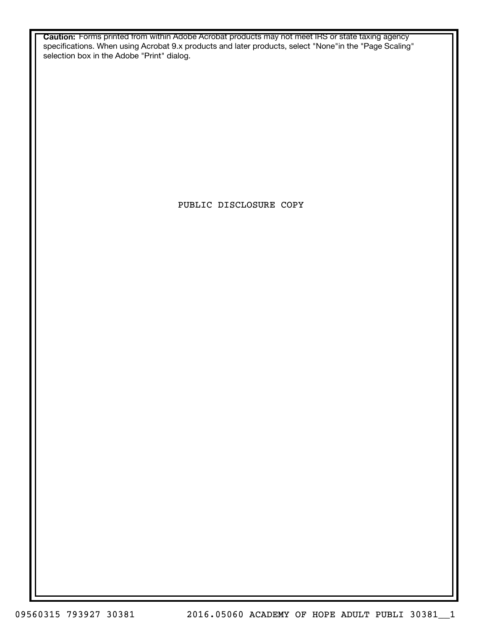**Caution:** Forms printed from within Adobe Acrobat products may not meet IRS or state taxing agency specifications. When using Acrobat 9.x products and later products, select "None"in the "Page Scaling" selection box in the Adobe "Print" dialog.

PUBLIC DISCLOSURE COPY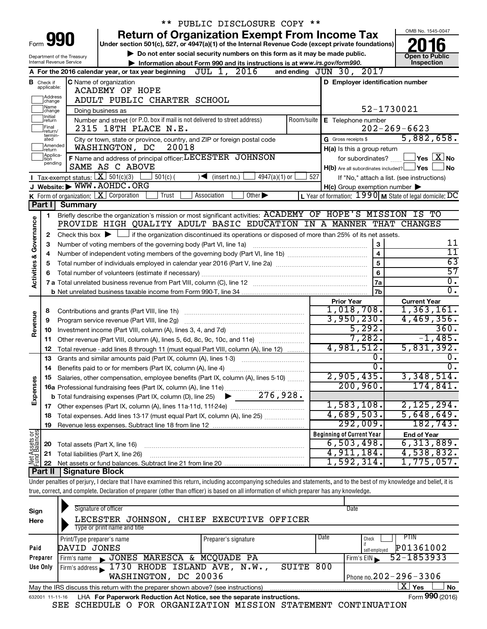|                         |                                                                                                           |                                | ** PUBLIC DISCLOSURE COPY **                                                                                                                                                       |            |                                                         |                                                                                       |
|-------------------------|-----------------------------------------------------------------------------------------------------------|--------------------------------|------------------------------------------------------------------------------------------------------------------------------------------------------------------------------------|------------|---------------------------------------------------------|---------------------------------------------------------------------------------------|
|                         |                                                                                                           |                                | <b>Return of Organization Exempt From Income Tax</b>                                                                                                                               |            |                                                         | OMB No. 1545-0047                                                                     |
|                         |                                                                                                           | Form 990                       | Under section 501(c), 527, or 4947(a)(1) of the Internal Revenue Code (except private foundations)                                                                                 |            |                                                         |                                                                                       |
|                         | Do not enter social security numbers on this form as it may be made public.<br>Department of the Treasury |                                |                                                                                                                                                                                    |            |                                                         | <b>Open to Public</b>                                                                 |
|                         |                                                                                                           | Internal Revenue Service       | Information about Form 990 and its instructions is at www.irs.gov/form990.                                                                                                         |            |                                                         | Inspection                                                                            |
|                         |                                                                                                           |                                | JUL 1, 2016<br>A For the 2016 calendar year, or tax year beginning                                                                                                                 |            | and ending JUN 30, 2017                                 |                                                                                       |
|                         | <b>B</b> Check if applicable:                                                                             |                                | <b>C</b> Name of organization                                                                                                                                                      |            | D Employer identification number                        |                                                                                       |
|                         |                                                                                                           |                                | <b>ACADEMY OF HOPE</b>                                                                                                                                                             |            |                                                         |                                                                                       |
|                         | Address<br>change                                                                                         |                                | ADULT PUBLIC CHARTER SCHOOL                                                                                                                                                        |            |                                                         |                                                                                       |
|                         | Name<br>change                                                                                            |                                | Doing business as                                                                                                                                                                  |            |                                                         | 52-1730021                                                                            |
|                         | Initial<br>return                                                                                         |                                | Number and street (or P.O. box if mail is not delivered to street address)                                                                                                         | Room/suite | E Telephone number                                      |                                                                                       |
|                         | Final<br>return/<br>termin-                                                                               |                                | 2315 18TH PLACE N.E.                                                                                                                                                               |            |                                                         | $202 - 269 - 6623$                                                                    |
|                         | ated                                                                                                      |                                | City or town, state or province, country, and ZIP or foreign postal code                                                                                                           |            | G Gross receipts \$                                     | 5,882,658.                                                                            |
|                         | Amended<br>Ireturn<br>Applica-                                                                            |                                | 20018<br>WASHINGTON, DC                                                                                                                                                            |            | H(a) Is this a group return                             |                                                                                       |
|                         | tion<br>pending                                                                                           |                                | F Name and address of principal officer: LECESTER JOHNSON                                                                                                                          |            | for subordinates?                                       | $\sqrt{}$ Yes $\left\lfloor \frac{X}{X} \right\rfloor$ No                             |
|                         |                                                                                                           |                                | SAME AS C ABOVE                                                                                                                                                                    |            | $H(b)$ Are all subordinates included? $\Box$ Yes $\Box$ | <b>No</b>                                                                             |
|                         |                                                                                                           |                                | Tax-exempt status: $X \over 301(c)(3)$<br>$501(c)$ (<br>$\sqrt{\frac{1}{1}}$ (insert no.)<br>$4947(a)(1)$ or                                                                       | 527        |                                                         | If "No," attach a list. (see instructions)                                            |
|                         |                                                                                                           |                                | J Website: WWW.AOHDC.ORG                                                                                                                                                           |            | $H(c)$ Group exemption number $\blacktriangleright$     |                                                                                       |
|                         |                                                                                                           |                                | K Form of organization: $X$ Corporation<br>Other $\blacktriangleright$<br>Trust<br>Association                                                                                     |            |                                                         | L Year of formation: $1990 \text{ m}$ State of legal domicile: $\overline{\text{DC}}$ |
|                         | Part I                                                                                                    | <b>Summary</b>                 |                                                                                                                                                                                    |            |                                                         |                                                                                       |
|                         | 1                                                                                                         |                                | Briefly describe the organization's mission or most significant activities: ACADEMY OF HOPE'S MISSION IS TO<br>PROVIDE HIGH QUALITY ADULT BASIC EDUCATION IN A MANNER THAT CHANGES |            |                                                         |                                                                                       |
| Governance              |                                                                                                           |                                |                                                                                                                                                                                    |            |                                                         |                                                                                       |
|                         | 2                                                                                                         |                                | Check this box $\blacktriangleright$ $\Box$ if the organization discontinued its operations or disposed of more than 25% of its net assets.                                        |            |                                                         | 11                                                                                    |
|                         | З                                                                                                         |                                | Number of voting members of the governing body (Part VI, line 1a)                                                                                                                  |            | $\mathbf{3}$<br>$\overline{4}$                          | $\overline{11}$                                                                       |
|                         | 4                                                                                                         |                                |                                                                                                                                                                                    |            |                                                         |                                                                                       |
| <b>Activities &amp;</b> | 5                                                                                                         |                                |                                                                                                                                                                                    | 5          | 63<br>57                                                |                                                                                       |
|                         | 6                                                                                                         |                                |                                                                                                                                                                                    |            | 6                                                       | $\overline{0}$ .                                                                      |
|                         |                                                                                                           |                                |                                                                                                                                                                                    |            | 7a<br>7b                                                | $\overline{0}$ .                                                                      |
|                         |                                                                                                           |                                |                                                                                                                                                                                    |            |                                                         |                                                                                       |
|                         | 8                                                                                                         |                                |                                                                                                                                                                                    |            | <b>Prior Year</b><br>1,018,708.                         | <b>Current Year</b><br>1,363,161.                                                     |
| Revenue                 | 9                                                                                                         |                                | Program service revenue (Part VIII, line 2g)                                                                                                                                       |            | 3,950,230.                                              | 4,469,356.                                                                            |
|                         | 10                                                                                                        |                                |                                                                                                                                                                                    |            | 5,292.                                                  | 360.                                                                                  |
|                         | 11                                                                                                        |                                | Other revenue (Part VIII, column (A), lines 5, 6d, 8c, 9c, 10c, and 11e)                                                                                                           |            | 7,282.                                                  | $-1,485.$                                                                             |
|                         | 12                                                                                                        |                                | Total revenue - add lines 8 through 11 (must equal Part VIII, column (A), line 12)                                                                                                 |            | 4,981,512.                                              | 5,831,392.                                                                            |
|                         | 13                                                                                                        |                                | Grants and similar amounts paid (Part IX, column (A), lines 1-3)                                                                                                                   |            | о.                                                      | $0$ .                                                                                 |
|                         |                                                                                                           |                                |                                                                                                                                                                                    |            | $\overline{0}$ .                                        | $\overline{0}$ .                                                                      |
|                         |                                                                                                           |                                | Salaries, other compensation, employee benefits (Part IX, column (A), lines 5-10)                                                                                                  |            | 2,905,435.                                              | 3,348,514.                                                                            |
|                         |                                                                                                           |                                |                                                                                                                                                                                    |            | 200,960.                                                | 174,841.                                                                              |
| Expenses                |                                                                                                           |                                |                                                                                                                                                                                    |            |                                                         |                                                                                       |
|                         |                                                                                                           |                                |                                                                                                                                                                                    |            | 1,583,108.                                              | 2, 125, 294.                                                                          |
|                         | 18                                                                                                        |                                | Total expenses. Add lines 13-17 (must equal Part IX, column (A), line 25) [                                                                                                        |            | 4,689,503.                                              | 5,648,649.                                                                            |
|                         | 19                                                                                                        |                                |                                                                                                                                                                                    |            | 292,009.                                                | 182, 743.                                                                             |
| Net Assets or           |                                                                                                           |                                |                                                                                                                                                                                    |            | <b>Beginning of Current Year</b>                        | <b>End of Year</b>                                                                    |
|                         | 20                                                                                                        | Total assets (Part X, line 16) |                                                                                                                                                                                    |            | 6,503,498.                                              | 6, 313, 889.                                                                          |
|                         | 21                                                                                                        |                                | Total liabilities (Part X, line 26)                                                                                                                                                |            | 4,911,184.                                              | 4,538,832.                                                                            |
|                         | 22                                                                                                        |                                |                                                                                                                                                                                    |            | 1,592,314.                                              | 1,775,057.                                                                            |
|                         | Part II                                                                                                   | <b>Signature Block</b>         |                                                                                                                                                                                    |            |                                                         |                                                                                       |
|                         |                                                                                                           |                                | Under penalties of perjury, I declare that I have examined this return, including accompanying schedules and statements, and to the best of my knowledge and belief, it is         |            |                                                         |                                                                                       |
|                         |                                                                                                           |                                | true, correct, and complete. Declaration of preparer (other than officer) is based on all information of which preparer has any knowledge.                                         |            |                                                         |                                                                                       |
|                         |                                                                                                           |                                |                                                                                                                                                                                    |            |                                                         |                                                                                       |
| Sign                    |                                                                                                           |                                | Signature of officer                                                                                                                                                               |            | Date                                                    |                                                                                       |
| Here                    |                                                                                                           |                                | LECESTER JOHNSON, CHIEF EXECUTIVE OFFICER                                                                                                                                          |            |                                                         |                                                                                       |
|                         |                                                                                                           |                                | Type or print name and title                                                                                                                                                       |            |                                                         |                                                                                       |

|          | .                                                                                              |                      |        |                              |  |  |  |  |
|----------|------------------------------------------------------------------------------------------------|----------------------|--------|------------------------------|--|--|--|--|
|          | Print/Type preparer's name                                                                     | Preparer's signature | l Date | PTIN<br>Check                |  |  |  |  |
| Paid     | DAVID JONES                                                                                    |                      |        | P01361002<br>self-emploved   |  |  |  |  |
| Preparer | JONES MARESCA & MCQUADE PA<br>Firm's name                                                      |                      |        | 52-1853933<br>Firm's $EIN$   |  |  |  |  |
| Use Only | Firm's address 1730 RHODE ISLAND AVE, N.W.,                                                    | SUITE 800            |        |                              |  |  |  |  |
|          | WASHINGTON, DC 20036                                                                           |                      |        | Phone no. $202 - 296 - 3306$ |  |  |  |  |
|          | Yes<br>May the IRS discuss this return with the preparer shown above? (see instructions)<br>No |                      |        |                              |  |  |  |  |
|          |                                                                                                |                      |        | $\mathbf{A}$                 |  |  |  |  |

632001 11-11-16 **For Paperwork Reduction Act Notice, see the separate instructions.** LHA Form (2016) SEE SCHEDULE O FOR ORGANIZATION MISSION STATEMENT CONTINUATION

Form **990** (2016)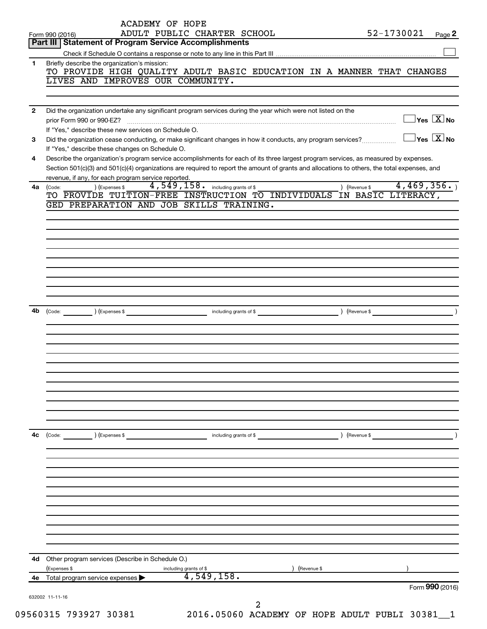|                |                                                                                                                                                                 | ACADEMY OF HOPE | ADULT PUBLIC CHARTER SCHOOL                    |   |             |               | 52-1730021 |                                         |                 |
|----------------|-----------------------------------------------------------------------------------------------------------------------------------------------------------------|-----------------|------------------------------------------------|---|-------------|---------------|------------|-----------------------------------------|-----------------|
|                | Form 990 (2016)<br>Part III   Statement of Program Service Accomplishments                                                                                      |                 |                                                |   |             |               |            |                                         | Page 2          |
|                |                                                                                                                                                                 |                 |                                                |   |             |               |            |                                         |                 |
| 1.             | Briefly describe the organization's mission:                                                                                                                    |                 |                                                |   |             |               |            |                                         |                 |
|                | TO PROVIDE HIGH QUALITY ADULT BASIC EDUCATION IN A MANNER THAT CHANGES                                                                                          |                 |                                                |   |             |               |            |                                         |                 |
|                | LIVES AND IMPROVES OUR COMMUNITY.                                                                                                                               |                 |                                                |   |             |               |            |                                         |                 |
|                |                                                                                                                                                                 |                 |                                                |   |             |               |            |                                         |                 |
| $\overline{2}$ | Did the organization undertake any significant program services during the year which were not listed on the                                                    |                 |                                                |   |             |               |            | $\Box$ Yes $[\overline{\mathrm{X}}]$ No |                 |
|                | If "Yes." describe these new services on Schedule O.                                                                                                            |                 |                                                |   |             |               |            |                                         |                 |
| 3              | Did the organization cease conducting, or make significant changes in how it conducts, any program services?<br>If "Yes," describe these changes on Schedule O. |                 |                                                |   |             |               |            | $\Box$ Yes $[\overline{\mathrm{X}}]$ No |                 |
| 4              | Describe the organization's program service accomplishments for each of its three largest program services, as measured by expenses.                            |                 |                                                |   |             |               |            |                                         |                 |
|                | Section 501(c)(3) and 501(c)(4) organizations are required to report the amount of grants and allocations to others, the total expenses, and                    |                 |                                                |   |             |               |            |                                         |                 |
|                | revenue, if any, for each program service reported.                                                                                                             |                 |                                                |   |             |               |            |                                         |                 |
| 4a             | ) (Expenses \$<br>(Code:<br>TO PROVIDE TUITION-FREE INSTRUCTION TO INDIVIDUALS IN BASIC LITERACY,                                                               |                 | 4,549,158. including grants of \$              |   |             | ) (Revenue \$ |            | 4,469,356.                              |                 |
|                | GED PREPARATION AND JOB SKILLS TRAINING.                                                                                                                        |                 |                                                |   |             |               |            |                                         |                 |
|                |                                                                                                                                                                 |                 |                                                |   |             |               |            |                                         |                 |
|                |                                                                                                                                                                 |                 |                                                |   |             |               |            |                                         |                 |
|                |                                                                                                                                                                 |                 |                                                |   |             |               |            |                                         |                 |
|                |                                                                                                                                                                 |                 |                                                |   |             |               |            |                                         |                 |
|                |                                                                                                                                                                 |                 |                                                |   |             |               |            |                                         |                 |
|                |                                                                                                                                                                 |                 |                                                |   |             |               |            |                                         |                 |
|                |                                                                                                                                                                 |                 |                                                |   |             |               |            |                                         |                 |
|                |                                                                                                                                                                 |                 |                                                |   |             |               |            |                                         |                 |
|                |                                                                                                                                                                 |                 |                                                |   |             |               |            |                                         |                 |
| 4b             |                                                                                                                                                                 |                 |                                                |   |             |               |            |                                         |                 |
|                |                                                                                                                                                                 |                 |                                                |   |             |               |            |                                         |                 |
|                |                                                                                                                                                                 |                 |                                                |   |             |               |            |                                         |                 |
|                |                                                                                                                                                                 |                 |                                                |   |             |               |            |                                         |                 |
|                |                                                                                                                                                                 |                 |                                                |   |             |               |            |                                         |                 |
|                |                                                                                                                                                                 |                 |                                                |   |             |               |            |                                         |                 |
|                |                                                                                                                                                                 |                 |                                                |   |             |               |            |                                         |                 |
|                |                                                                                                                                                                 |                 |                                                |   |             |               |            |                                         |                 |
|                |                                                                                                                                                                 |                 |                                                |   |             |               |            |                                         |                 |
|                |                                                                                                                                                                 |                 |                                                |   |             |               |            |                                         |                 |
|                |                                                                                                                                                                 |                 |                                                |   |             |               |            |                                         |                 |
| 4с             | ) (Expenses \$<br>$\left(\text{Code:}\right)$                                                                                                                   |                 | including grants of \$                         |   |             | ) (Revenue \$ |            |                                         |                 |
|                |                                                                                                                                                                 |                 |                                                |   |             |               |            |                                         |                 |
|                |                                                                                                                                                                 |                 |                                                |   |             |               |            |                                         |                 |
|                |                                                                                                                                                                 |                 |                                                |   |             |               |            |                                         |                 |
|                |                                                                                                                                                                 |                 |                                                |   |             |               |            |                                         |                 |
|                |                                                                                                                                                                 |                 |                                                |   |             |               |            |                                         |                 |
|                |                                                                                                                                                                 |                 |                                                |   |             |               |            |                                         |                 |
|                |                                                                                                                                                                 |                 |                                                |   |             |               |            |                                         |                 |
|                |                                                                                                                                                                 |                 |                                                |   |             |               |            |                                         |                 |
|                |                                                                                                                                                                 |                 |                                                |   |             |               |            |                                         |                 |
| 4d             | Other program services (Describe in Schedule O.)                                                                                                                |                 |                                                |   |             |               |            |                                         |                 |
|                | (Expenses \$                                                                                                                                                    |                 | including grants of \$                         |   | (Revenue \$ |               |            |                                         |                 |
|                | Total program service expenses                                                                                                                                  |                 | 4,549,158.                                     |   |             |               |            |                                         |                 |
|                |                                                                                                                                                                 |                 |                                                |   |             |               |            |                                         | Form 990 (2016) |
|                | 632002 11-11-16                                                                                                                                                 |                 |                                                | 2 |             |               |            |                                         |                 |
|                | 09560315 793927 30381                                                                                                                                           |                 | 2016.05060 ACADEMY OF HOPE ADULT PUBLI 30381_1 |   |             |               |            |                                         |                 |
|                |                                                                                                                                                                 |                 |                                                |   |             |               |            |                                         |                 |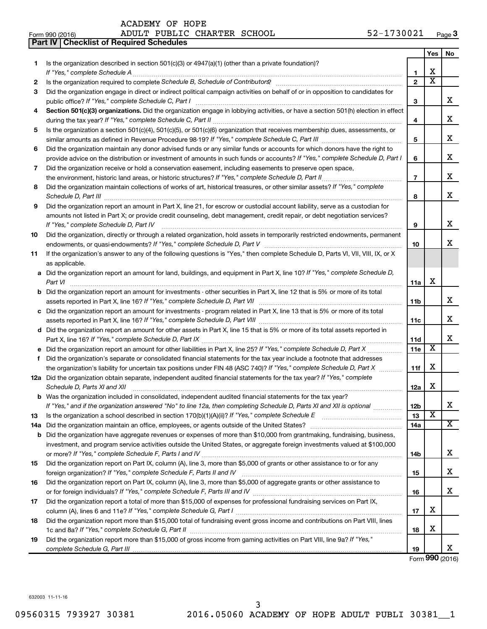|     | <b>Part IV   Checklist of Required Schedules</b>                                                                                                                                                                                     |                |                         |                       |
|-----|--------------------------------------------------------------------------------------------------------------------------------------------------------------------------------------------------------------------------------------|----------------|-------------------------|-----------------------|
|     |                                                                                                                                                                                                                                      |                | Yes                     | No.                   |
| 1.  | Is the organization described in section $501(c)(3)$ or $4947(a)(1)$ (other than a private foundation)?                                                                                                                              |                |                         |                       |
|     |                                                                                                                                                                                                                                      | 1              | х                       |                       |
| 2   |                                                                                                                                                                                                                                      | $\mathbf{2}$   | $\overline{\texttt{x}}$ |                       |
| 3   | Did the organization engage in direct or indirect political campaign activities on behalf of or in opposition to candidates for                                                                                                      |                |                         |                       |
|     |                                                                                                                                                                                                                                      | 3              |                         | x                     |
| 4   | Section 501(c)(3) organizations. Did the organization engage in lobbying activities, or have a section 501(h) election in effect                                                                                                     |                |                         |                       |
|     |                                                                                                                                                                                                                                      | 4              |                         | х                     |
| 5   | Is the organization a section 501(c)(4), 501(c)(5), or 501(c)(6) organization that receives membership dues, assessments, or                                                                                                         |                |                         |                       |
|     |                                                                                                                                                                                                                                      | 5              |                         | х                     |
| 6   | Did the organization maintain any donor advised funds or any similar funds or accounts for which donors have the right to                                                                                                            |                |                         |                       |
|     | provide advice on the distribution or investment of amounts in such funds or accounts? If "Yes," complete Schedule D, Part I                                                                                                         | 6              |                         | х                     |
| 7   | Did the organization receive or hold a conservation easement, including easements to preserve open space,                                                                                                                            |                |                         |                       |
|     |                                                                                                                                                                                                                                      | $\overline{7}$ |                         | х                     |
| 8   | Did the organization maintain collections of works of art, historical treasures, or other similar assets? If "Yes," complete                                                                                                         |                |                         |                       |
|     | Schedule D, Part III <b>Marting Community Contract Contract Contract Contract Contract Contract Contract Contract Contract Contract Contract Contract Contract Contract Contract Contract Contract Contract Contract Contract Co</b> | 8              |                         | x                     |
| 9   | Did the organization report an amount in Part X, line 21, for escrow or custodial account liability, serve as a custodian for                                                                                                        |                |                         |                       |
|     | amounts not listed in Part X; or provide credit counseling, debt management, credit repair, or debt negotiation services?                                                                                                            |                |                         |                       |
|     |                                                                                                                                                                                                                                      | 9              |                         | x                     |
| 10  | Did the organization, directly or through a related organization, hold assets in temporarily restricted endowments, permanent                                                                                                        |                |                         |                       |
|     |                                                                                                                                                                                                                                      | 10             |                         | x                     |
| 11  | If the organization's answer to any of the following questions is "Yes," then complete Schedule D, Parts VI, VII, VIII, IX, or X                                                                                                     |                |                         |                       |
|     | as applicable.                                                                                                                                                                                                                       |                |                         |                       |
|     | a Did the organization report an amount for land, buildings, and equipment in Part X, line 10? If "Yes," complete Schedule D,                                                                                                        |                |                         |                       |
|     | Part VI                                                                                                                                                                                                                              | 11a            | x                       |                       |
|     | <b>b</b> Did the organization report an amount for investments - other securities in Part X, line 12 that is 5% or more of its total                                                                                                 |                |                         |                       |
|     |                                                                                                                                                                                                                                      | 11b            |                         | x                     |
|     | c Did the organization report an amount for investments - program related in Part X, line 13 that is 5% or more of its total                                                                                                         |                |                         |                       |
|     |                                                                                                                                                                                                                                      | 11c            |                         | x                     |
|     | d Did the organization report an amount for other assets in Part X, line 15 that is 5% or more of its total assets reported in                                                                                                       |                |                         |                       |
|     |                                                                                                                                                                                                                                      | 11d            |                         | х                     |
|     |                                                                                                                                                                                                                                      | 11e            | $\overline{\mathbf{X}}$ |                       |
| f   | Did the organization's separate or consolidated financial statements for the tax year include a footnote that addresses                                                                                                              |                |                         |                       |
|     | the organization's liability for uncertain tax positions under FIN 48 (ASC 740)? If "Yes," complete Schedule D, Part X                                                                                                               | 11f            | х                       |                       |
|     | 12a Did the organization obtain separate, independent audited financial statements for the tax year? If "Yes," complete                                                                                                              |                |                         |                       |
|     | Schedule D, Parts XI and XII                                                                                                                                                                                                         | 12a            | x                       |                       |
|     | <b>b</b> Was the organization included in consolidated, independent audited financial statements for the tax year?                                                                                                                   |                |                         |                       |
|     | If "Yes," and if the organization answered "No" to line 12a, then completing Schedule D, Parts XI and XII is optional                                                                                                                | 12b            |                         | х                     |
| 13  |                                                                                                                                                                                                                                      | 13             | $\overline{\textbf{x}}$ |                       |
| 14a |                                                                                                                                                                                                                                      | 14a            |                         | $\overline{\text{X}}$ |
|     | <b>b</b> Did the organization have aggregate revenues or expenses of more than \$10,000 from grantmaking, fundraising, business,                                                                                                     |                |                         |                       |
|     | investment, and program service activities outside the United States, or aggregate foreign investments valued at \$100,000                                                                                                           |                |                         |                       |
|     |                                                                                                                                                                                                                                      | 14b            |                         | x                     |
| 15  | Did the organization report on Part IX, column (A), line 3, more than \$5,000 of grants or other assistance to or for any                                                                                                            |                |                         |                       |
|     |                                                                                                                                                                                                                                      | 15             |                         | x                     |
| 16  | Did the organization report on Part IX, column (A), line 3, more than \$5,000 of aggregate grants or other assistance to                                                                                                             |                |                         |                       |
|     |                                                                                                                                                                                                                                      | 16             |                         | x                     |
| 17  | Did the organization report a total of more than \$15,000 of expenses for professional fundraising services on Part IX,                                                                                                              |                |                         |                       |
|     |                                                                                                                                                                                                                                      | 17             | x                       |                       |
| 18  | Did the organization report more than \$15,000 total of fundraising event gross income and contributions on Part VIII, lines                                                                                                         |                |                         |                       |
|     |                                                                                                                                                                                                                                      | 18             | х                       |                       |
| 19  | Did the organization report more than \$15,000 of gross income from gaming activities on Part VIII, line 9a? If "Yes,"                                                                                                               |                |                         |                       |
|     |                                                                                                                                                                                                                                      | 19             |                         | x                     |

Form (2016) **990**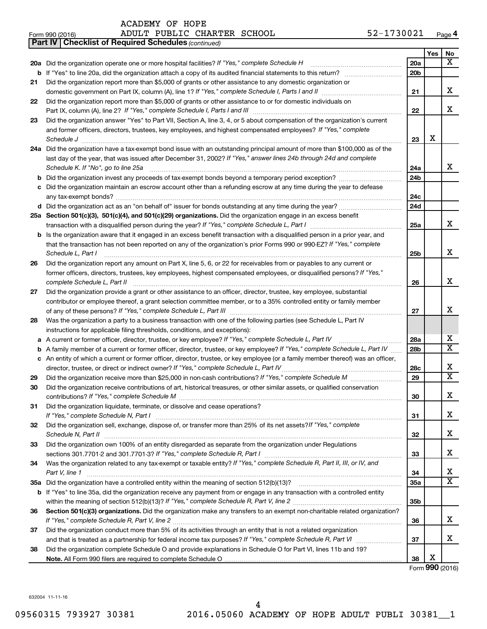| ACADEMY OF HOPE |  |  |
|-----------------|--|--|
|-----------------|--|--|

| Form 990 (2016) | ADULT PUBLIC CHARTER SCHOOL | 52-1730021<br>Page 4 |
|-----------------|-----------------------------|----------------------|
|-----------------|-----------------------------|----------------------|

|    | <b>Part IV   Checklist of Required Schedules (continued)</b>                                                                                                                                                                                   |                 |     |                         |
|----|------------------------------------------------------------------------------------------------------------------------------------------------------------------------------------------------------------------------------------------------|-----------------|-----|-------------------------|
|    |                                                                                                                                                                                                                                                |                 | Yes | No                      |
|    | 20a Did the organization operate one or more hospital facilities? If "Yes," complete Schedule H                                                                                                                                                | 20a             |     | x                       |
|    |                                                                                                                                                                                                                                                | 20 <sub>b</sub> |     |                         |
| 21 | Did the organization report more than \$5,000 of grants or other assistance to any domestic organization or                                                                                                                                    |                 |     |                         |
|    |                                                                                                                                                                                                                                                | 21              |     | х                       |
| 22 | Did the organization report more than \$5,000 of grants or other assistance to or for domestic individuals on                                                                                                                                  |                 |     |                         |
|    |                                                                                                                                                                                                                                                | 22              |     | х                       |
| 23 | Did the organization answer "Yes" to Part VII, Section A, line 3, 4, or 5 about compensation of the organization's current                                                                                                                     |                 |     |                         |
|    | and former officers, directors, trustees, key employees, and highest compensated employees? If "Yes," complete                                                                                                                                 |                 |     |                         |
|    | Schedule J <b>Execute Schedule J Execute Schedule J</b>                                                                                                                                                                                        | 23              | X   |                         |
|    | 24a Did the organization have a tax-exempt bond issue with an outstanding principal amount of more than \$100,000 as of the                                                                                                                    |                 |     |                         |
|    | last day of the year, that was issued after December 31, 2002? If "Yes," answer lines 24b through 24d and complete                                                                                                                             |                 |     |                         |
|    | Schedule K. If "No", go to line 25a                                                                                                                                                                                                            | 24a             |     | x                       |
|    |                                                                                                                                                                                                                                                | 24 <sub>b</sub> |     |                         |
|    | c Did the organization maintain an escrow account other than a refunding escrow at any time during the year to defease                                                                                                                         |                 |     |                         |
|    |                                                                                                                                                                                                                                                | 24c             |     |                         |
|    |                                                                                                                                                                                                                                                | 24 <sub>d</sub> |     |                         |
|    | 25a Section 501(c)(3), 501(c)(4), and 501(c)(29) organizations. Did the organization engage in an excess benefit                                                                                                                               |                 |     |                         |
|    |                                                                                                                                                                                                                                                | 25a             |     | x                       |
|    | <b>b</b> Is the organization aware that it engaged in an excess benefit transaction with a disqualified person in a prior year, and                                                                                                            |                 |     |                         |
|    | that the transaction has not been reported on any of the organization's prior Forms 990 or 990-EZ? If "Yes," complete                                                                                                                          |                 |     |                         |
|    | Schedule L, Part I                                                                                                                                                                                                                             | 25b             |     | x                       |
| 26 | Did the organization report any amount on Part X, line 5, 6, or 22 for receivables from or payables to any current or                                                                                                                          |                 |     |                         |
|    | former officers, directors, trustees, key employees, highest compensated employees, or disqualified persons? If "Yes,"                                                                                                                         |                 |     | x                       |
|    |                                                                                                                                                                                                                                                | 26              |     |                         |
| 27 | Did the organization provide a grant or other assistance to an officer, director, trustee, key employee, substantial                                                                                                                           |                 |     |                         |
|    | contributor or employee thereof, a grant selection committee member, or to a 35% controlled entity or family member                                                                                                                            |                 |     | x                       |
|    |                                                                                                                                                                                                                                                | 27              |     |                         |
| 28 | Was the organization a party to a business transaction with one of the following parties (see Schedule L, Part IV                                                                                                                              |                 |     |                         |
|    | instructions for applicable filing thresholds, conditions, and exceptions):                                                                                                                                                                    | 28a             |     | x                       |
| а  | A current or former officer, director, trustee, or key employee? If "Yes," complete Schedule L, Part IV<br><b>b</b> A family member of a current or former officer, director, trustee, or key employee? If "Yes," complete Schedule L, Part IV | 28 <sub>b</sub> |     | $\overline{\texttt{x}}$ |
|    | c An entity of which a current or former officer, director, trustee, or key employee (or a family member thereof) was an officer,                                                                                                              |                 |     |                         |
|    | director, trustee, or direct or indirect owner? If "Yes," complete Schedule L, Part IV.                                                                                                                                                        | 28c             |     | x                       |
| 29 |                                                                                                                                                                                                                                                | 29              |     | X                       |
| 30 | Did the organization receive contributions of art, historical treasures, or other similar assets, or qualified conservation                                                                                                                    |                 |     |                         |
|    |                                                                                                                                                                                                                                                | 30              |     | Χ                       |
| 31 | Did the organization liquidate, terminate, or dissolve and cease operations?                                                                                                                                                                   |                 |     |                         |
|    |                                                                                                                                                                                                                                                | 31              |     | х                       |
| 32 | Did the organization sell, exchange, dispose of, or transfer more than 25% of its net assets? If "Yes," complete                                                                                                                               |                 |     |                         |
|    |                                                                                                                                                                                                                                                | 32              |     | x.                      |
| 33 | Did the organization own 100% of an entity disregarded as separate from the organization under Regulations                                                                                                                                     |                 |     |                         |
|    |                                                                                                                                                                                                                                                | 33              |     | x                       |
| 34 | Was the organization related to any tax-exempt or taxable entity? If "Yes," complete Schedule R, Part II, III, or IV, and                                                                                                                      |                 |     |                         |
|    | Part V, line 1                                                                                                                                                                                                                                 | 34              |     | x                       |
|    |                                                                                                                                                                                                                                                | 35a             |     | X                       |
|    | b If "Yes" to line 35a, did the organization receive any payment from or engage in any transaction with a controlled entity                                                                                                                    |                 |     |                         |
|    |                                                                                                                                                                                                                                                | 35 <sub>b</sub> |     |                         |
| 36 | Section 501(c)(3) organizations. Did the organization make any transfers to an exempt non-charitable related organization?                                                                                                                     |                 |     |                         |
|    |                                                                                                                                                                                                                                                | 36              |     | х                       |
| 37 | Did the organization conduct more than 5% of its activities through an entity that is not a related organization                                                                                                                               |                 |     |                         |
|    |                                                                                                                                                                                                                                                | 37              |     | х                       |
| 38 | Did the organization complete Schedule O and provide explanations in Schedule O for Part VI, lines 11b and 19?                                                                                                                                 |                 |     |                         |
|    |                                                                                                                                                                                                                                                | 38              | X   |                         |
|    |                                                                                                                                                                                                                                                |                 |     | Form 990 (2016)         |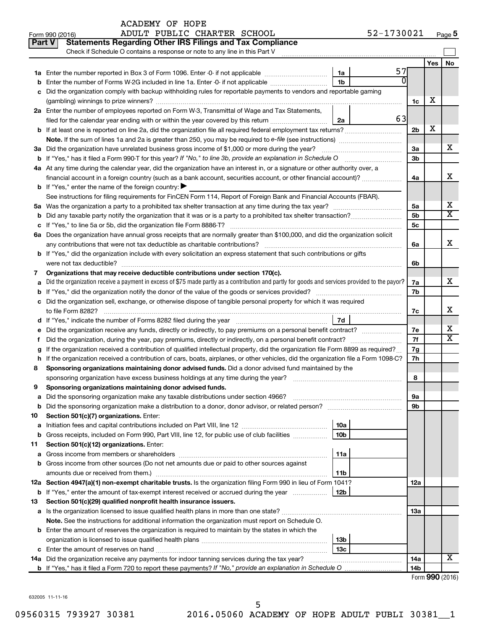|               | 52-1730021<br>ADULT PUBLIC CHARTER SCHOOL<br>Form 990 (2016)                                                                                                                                                                                                             |                |     | Page 5                |
|---------------|--------------------------------------------------------------------------------------------------------------------------------------------------------------------------------------------------------------------------------------------------------------------------|----------------|-----|-----------------------|
| <b>Part V</b> | <b>Statements Regarding Other IRS Filings and Tax Compliance</b>                                                                                                                                                                                                         |                |     |                       |
|               | Check if Schedule O contains a response or note to any line in this Part V                                                                                                                                                                                               |                |     |                       |
|               |                                                                                                                                                                                                                                                                          |                | Yes | No                    |
|               | 57<br>1a                                                                                                                                                                                                                                                                 |                |     |                       |
| b             | $\overline{0}$<br>1 <sub>b</sub><br>Enter the number of Forms W-2G included in line 1a. Enter -0- if not applicable                                                                                                                                                      |                |     |                       |
| c             | Did the organization comply with backup withholding rules for reportable payments to vendors and reportable gaming                                                                                                                                                       |                |     |                       |
|               |                                                                                                                                                                                                                                                                          | 1c             | х   |                       |
|               | 2a Enter the number of employees reported on Form W-3, Transmittal of Wage and Tax Statements,                                                                                                                                                                           |                |     |                       |
|               | <b>63</b><br>filed for the calendar year ending with or within the year covered by this return<br>2a                                                                                                                                                                     |                |     |                       |
|               |                                                                                                                                                                                                                                                                          | 2 <sub>b</sub> | X   |                       |
|               |                                                                                                                                                                                                                                                                          |                |     |                       |
|               | 3a Did the organization have unrelated business gross income of \$1,000 or more during the year?                                                                                                                                                                         | За             |     | х                     |
|               | b If "Yes," has it filed a Form 990-T for this year? If "No," to line 3b, provide an explanation in Schedule O                                                                                                                                                           | 3b             |     |                       |
|               | 4a At any time during the calendar year, did the organization have an interest in, or a signature or other authority over, a                                                                                                                                             |                |     |                       |
|               | financial account in a foreign country (such as a bank account, securities account, or other financial account)?                                                                                                                                                         | 4a             |     | x                     |
|               | <b>b</b> If "Yes," enter the name of the foreign country: $\blacktriangleright$                                                                                                                                                                                          |                |     |                       |
|               | See instructions for filing requirements for FinCEN Form 114, Report of Foreign Bank and Financial Accounts (FBAR).                                                                                                                                                      |                |     |                       |
|               |                                                                                                                                                                                                                                                                          | 5a             |     | х                     |
| b             |                                                                                                                                                                                                                                                                          | 5b             |     | $\overline{\text{X}}$ |
|               |                                                                                                                                                                                                                                                                          | 5c             |     |                       |
|               | 6a Does the organization have annual gross receipts that are normally greater than \$100,000, and did the organization solicit                                                                                                                                           |                |     |                       |
|               |                                                                                                                                                                                                                                                                          | 6a             |     | x                     |
|               | <b>b</b> If "Yes," did the organization include with every solicitation an express statement that such contributions or gifts                                                                                                                                            |                |     |                       |
|               | were not tax deductible?                                                                                                                                                                                                                                                 | 6b             |     |                       |
| 7             | Organizations that may receive deductible contributions under section 170(c).                                                                                                                                                                                            |                |     |                       |
| a             | Did the organization receive a payment in excess of \$75 made partly as a contribution and partly for goods and services provided to the payor?                                                                                                                          | 7a             |     | x                     |
| b             |                                                                                                                                                                                                                                                                          | 7b             |     |                       |
|               | c Did the organization sell, exchange, or otherwise dispose of tangible personal property for which it was required                                                                                                                                                      |                |     |                       |
|               |                                                                                                                                                                                                                                                                          | 7c             |     | x                     |
|               | 7d                                                                                                                                                                                                                                                                       |                |     | х                     |
|               |                                                                                                                                                                                                                                                                          | 7e<br>7f       |     | $\overline{\text{X}}$ |
| Ť.            | Did the organization, during the year, pay premiums, directly or indirectly, on a personal benefit contract?                                                                                                                                                             |                |     |                       |
| g             | If the organization received a contribution of qualified intellectual property, did the organization file Form 8899 as required?<br>h If the organization received a contribution of cars, boats, airplanes, or other vehicles, did the organization file a Form 1098-C? | 7g<br>7h       |     |                       |
| 8             | Sponsoring organizations maintaining donor advised funds. Did a donor advised fund maintained by the                                                                                                                                                                     |                |     |                       |
|               |                                                                                                                                                                                                                                                                          | 8              |     |                       |
|               | Sponsoring organizations maintaining donor advised funds.                                                                                                                                                                                                                |                |     |                       |
| а             | Did the sponsoring organization make any taxable distributions under section 4966?                                                                                                                                                                                       | 9а             |     |                       |
| b             | Did the sponsoring organization make a distribution to a donor, donor advisor, or related person?                                                                                                                                                                        | 9b             |     |                       |
| 10            | Section 501(c)(7) organizations. Enter:                                                                                                                                                                                                                                  |                |     |                       |
| a             | 10a                                                                                                                                                                                                                                                                      |                |     |                       |
| b             | 10 <sub>b</sub><br>Gross receipts, included on Form 990, Part VIII, line 12, for public use of club facilities                                                                                                                                                           |                |     |                       |
| 11            | Section 501(c)(12) organizations. Enter:                                                                                                                                                                                                                                 |                |     |                       |
| а             | 11a                                                                                                                                                                                                                                                                      |                |     |                       |
| b             | Gross income from other sources (Do not net amounts due or paid to other sources against                                                                                                                                                                                 |                |     |                       |
|               | 11b                                                                                                                                                                                                                                                                      |                |     |                       |
|               | 12a Section 4947(a)(1) non-exempt charitable trusts. Is the organization filing Form 990 in lieu of Form 1041?                                                                                                                                                           | 12a            |     |                       |
|               | <b>b</b> If "Yes," enter the amount of tax-exempt interest received or accrued during the year<br>12b                                                                                                                                                                    |                |     |                       |
| 13            | Section 501(c)(29) qualified nonprofit health insurance issuers.                                                                                                                                                                                                         |                |     |                       |
| а             |                                                                                                                                                                                                                                                                          | 1За            |     |                       |
|               | Note. See the instructions for additional information the organization must report on Schedule O.                                                                                                                                                                        |                |     |                       |
|               | <b>b</b> Enter the amount of reserves the organization is required to maintain by the states in which the                                                                                                                                                                |                |     |                       |
|               | 13b                                                                                                                                                                                                                                                                      |                |     |                       |
|               | 13c                                                                                                                                                                                                                                                                      |                |     |                       |
|               | 14a Did the organization receive any payments for indoor tanning services during the tax year?                                                                                                                                                                           | 14a            |     | х                     |
|               |                                                                                                                                                                                                                                                                          | 14b            |     |                       |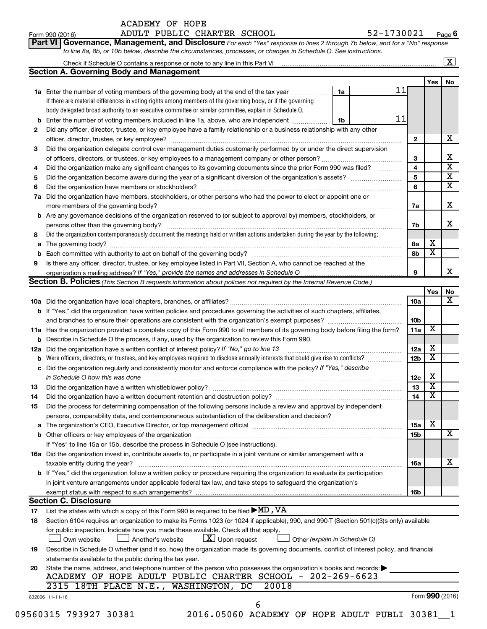| ACADEMY OF HOPE |  |
|-----------------|--|
|                 |  |

|     | 52-1730021<br>ADULT PUBLIC CHARTER SCHOOL<br>Form 990 (2016)                                                                                                                                                                   |    |                 |                         | Page 6                  |
|-----|--------------------------------------------------------------------------------------------------------------------------------------------------------------------------------------------------------------------------------|----|-----------------|-------------------------|-------------------------|
|     | Governance, Management, and Disclosure For each "Yes" response to lines 2 through 7b below, and for a "No" response<br>Part VI                                                                                                 |    |                 |                         |                         |
|     | to line 8a, 8b, or 10b below, describe the circumstances, processes, or changes in Schedule O. See instructions.                                                                                                               |    |                 |                         |                         |
|     | Check if Schedule O contains a response or note to any line in this Part VI [11] [12] [2] [2] [2] [3] Check if Schedule O contains a response or note to any line in this Part VI                                              |    |                 |                         | $\boxed{\text{X}}$      |
|     | <b>Section A. Governing Body and Management</b>                                                                                                                                                                                |    |                 |                         |                         |
|     |                                                                                                                                                                                                                                |    |                 | Yes                     | No                      |
|     | 1a Enter the number of voting members of the governing body at the end of the tax year manuscom<br>1a                                                                                                                          | 11 |                 |                         |                         |
|     | If there are material differences in voting rights among members of the governing body, or if the governing                                                                                                                    |    |                 |                         |                         |
|     | body delegated broad authority to an executive committee or similar committee, explain in Schedule O.                                                                                                                          |    |                 |                         |                         |
| b   | Enter the number of voting members included in line 1a, above, who are independent<br>1b                                                                                                                                       | 11 |                 |                         |                         |
| 2   | Did any officer, director, trustee, or key employee have a family relationship or a business relationship with any other                                                                                                       |    |                 |                         |                         |
|     |                                                                                                                                                                                                                                |    | 2               |                         | х                       |
| 3   | Did the organization delegate control over management duties customarily performed by or under the direct supervision                                                                                                          |    |                 |                         |                         |
|     |                                                                                                                                                                                                                                |    | 3               |                         | Χ                       |
| 4   | Did the organization make any significant changes to its governing documents since the prior Form 990 was filed?                                                                                                               |    | 4               |                         | $\overline{\text{x}}$   |
| 5   |                                                                                                                                                                                                                                |    | 5               |                         | $\overline{\textbf{X}}$ |
| 6   |                                                                                                                                                                                                                                |    | 6               |                         | $\overline{\textbf{X}}$ |
| 7a  | Did the organization have members, stockholders, or other persons who had the power to elect or appoint one or                                                                                                                 |    |                 |                         | Χ                       |
|     |                                                                                                                                                                                                                                |    | 7a              |                         |                         |
|     | b Are any governance decisions of the organization reserved to (or subject to approval by) members, stockholders, or                                                                                                           |    |                 |                         | x                       |
|     | persons other than the governing body?<br>Did the organization contemporaneously document the meetings held or written actions undertaken during the year by the following:                                                    |    | 7b              |                         |                         |
| 8   |                                                                                                                                                                                                                                |    |                 | х                       |                         |
| а   |                                                                                                                                                                                                                                |    | 8а<br>8b        | $\overline{\textbf{x}}$ |                         |
| 9   |                                                                                                                                                                                                                                |    |                 |                         |                         |
|     | Is there any officer, director, trustee, or key employee listed in Part VII, Section A, who cannot be reached at the                                                                                                           |    | 9               |                         | x                       |
|     | Section B. Policies (This Section B requests information about policies not required by the Internal Revenue Code.)                                                                                                            |    |                 |                         |                         |
|     |                                                                                                                                                                                                                                |    |                 | Yes                     | No                      |
|     |                                                                                                                                                                                                                                |    | 10a             |                         | х                       |
|     | <b>b</b> If "Yes," did the organization have written policies and procedures governing the activities of such chapters, affiliates,                                                                                            |    |                 |                         |                         |
|     | and branches to ensure their operations are consistent with the organization's exempt purposes? www.www.www.www.                                                                                                               |    | 10 <sub>b</sub> |                         |                         |
|     | 11a Has the organization provided a complete copy of this Form 990 to all members of its governing body before filing the form?                                                                                                |    | 11a             | X                       |                         |
|     | <b>b</b> Describe in Schedule O the process, if any, used by the organization to review this Form 990.                                                                                                                         |    |                 |                         |                         |
| 12a | Did the organization have a written conflict of interest policy? If "No," go to line 13                                                                                                                                        |    | 12a             | х                       |                         |
|     | Were officers, directors, or trustees, and key employees required to disclose annually interests that could give rise to conflicts?                                                                                            |    | 12 <sub>b</sub> | X                       |                         |
|     | Did the organization regularly and consistently monitor and enforce compliance with the policy? If "Yes," describe                                                                                                             |    |                 |                         |                         |
|     | in Schedule O how this was done manufactured and contain an account of the was done                                                                                                                                            |    | 12c             | х                       |                         |
| 13  |                                                                                                                                                                                                                                |    | 13              | $\overline{\texttt{x}}$ |                         |
| 14  |                                                                                                                                                                                                                                |    | 14              | $\overline{\texttt{x}}$ |                         |
| 15  | Did the process for determining compensation of the following persons include a review and approval by independent                                                                                                             |    |                 |                         |                         |
|     | persons, comparability data, and contemporaneous substantiation of the deliberation and decision?                                                                                                                              |    |                 |                         |                         |
| а   | The organization's CEO, Executive Director, or top management official manufactured content of the organization's CEO, Executive Director, or top management official manufactured content of the state of the state of the st |    | <b>15a</b>      | X                       |                         |
|     |                                                                                                                                                                                                                                |    | 15b             |                         | x                       |
|     | If "Yes" to line 15a or 15b, describe the process in Schedule O (see instructions).                                                                                                                                            |    |                 |                         |                         |
|     | 16a Did the organization invest in, contribute assets to, or participate in a joint venture or similar arrangement with a                                                                                                      |    |                 |                         |                         |
|     | taxable entity during the year?                                                                                                                                                                                                |    | 16a             |                         | х                       |
|     | b If "Yes," did the organization follow a written policy or procedure requiring the organization to evaluate its participation                                                                                                 |    |                 |                         |                         |
|     | in joint venture arrangements under applicable federal tax law, and take steps to safeguard the organization's                                                                                                                 |    |                 |                         |                         |
|     | exempt status with respect to such arrangements?                                                                                                                                                                               |    | 16b             |                         |                         |
|     | <b>Section C. Disclosure</b>                                                                                                                                                                                                   |    |                 |                         |                         |
| 17  | List the states with which a copy of this Form 990 is required to be filed $\blacktriangleright$ MD, VA                                                                                                                        |    |                 |                         |                         |
| 18  | Section 6104 requires an organization to make its Forms 1023 (or 1024 if applicable), 990, and 990-T (Section 501(c)(3)s only) available                                                                                       |    |                 |                         |                         |
|     | for public inspection. Indicate how you made these available. Check all that apply.                                                                                                                                            |    |                 |                         |                         |
|     | $ \underline{X} $ Upon request<br>Own website<br>Another's website<br>Other (explain in Schedule O)                                                                                                                            |    |                 |                         |                         |
| 19  | Describe in Schedule O whether (and if so, how) the organization made its governing documents, conflict of interest policy, and financial                                                                                      |    |                 |                         |                         |
|     | statements available to the public during the tax year.                                                                                                                                                                        |    |                 |                         |                         |
| 20  | State the name, address, and telephone number of the person who possesses the organization's books and records:<br>ACADEMY OF HOPE ADULT PUBLIC CHARTER SCHOOL - 202-269-6623                                                  |    |                 |                         |                         |
|     | 20018<br>2315 18TH PLACE N.E., WASHINGTON, DC                                                                                                                                                                                  |    |                 |                         |                         |
|     |                                                                                                                                                                                                                                |    |                 |                         |                         |

| 09560315 793927 30381 | 2016.05060 ACADEMY OF HOPE ADULT PUBLI 30381 |  |  |
|-----------------------|----------------------------------------------|--|--|

632006 11-11-16

6

Form (2016) **990**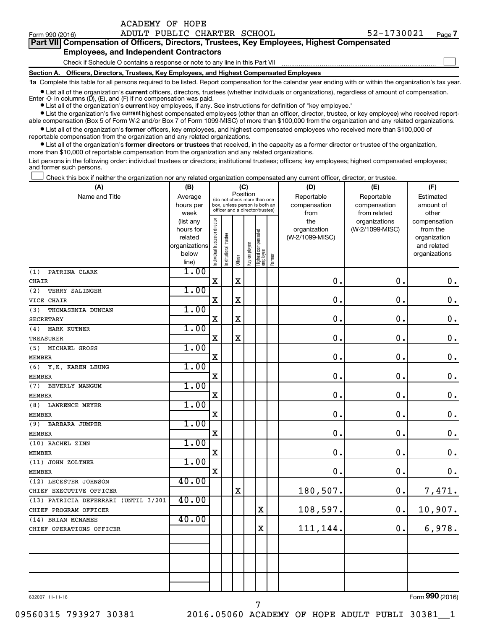Form 990 (2016) ADULT PUBLIC CHARTER SCHOOL 52-1730021 <sub>Page</sub>

| Part VII Compensation of Officers, Directors, Trustees, Key Employees, Highest Compensated |  |
|--------------------------------------------------------------------------------------------|--|
| <b>Employees, and Independent Contractors</b>                                              |  |
| Check if Schedule O contains a response or note to any line in this Part VII               |  |

**Section A. Officers, Directors, Trustees, Key Employees, and Highest Compensated Employees**

**1a**  Complete this table for all persons required to be listed. Report compensation for the calendar year ending with or within the organization's tax year.

**•** List all of the organization's current officers, directors, trustees (whether individuals or organizations), regardless of amount of compensation.

**•** List all of the organization's **current** key employees, if any. See instructions for definition of "key employee." Enter -0- in columns  $(D)$ ,  $(E)$ , and  $(F)$  if no compensation was paid.

**•** List the organization's five current highest compensated employees (other than an officer, director, trustee, or key employee) who received reportable compensation (Box 5 of Form W-2 and/or Box 7 of Form 1099-MISC) of more than \$100,000 from the organization and any related organizations.

**•** List all of the organization's former officers, key employees, and highest compensated employees who received more than \$100,000 of reportable compensation from the organization and any related organizations.

**•** List all of the organization's former directors or trustees that received, in the capacity as a former director or trustee of the organization, more than \$10,000 of reportable compensation from the organization and any related organizations.

List persons in the following order: individual trustees or directors; institutional trustees; officers; key employees; highest compensated employees; and former such persons.

Check this box if neither the organization nor any related organization compensated any current officer, director, or trustee.  $\Box$ 

| (A)                                  | (B)                    |                               |                                                                  | (C)         |              |                                 |        | (D)             | (E)             | (F)                          |
|--------------------------------------|------------------------|-------------------------------|------------------------------------------------------------------|-------------|--------------|---------------------------------|--------|-----------------|-----------------|------------------------------|
| Name and Title                       | Average                |                               | (do not check more than one                                      |             | Position     |                                 |        | Reportable      | Reportable      | Estimated                    |
|                                      | hours per              |                               | box, unless person is both an<br>officer and a director/trustee) |             |              |                                 |        | compensation    | compensation    | amount of                    |
|                                      | week                   |                               |                                                                  |             |              |                                 |        | from            | from related    | other                        |
|                                      | (list any              |                               |                                                                  |             |              |                                 |        | the             | organizations   | compensation                 |
|                                      | hours for              |                               |                                                                  |             |              |                                 |        | organization    | (W-2/1099-MISC) | from the                     |
|                                      | related                |                               |                                                                  |             |              |                                 |        | (W-2/1099-MISC) |                 | organization                 |
|                                      | organizations<br>below |                               |                                                                  |             |              |                                 |        |                 |                 | and related<br>organizations |
|                                      | line)                  | ndividual trustee or director | Institutional trustee                                            | Officer     | Key employee | Highest compensated<br>employee | Former |                 |                 |                              |
| PATRINA CLARK<br>(1)                 | 1.00                   |                               |                                                                  |             |              |                                 |        |                 |                 |                              |
| CHAIR                                |                        | X                             |                                                                  | $\mathbf X$ |              |                                 |        | 0.              | $\mathbf 0$ .   | $\boldsymbol{0}$ .           |
| (2)<br>TERRY SALINGER                | 1.00                   |                               |                                                                  |             |              |                                 |        |                 |                 |                              |
| VICE CHAIR                           |                        | $\mathbf X$                   |                                                                  | X           |              |                                 |        | 0.              | $\mathbf 0$ .   | $\boldsymbol{0}$ .           |
| THOMASENIA DUNCAN<br>(3)             | 1.00                   |                               |                                                                  |             |              |                                 |        |                 |                 |                              |
| <b>SECRETARY</b>                     |                        | X                             |                                                                  | $\mathbf X$ |              |                                 |        | $\mathbf 0$ .   | $\mathbf 0$ .   | $\boldsymbol{0}$ .           |
| (4)<br><b>MARK KUTNER</b>            | 1.00                   |                               |                                                                  |             |              |                                 |        |                 |                 |                              |
| <b>TREASURER</b>                     |                        | X                             |                                                                  | $\mathbf X$ |              |                                 |        | $\mathbf 0$ .   | $\mathbf 0$ .   | $\boldsymbol{0}$ .           |
| MICHAEL GROSS<br>(5)                 | 1.00                   |                               |                                                                  |             |              |                                 |        |                 |                 |                              |
| <b>MEMBER</b>                        |                        | X                             |                                                                  |             |              |                                 |        | 0.              | $\mathbf 0$ .   | $\mathbf 0$ .                |
| Y.K. KAREN LEUNG<br>(6)              | 1.00                   |                               |                                                                  |             |              |                                 |        |                 |                 |                              |
| <b>MEMBER</b>                        |                        | $\mathbf X$                   |                                                                  |             |              |                                 |        | 0.              | $\mathbf 0$ .   | $\mathbf 0$ .                |
| BEVERLY MANGUM<br>(7)                | 1.00                   |                               |                                                                  |             |              |                                 |        |                 |                 |                              |
| <b>MEMBER</b>                        |                        | $\mathbf X$                   |                                                                  |             |              |                                 |        | 0.              | $\mathbf 0$ .   | $\mathbf 0$ .                |
| (8)<br><b>LAWRENCE MEYER</b>         | 1.00                   |                               |                                                                  |             |              |                                 |        |                 |                 |                              |
| <b>MEMBER</b>                        |                        | $\mathbf X$                   |                                                                  |             |              |                                 |        | 0.              | $\mathbf 0$ .   | $\mathbf 0$ .                |
| (9)<br><b>BARBARA JUMPER</b>         | 1.00                   |                               |                                                                  |             |              |                                 |        |                 |                 |                              |
| <b>MEMBER</b>                        |                        | $\rm X$                       |                                                                  |             |              |                                 |        | 0.              | $\mathbf 0$ .   | $\mathbf 0$ .                |
| (10) RACHEL ZINN                     | 1.00                   |                               |                                                                  |             |              |                                 |        |                 |                 |                              |
| <b>MEMBER</b>                        |                        | $\mathbf X$                   |                                                                  |             |              |                                 |        | 0.              | $\mathbf 0$ .   | $\mathbf 0$ .                |
| (11) JOHN ZOLTNER                    | 1.00                   |                               |                                                                  |             |              |                                 |        |                 |                 |                              |
| <b>MEMBER</b>                        |                        | $\mathbf X$                   |                                                                  |             |              |                                 |        | 0.              | $\mathbf 0$ .   | $\mathbf 0$ .                |
| (12) LECESTER JOHNSON                | 40.00                  |                               |                                                                  |             |              |                                 |        |                 |                 |                              |
| CHIEF EXECUTIVE OFFICER              |                        |                               |                                                                  | $\rm X$     |              |                                 |        | 180,507.        | 0.              | 7,471.                       |
| (13) PATRICIA DEFERRARI (UNTIL 3/201 | 40.00                  |                               |                                                                  |             |              |                                 |        |                 |                 |                              |
| CHIEF PROGRAM OFFICER                |                        |                               |                                                                  |             |              | $\mathbf X$                     |        | 108,597.        | 0.              | 10,907.                      |
| (14) BRIAN MCNAMEE                   | 40.00                  |                               |                                                                  |             |              |                                 |        |                 |                 |                              |
| CHIEF OPERATIONS OFFICER             |                        |                               |                                                                  |             |              | X                               |        | 111,144.        | 0.              | 6,978.                       |
|                                      |                        |                               |                                                                  |             |              |                                 |        |                 |                 |                              |
|                                      |                        |                               |                                                                  |             |              |                                 |        |                 |                 |                              |
|                                      |                        |                               |                                                                  |             |              |                                 |        |                 |                 |                              |
|                                      |                        |                               |                                                                  |             |              |                                 |        |                 |                 |                              |
|                                      |                        |                               |                                                                  |             |              |                                 |        |                 |                 |                              |

7

632007 11-11-16

Form (2016) **990**

09560315 793927 30381 2016.05060 ACADEMY OF HOPE ADULT PUBLI 30381\_\_1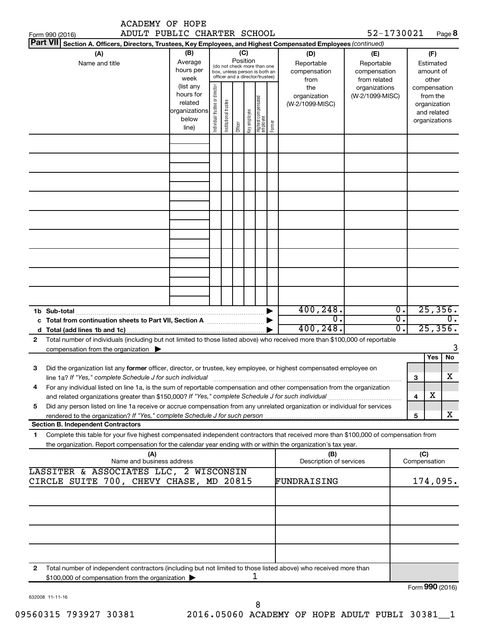|                 | <b>ACADEMY OF HOPE</b>                                                                                                                                                                                                                                 |                                                                      |                                |                       |                 |              |                                                                                                 |        |                                           |                                                   |                                                                          |                  |
|-----------------|--------------------------------------------------------------------------------------------------------------------------------------------------------------------------------------------------------------------------------------------------------|----------------------------------------------------------------------|--------------------------------|-----------------------|-----------------|--------------|-------------------------------------------------------------------------------------------------|--------|-------------------------------------------|---------------------------------------------------|--------------------------------------------------------------------------|------------------|
| Form 990 (2016) | ADULT PUBLIC CHARTER SCHOOL<br>Part VII Section A. Officers, Directors, Trustees, Key Employees, and Highest Compensated Employees (continued)                                                                                                         |                                                                      |                                |                       |                 |              |                                                                                                 |        |                                           | 52-1730021                                        |                                                                          | Page 8           |
|                 | (A)<br>Name and title                                                                                                                                                                                                                                  | (B)<br>Average<br>hours per<br>week                                  |                                |                       | (C)<br>Position |              | (do not check more than one<br>box, unless person is both an<br>officer and a director/trustee) |        | (D)<br>Reportable<br>compensation<br>from | (E)<br>Reportable<br>compensation<br>from related | (F)<br>Estimated<br>amount of<br>other                                   |                  |
|                 |                                                                                                                                                                                                                                                        | (list any<br>hours for<br>related<br>organizations<br>below<br>line) | Individual trustee or director | Institutional trustee | Officer         | Key employee | Highest compensated<br>employee                                                                 | Former | the<br>organization<br>(W-2/1099-MISC)    | organizations<br>(W-2/1099-MISC)                  | compensation<br>from the<br>organization<br>and related<br>organizations |                  |
|                 |                                                                                                                                                                                                                                                        |                                                                      |                                |                       |                 |              |                                                                                                 |        |                                           |                                                   |                                                                          |                  |
|                 |                                                                                                                                                                                                                                                        |                                                                      |                                |                       |                 |              |                                                                                                 |        |                                           |                                                   |                                                                          |                  |
|                 |                                                                                                                                                                                                                                                        |                                                                      |                                |                       |                 |              |                                                                                                 |        |                                           |                                                   |                                                                          |                  |
|                 |                                                                                                                                                                                                                                                        |                                                                      |                                |                       |                 |              |                                                                                                 |        |                                           |                                                   |                                                                          |                  |
|                 |                                                                                                                                                                                                                                                        |                                                                      |                                |                       |                 |              |                                                                                                 |        |                                           |                                                   |                                                                          |                  |
| 1b Sub-total    |                                                                                                                                                                                                                                                        |                                                                      |                                |                       |                 |              |                                                                                                 |        | 400, 248.<br>σ.                           |                                                   | 25,356.<br>$\overline{0}$ .<br>σ.                                        | $\overline{0}$ . |
| d               |                                                                                                                                                                                                                                                        |                                                                      |                                |                       |                 |              |                                                                                                 |        | 400, 248.                                 |                                                   | 25,356.<br>σ.                                                            |                  |
| $\mathbf{2}$    | Total number of individuals (including but not limited to those listed above) who received more than \$100,000 of reportable<br>compensation from the organization $\blacktriangleright$                                                               |                                                                      |                                |                       |                 |              |                                                                                                 |        |                                           |                                                   |                                                                          |                  |
| З               | Did the organization list any former officer, director, or trustee, key employee, or highest compensated employee on<br>line 1a? If "Yes," complete Schedule J for such individual manufactured content content for the complete schedu                |                                                                      |                                |                       |                 |              |                                                                                                 |        |                                           |                                                   | Yes<br>З                                                                 | No<br>X          |
| 4               | For any individual listed on line 1a, is the sum of reportable compensation and other compensation from the organization                                                                                                                               |                                                                      |                                |                       |                 |              |                                                                                                 |        |                                           |                                                   | х<br>4                                                                   |                  |
| 5               | Did any person listed on line 1a receive or accrue compensation from any unrelated organization or individual for services                                                                                                                             |                                                                      |                                |                       |                 |              |                                                                                                 |        |                                           |                                                   |                                                                          |                  |
|                 | <b>Section B. Independent Contractors</b>                                                                                                                                                                                                              |                                                                      |                                |                       |                 |              |                                                                                                 |        |                                           |                                                   | 5                                                                        | х                |
| 1               | Complete this table for your five highest compensated independent contractors that received more than \$100,000 of compensation from<br>the organization. Report compensation for the calendar year ending with or within the organization's tax year. |                                                                      |                                |                       |                 |              |                                                                                                 |        |                                           |                                                   |                                                                          |                  |
|                 | (A)<br>Name and business address                                                                                                                                                                                                                       |                                                                      |                                |                       |                 |              |                                                                                                 |        | (B)<br>Description of services            |                                                   | (C)<br>Compensation                                                      |                  |
|                 | LASSITER & ASSOCIATES LLC, 2 WISCONSIN<br>CIRCLE SUITE 700, CHEVY CHASE, MD 20815                                                                                                                                                                      |                                                                      |                                |                       |                 |              |                                                                                                 |        | FUNDRAISING                               |                                                   | 174,095.                                                                 |                  |
|                 |                                                                                                                                                                                                                                                        |                                                                      |                                |                       |                 |              |                                                                                                 |        |                                           |                                                   |                                                                          |                  |
|                 |                                                                                                                                                                                                                                                        |                                                                      |                                |                       |                 |              |                                                                                                 |        |                                           |                                                   |                                                                          |                  |
|                 |                                                                                                                                                                                                                                                        |                                                                      |                                |                       |                 |              |                                                                                                 |        |                                           |                                                   |                                                                          |                  |
| 2               | Total number of independent contractors (including but not limited to those listed above) who received more than<br>\$100,000 of compensation from the organization                                                                                    |                                                                      |                                |                       |                 |              | ı                                                                                               |        |                                           |                                                   | Form 990 (2016)                                                          |                  |

632008 11-11-16

Form (2016) **990**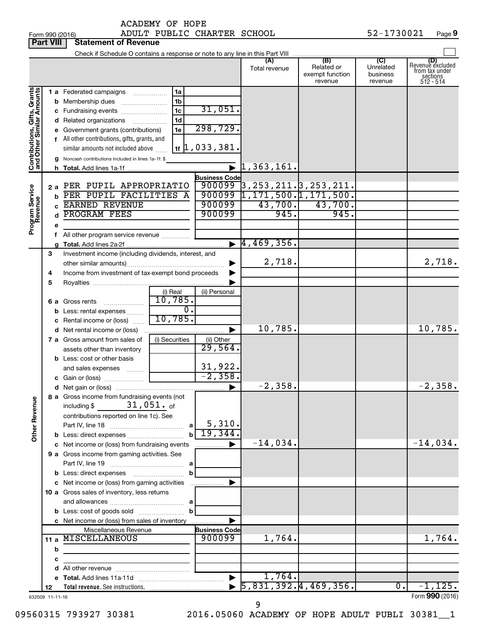Form 990 (2016) Page ADULT PUBLIC CHARTER SCHOOL 52-1730021 **Part VIII Statement of Revenue**<br>**Part VIII** Statement of Revenue

|                                                           | <b>Fait VIII</b>      | Statement of Devellue                                          |                     |                                |                                                |                            |                     |                                    |
|-----------------------------------------------------------|-----------------------|----------------------------------------------------------------|---------------------|--------------------------------|------------------------------------------------|----------------------------|---------------------|------------------------------------|
|                                                           |                       |                                                                |                     |                                |                                                |                            |                     | (D)                                |
|                                                           |                       |                                                                |                     |                                | Total revenue                                  | Related or                 | Unrelated           | Revenue excluded<br>from tax under |
|                                                           |                       |                                                                |                     |                                |                                                | exempt function<br>revenue | business<br>revenue | sections<br>512 - 514              |
|                                                           |                       |                                                                |                     |                                |                                                |                            |                     |                                    |
| Contributions, Gifts, Grants<br>and Other Similar Amounts |                       | 1 a Federated campaigns                                        | 1a                  |                                |                                                |                            |                     |                                    |
|                                                           |                       | <b>b</b> Membership dues                                       | 1 <sub>b</sub>      | 31,051.                        |                                                |                            |                     |                                    |
|                                                           |                       | c Fundraising events                                           | 1c                  |                                |                                                |                            |                     |                                    |
|                                                           |                       | d Related organizations                                        | 1 <sub>d</sub>      | 298,729.                       |                                                |                            |                     |                                    |
|                                                           |                       | e Government grants (contributions)                            | 1e                  |                                |                                                |                            |                     |                                    |
|                                                           |                       | f All other contributions, gifts, grants, and                  |                     | $1$ f $\vert$ 1, 033, 381.     |                                                |                            |                     |                                    |
|                                                           |                       | similar amounts not included above                             |                     |                                |                                                |                            |                     |                                    |
|                                                           |                       | g Noncash contributions included in lines 1a-1f: \$            |                     |                                | $\mathbf{L}$ $\mathbf{1}$ , 363 , 161.         |                            |                     |                                    |
|                                                           |                       |                                                                |                     |                                |                                                |                            |                     |                                    |
|                                                           |                       | 2 a PER PUPIL APPROPRIATIO                                     |                     | <b>Business Code</b>           |                                                |                            |                     |                                    |
|                                                           |                       | PER PUPIL FACILITIES A                                         |                     |                                | $900099$ 3, 253, 211. 3, 253, 211.             |                            |                     |                                    |
|                                                           | b                     | <b>EARNED REVENUE</b>                                          |                     | 900099                         | $900099$ $\left  1,171,500.\right  1,171,500.$ | $43,700.$ $43,700.$        |                     |                                    |
|                                                           |                       | <b>PROGRAM FEES</b>                                            |                     | 900099                         | 945.                                           | 945.                       |                     |                                    |
|                                                           |                       |                                                                |                     |                                |                                                |                            |                     |                                    |
| Program Service<br>Revenue                                |                       |                                                                |                     |                                |                                                |                            |                     |                                    |
|                                                           |                       | f All other program service revenue                            |                     |                                | $\blacktriangleright$ 4,469,356.               |                            |                     |                                    |
|                                                           |                       |                                                                |                     |                                |                                                |                            |                     |                                    |
|                                                           | 3                     | Investment income (including dividends, interest, and          |                     |                                | 2,718.                                         |                            |                     | 2,718.                             |
|                                                           |                       |                                                                |                     | ▶                              |                                                |                            |                     |                                    |
|                                                           | 4                     | Income from investment of tax-exempt bond proceeds             |                     |                                |                                                |                            |                     |                                    |
|                                                           | 5                     |                                                                |                     |                                |                                                |                            |                     |                                    |
|                                                           |                       |                                                                | (i) Real<br>10,785. | (ii) Personal                  |                                                |                            |                     |                                    |
|                                                           |                       | 6 a Gross rents                                                | $\overline{0}$ .    |                                |                                                |                            |                     |                                    |
|                                                           |                       | <b>b</b> Less: rental expenses                                 | 10,785.             |                                |                                                |                            |                     |                                    |
|                                                           |                       | c Rental income or (loss)                                      |                     |                                | 10,785.                                        |                            |                     | 10,785.                            |
|                                                           |                       |                                                                |                     | ▶                              |                                                |                            |                     |                                    |
|                                                           |                       | 7 a Gross amount from sales of                                 | (i) Securities      | (ii) Other<br>29,564.          |                                                |                            |                     |                                    |
|                                                           |                       | assets other than inventory                                    |                     |                                |                                                |                            |                     |                                    |
|                                                           |                       | <b>b</b> Less: cost or other basis                             |                     |                                |                                                |                            |                     |                                    |
|                                                           |                       | and sales expenses                                             |                     | $\frac{31,922}{-2,358}$        |                                                |                            |                     |                                    |
|                                                           |                       |                                                                |                     |                                | $-2,358.$                                      |                            |                     | $-2,358.$                          |
|                                                           |                       |                                                                |                     |                                |                                                |                            |                     |                                    |
| Φ                                                         |                       | 8 a Gross income from fundraising events (not<br>$31,051$ . of |                     |                                |                                                |                            |                     |                                    |
| <b>Other Revenu</b>                                       |                       | including \$                                                   |                     |                                |                                                |                            |                     |                                    |
|                                                           |                       | contributions reported on line 1c). See                        |                     | $5,310$ .                      |                                                |                            |                     |                                    |
|                                                           |                       |                                                                | $\mathbf a$         | 19,344                         |                                                |                            |                     |                                    |
|                                                           |                       |                                                                |                     |                                | $-14,034$ .                                    |                            |                     | $-14,034.$                         |
|                                                           |                       | c Net income or (loss) from fundraising events                 |                     |                                |                                                |                            |                     |                                    |
|                                                           |                       | 9 a Gross income from gaming activities. See                   |                     |                                |                                                |                            |                     |                                    |
|                                                           |                       |                                                                | b                   |                                |                                                |                            |                     |                                    |
|                                                           |                       | c Net income or (loss) from gaming activities                  |                     |                                |                                                |                            |                     |                                    |
|                                                           |                       |                                                                |                     |                                |                                                |                            |                     |                                    |
|                                                           |                       | 10 a Gross sales of inventory, less returns                    |                     |                                |                                                |                            |                     |                                    |
|                                                           |                       |                                                                | b                   |                                |                                                |                            |                     |                                    |
|                                                           |                       |                                                                |                     |                                |                                                |                            |                     |                                    |
|                                                           |                       | <b>c</b> Net income or (loss) from sales of inventory          |                     |                                |                                                |                            |                     |                                    |
|                                                           |                       | Miscellaneous Revenue<br>11 a MISCELLANEOUS                    |                     | <b>Business Code</b><br>900099 | 1,764.                                         |                            |                     | 1,764.                             |
|                                                           |                       |                                                                |                     |                                |                                                |                            |                     |                                    |
|                                                           | b                     |                                                                |                     |                                |                                                |                            |                     |                                    |
|                                                           | с                     |                                                                |                     |                                |                                                |                            |                     |                                    |
|                                                           |                       |                                                                |                     |                                | 1,764.                                         |                            |                     |                                    |
|                                                           |                       |                                                                |                     |                                | $\overline{5,831,392.4,469,356.}$              |                            | $\overline{0}$ .    | $-1, 125.$                         |
|                                                           | 12<br>632009 11-11-16 |                                                                |                     |                                |                                                |                            |                     | Form 990 (2016)                    |
|                                                           |                       |                                                                |                     |                                |                                                |                            |                     |                                    |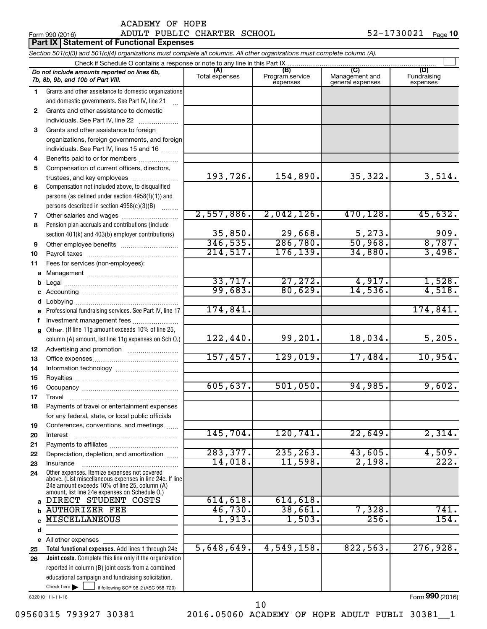# Form 990 (2016) Page ADULT PUBLIC CHARTER SCHOOL 52-1730021

|    | Part IX   Statement of Functional Expenses                                                                                                                                                                  |                       |                                    |                                           |                                |
|----|-------------------------------------------------------------------------------------------------------------------------------------------------------------------------------------------------------------|-----------------------|------------------------------------|-------------------------------------------|--------------------------------|
|    | Section 501(c)(3) and 501(c)(4) organizations must complete all columns. All other organizations must complete column (A).                                                                                  |                       |                                    |                                           |                                |
|    | Check if Schedule O contains a response or note to any line in this Part IX                                                                                                                                 |                       |                                    |                                           |                                |
|    | Do not include amounts reported on lines 6b,<br>7b, 8b, 9b, and 10b of Part VIII.                                                                                                                           | (A)<br>Total expenses | (B)<br>Program service<br>expenses | (C)<br>Management and<br>general expenses | (D)<br>Fundraising<br>expenses |
| 1  | Grants and other assistance to domestic organizations                                                                                                                                                       |                       |                                    |                                           |                                |
|    | and domestic governments. See Part IV, line 21                                                                                                                                                              |                       |                                    |                                           |                                |
| 2  | Grants and other assistance to domestic                                                                                                                                                                     |                       |                                    |                                           |                                |
|    | individuals. See Part IV, line 22                                                                                                                                                                           |                       |                                    |                                           |                                |
| 3  | Grants and other assistance to foreign                                                                                                                                                                      |                       |                                    |                                           |                                |
|    | organizations, foreign governments, and foreign                                                                                                                                                             |                       |                                    |                                           |                                |
|    | individuals. See Part IV, lines 15 and 16                                                                                                                                                                   |                       |                                    |                                           |                                |
| 4  | Benefits paid to or for members                                                                                                                                                                             |                       |                                    |                                           |                                |
| 5  | Compensation of current officers, directors,                                                                                                                                                                | 193,726.              | 154,890.                           | 35,322.                                   | 3,514.                         |
|    | trustees, and key employees                                                                                                                                                                                 |                       |                                    |                                           |                                |
| 6  | Compensation not included above, to disqualified<br>persons (as defined under section 4958(f)(1)) and                                                                                                       |                       |                                    |                                           |                                |
|    | persons described in section 4958(c)(3)(B)                                                                                                                                                                  |                       |                                    |                                           |                                |
| 7  |                                                                                                                                                                                                             | 2,557,886.            | 2,042,126.                         | 470,128.                                  | 45,632.                        |
| 8  | Pension plan accruals and contributions (include                                                                                                                                                            |                       |                                    |                                           |                                |
|    | section 401(k) and 403(b) employer contributions)                                                                                                                                                           | 35,850.               | 29,668.                            | 5,273.                                    | 909.                           |
| 9  |                                                                                                                                                                                                             | 346, 535.             | 286,780.                           | 50,968.                                   | 8,787.                         |
| 10 |                                                                                                                                                                                                             | 214,517.              | 176, 139.                          | 34,880.                                   | 3,498.                         |
| 11 | Fees for services (non-employees):                                                                                                                                                                          |                       |                                    |                                           |                                |
| а  |                                                                                                                                                                                                             |                       |                                    |                                           |                                |
| b  |                                                                                                                                                                                                             | 33,717.               | 27,272.                            | 4,917.                                    | 1,528.                         |
|    |                                                                                                                                                                                                             | 99,683.               | 80,629.                            | 14,536.                                   | 4,518.                         |
|    |                                                                                                                                                                                                             |                       |                                    |                                           |                                |
|    | e Professional fundraising services. See Part IV, line 17                                                                                                                                                   | 174,841.              |                                    |                                           | 174,841.                       |
|    | f Investment management fees                                                                                                                                                                                |                       |                                    |                                           |                                |
|    | g Other. (If line 11g amount exceeds 10% of line 25,                                                                                                                                                        |                       |                                    |                                           |                                |
|    | column (A) amount, list line 11g expenses on Sch O.)                                                                                                                                                        | 122,440.              | 99,201.                            | 18,034.                                   | 5,205.                         |
| 12 |                                                                                                                                                                                                             |                       |                                    |                                           |                                |
| 13 |                                                                                                                                                                                                             | 157,457.              | 129,019.                           | 17,484.                                   | 10,954.                        |
| 14 |                                                                                                                                                                                                             |                       |                                    |                                           |                                |
| 15 |                                                                                                                                                                                                             | 605, 637.             | 501,050.                           | 94,985.                                   | 9,602.                         |
| 16 |                                                                                                                                                                                                             |                       |                                    |                                           |                                |
| 17 | Travel                                                                                                                                                                                                      |                       |                                    |                                           |                                |
| 18 | Payments of travel or entertainment expenses                                                                                                                                                                |                       |                                    |                                           |                                |
| 19 | for any federal, state, or local public officials<br>Conferences, conventions, and meetings                                                                                                                 |                       |                                    |                                           |                                |
| 20 | Interest                                                                                                                                                                                                    | 145,704.              | 120,741.                           | 22,649.                                   | 2,314.                         |
| 21 |                                                                                                                                                                                                             |                       |                                    |                                           |                                |
| 22 | Depreciation, depletion, and amortization                                                                                                                                                                   | 283, 377.             | 235, 263.                          | 43,605.                                   | 4,509.                         |
| 23 | Insurance                                                                                                                                                                                                   | 14,018.               | 11,598.                            | 2,198.                                    | 222.                           |
| 24 | Other expenses. Itemize expenses not covered<br>above. (List miscellaneous expenses in line 24e. If line<br>24e amount exceeds 10% of line 25, column (A)<br>amount, list line 24e expenses on Schedule O.) |                       |                                    |                                           |                                |
| a  | DIRECT STUDENT COSTS                                                                                                                                                                                        | 614,618.              | 614,618.                           |                                           |                                |
|    | <b>AUTHORIZER FEE</b>                                                                                                                                                                                       | 46,730.               | 38,661.                            | 7,328.                                    | 741.                           |
|    | MISCELLANEOUS                                                                                                                                                                                               | 1,913.                | 1,503.                             | 256.                                      | 154.                           |
| d  |                                                                                                                                                                                                             |                       |                                    |                                           |                                |
| е  | All other expenses                                                                                                                                                                                          |                       |                                    |                                           |                                |
| 25 | Total functional expenses. Add lines 1 through 24e                                                                                                                                                          | 5,648,649.            | 4,549,158.                         | 822,563.                                  | 276,928.                       |
| 26 | Joint costs. Complete this line only if the organization                                                                                                                                                    |                       |                                    |                                           |                                |
|    | reported in column (B) joint costs from a combined                                                                                                                                                          |                       |                                    |                                           |                                |
|    | educational campaign and fundraising solicitation.<br>Check here<br>if following SOP 98-2 (ASC 958-720)                                                                                                     |                       |                                    |                                           |                                |
|    |                                                                                                                                                                                                             |                       |                                    |                                           |                                |

632010 11-11-16

09560315 793927 30381 2016.05060 ACADEMY OF HOPE ADULT PUBLI 30381\_1 10

Form (2016) **990**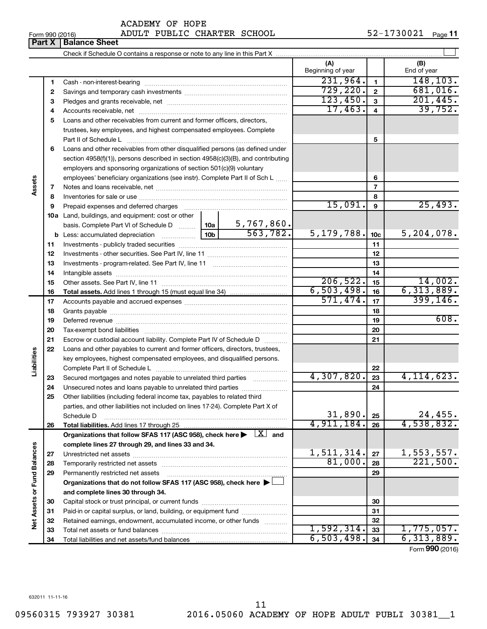# Form 990 (2016) Page ADULT PUBLIC CHARTER SCHOOL 52-1730021

**Part X Balance Sheet**

|                             |          |                                                                                                                              |                             | (A)<br>Beginning of year |                 | (B)<br>End of year                          |
|-----------------------------|----------|------------------------------------------------------------------------------------------------------------------------------|-----------------------------|--------------------------|-----------------|---------------------------------------------|
|                             | 1        |                                                                                                                              |                             | 231,964.                 | $\mathbf{1}$    | 148, 103.                                   |
|                             | 2        |                                                                                                                              |                             | 729, 220.                | $\mathbf{2}$    | 681,016.                                    |
|                             | З        |                                                                                                                              |                             | 123,450.                 | $\mathbf{3}$    | 201,445.                                    |
|                             | 4        |                                                                                                                              |                             | 17,463.                  | 4               | 39,752.                                     |
|                             | 5        | Loans and other receivables from current and former officers, directors,                                                     |                             |                          |                 |                                             |
|                             |          | trustees, key employees, and highest compensated employees. Complete                                                         |                             |                          |                 |                                             |
|                             |          | Part II of Schedule Latin and Communication of Schedule Latin and Communication of Schedule Latin and Schedule               |                             |                          | 5               |                                             |
|                             | 6        | Loans and other receivables from other disqualified persons (as defined under                                                |                             |                          |                 |                                             |
|                             |          | section 4958(f)(1)), persons described in section 4958(c)(3)(B), and contributing                                            |                             |                          |                 |                                             |
|                             |          | employers and sponsoring organizations of section 501(c)(9) voluntary                                                        |                             |                          |                 |                                             |
|                             |          | employees' beneficiary organizations (see instr). Complete Part II of Sch L                                                  |                             |                          | 6               |                                             |
| Assets                      | 7        |                                                                                                                              |                             |                          | $\overline{7}$  |                                             |
|                             | 8        |                                                                                                                              |                             |                          | 8               |                                             |
|                             | 9        | Prepaid expenses and deferred charges                                                                                        |                             | 15,091.                  | 9               | 25,493.                                     |
|                             |          | 10a Land, buildings, and equipment: cost or other                                                                            |                             |                          |                 |                                             |
|                             |          | basis. Complete Part VI of Schedule D  10a                                                                                   | $\frac{5,767,860}{563,782}$ |                          |                 |                                             |
|                             | b        |                                                                                                                              |                             | 5, 179, 788.             | 10 <sub>c</sub> | 5, 204, 078.                                |
|                             | 11       |                                                                                                                              |                             |                          | 11              |                                             |
|                             | 12       |                                                                                                                              |                             |                          | 12              |                                             |
|                             | 13       |                                                                                                                              |                             |                          | 13              |                                             |
|                             | 14       |                                                                                                                              |                             | 206,522.                 | 14              | 14,002.                                     |
|                             | 15       |                                                                                                                              |                             | 6,503,498.               | 15              | 6, 313, 889.                                |
|                             | 16       |                                                                                                                              |                             | 571,474.                 | 16<br>17        | 399, 146.                                   |
|                             | 17       |                                                                                                                              |                             |                          |                 |                                             |
|                             | 18<br>19 |                                                                                                                              |                             |                          | 18<br>19        | 608.                                        |
|                             | 20       |                                                                                                                              |                             |                          | 20              |                                             |
|                             | 21       | Escrow or custodial account liability. Complete Part IV of Schedule D                                                        |                             |                          | 21              |                                             |
|                             | 22       | Loans and other payables to current and former officers, directors, trustees,                                                |                             |                          |                 |                                             |
| Liabilities                 |          | key employees, highest compensated employees, and disqualified persons.                                                      |                             |                          |                 |                                             |
|                             |          |                                                                                                                              |                             |                          | 22              |                                             |
|                             | 23       | Secured mortgages and notes payable to unrelated third parties                                                               |                             | 4,307,820.               | 23              | 4, 114, 623.                                |
|                             | 24       | Unsecured notes and loans payable to unrelated third parties                                                                 |                             |                          | 24              |                                             |
|                             | 25       | Other liabilities (including federal income tax, payables to related third                                                   |                             |                          |                 |                                             |
|                             |          | parties, and other liabilities not included on lines 17-24). Complete Part X of                                              |                             |                          |                 |                                             |
|                             |          | Schedule D                                                                                                                   |                             | 31,890.                  | 25              | 24,455.                                     |
|                             | 26       |                                                                                                                              |                             | 4,911,184.               | 26              | 4,538,832.                                  |
|                             |          | Organizations that follow SFAS 117 (ASC 958), check here $\blacktriangleright \begin{array}{c} \boxed{X} \\ \end{array}$ and |                             |                          |                 |                                             |
|                             |          | complete lines 27 through 29, and lines 33 and 34.                                                                           |                             |                          |                 |                                             |
|                             | 27       |                                                                                                                              |                             | 1,511,314.               | 27              | 1,553,557.                                  |
|                             | 28       |                                                                                                                              |                             | 81,000.                  | 28              | 221,500.                                    |
|                             | 29       | Permanently restricted net assets                                                                                            |                             |                          | 29              |                                             |
|                             |          | Organizations that do not follow SFAS 117 (ASC 958), check here $\blacktriangleright$                                        |                             |                          |                 |                                             |
|                             |          | and complete lines 30 through 34.                                                                                            |                             |                          |                 |                                             |
| Net Assets or Fund Balances | 30       |                                                                                                                              |                             |                          | 30              |                                             |
|                             | 31       | Paid-in or capital surplus, or land, building, or equipment fund                                                             |                             |                          | 31              |                                             |
|                             | 32       | Retained earnings, endowment, accumulated income, or other funds                                                             |                             |                          | 32              |                                             |
|                             | 33       |                                                                                                                              |                             | 1,592,314.               | 33              | 1,775,057.                                  |
|                             | 34       |                                                                                                                              |                             | 6, 503, 498.             | 34              | 6, 313, 889.<br>$F_{\text{sum}}$ 000 (2016) |

Form (2016) **990**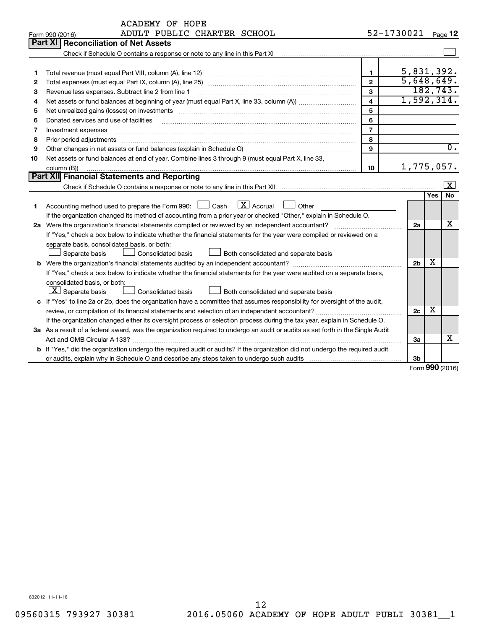|    | <b>ACADEMY OF HOPE</b>                                                                                                                                                                                                              |            |                |            |                         |  |  |
|----|-------------------------------------------------------------------------------------------------------------------------------------------------------------------------------------------------------------------------------------|------------|----------------|------------|-------------------------|--|--|
|    | ADULT PUBLIC CHARTER SCHOOL<br>Form 990 (2016)                                                                                                                                                                                      | 52-1730021 |                |            | Page 12                 |  |  |
|    | Part XI<br><b>Reconciliation of Net Assets</b>                                                                                                                                                                                      |            |                |            |                         |  |  |
|    | Check if Schedule O contains a response or note to any line in this Part XI [11] [12] Check if Schedule O contains a response or note to any line in this Part XI                                                                   |            |                |            |                         |  |  |
|    |                                                                                                                                                                                                                                     |            |                |            |                         |  |  |
| 1  | $\mathbf{1}$                                                                                                                                                                                                                        |            | 5,831,392.     |            |                         |  |  |
| 2  | $\overline{2}$                                                                                                                                                                                                                      |            | 5,648,649.     |            |                         |  |  |
| З  | 3<br>Revenue less expenses. Subtract line 2 from line 1                                                                                                                                                                             |            |                |            | 182, 743.               |  |  |
| 4  | $\overline{\mathbf{4}}$                                                                                                                                                                                                             |            | 1,592,314.     |            |                         |  |  |
| 5  | 5<br>Net unrealized gains (losses) on investments [11] matter contracts and the state of the state of the state of the state of the state of the state of the state of the state of the state of the state of the state of the stat |            |                |            |                         |  |  |
| 6  | 6<br>Donated services and use of facilities                                                                                                                                                                                         |            |                |            |                         |  |  |
| 7  | $\overline{7}$<br>Investment expenses                                                                                                                                                                                               |            |                |            |                         |  |  |
| 8  | 8<br>Prior period adjustments                                                                                                                                                                                                       |            |                |            |                         |  |  |
| 9  | $\mathbf{Q}$                                                                                                                                                                                                                        |            |                |            | $\overline{0}$ .        |  |  |
| 10 | Net assets or fund balances at end of year. Combine lines 3 through 9 (must equal Part X, line 33,                                                                                                                                  |            |                |            |                         |  |  |
|    | 10<br>column (B))                                                                                                                                                                                                                   |            | 1,775,057.     |            |                         |  |  |
|    | Part XII Financial Statements and Reporting                                                                                                                                                                                         |            |                |            |                         |  |  |
|    |                                                                                                                                                                                                                                     |            |                |            | $\overline{\mathbf{X}}$ |  |  |
|    |                                                                                                                                                                                                                                     |            |                | <b>Yes</b> | <b>No</b>               |  |  |
| 1  | $\boxed{\text{X}}$ Accrual<br>Accounting method used to prepare the Form 990: $\Box$ Cash<br>Other                                                                                                                                  |            |                |            |                         |  |  |
|    | If the organization changed its method of accounting from a prior year or checked "Other," explain in Schedule O.                                                                                                                   |            |                |            |                         |  |  |
|    |                                                                                                                                                                                                                                     |            | 2a             |            | х                       |  |  |
|    | If "Yes," check a box below to indicate whether the financial statements for the year were compiled or reviewed on a                                                                                                                |            |                |            |                         |  |  |
|    | separate basis, consolidated basis, or both:                                                                                                                                                                                        |            |                |            |                         |  |  |
|    | Separate basis<br><b>Consolidated basis</b><br>$\Box$ Both consolidated and separate basis                                                                                                                                          |            |                |            |                         |  |  |
|    | <b>b</b> Were the organization's financial statements audited by an independent accountant?                                                                                                                                         |            | 2 <sub>b</sub> | x          |                         |  |  |
|    | If "Yes," check a box below to indicate whether the financial statements for the year were audited on a separate basis,                                                                                                             |            |                |            |                         |  |  |
|    | consolidated basis, or both:                                                                                                                                                                                                        |            |                |            |                         |  |  |
|    | $\boxed{\mathbf{X}}$ Separate basis<br><b>Consolidated basis</b><br>Both consolidated and separate basis                                                                                                                            |            |                |            |                         |  |  |
|    | c If "Yes" to line 2a or 2b, does the organization have a committee that assumes responsibility for oversight of the audit,                                                                                                         |            |                |            |                         |  |  |
|    |                                                                                                                                                                                                                                     |            | 2c             | x          |                         |  |  |
|    | If the organization changed either its oversight process or selection process during the tax year, explain in Schedule O.                                                                                                           |            |                |            |                         |  |  |
|    | 3a As a result of a federal award, was the organization required to undergo an audit or audits as set forth in the Single Audit                                                                                                     |            |                |            |                         |  |  |
|    |                                                                                                                                                                                                                                     |            | За             |            | x                       |  |  |
|    | b If "Yes," did the organization undergo the required audit or audits? If the organization did not undergo the required audit                                                                                                       |            |                |            |                         |  |  |
|    |                                                                                                                                                                                                                                     |            | 3 <sub>b</sub> |            |                         |  |  |

Form (2016) **990**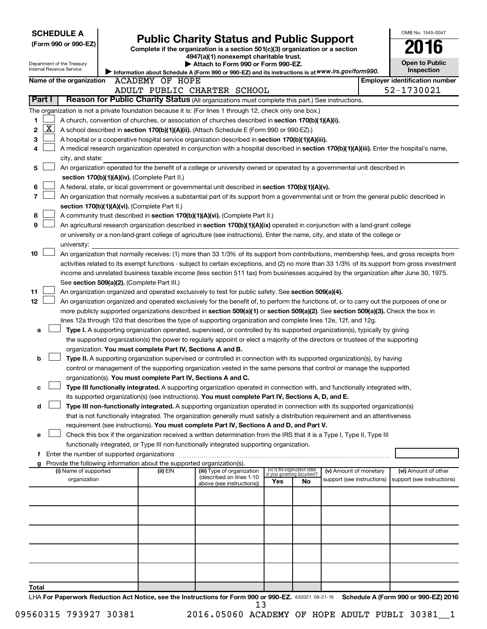| <b>SCHEDULE A</b>                                                                                         |                                               |                                                            |                                                                                                                                                                                                                                                                |     |                                                                |                            | OMB No. 1545-0047                     |
|-----------------------------------------------------------------------------------------------------------|-----------------------------------------------|------------------------------------------------------------|----------------------------------------------------------------------------------------------------------------------------------------------------------------------------------------------------------------------------------------------------------------|-----|----------------------------------------------------------------|----------------------------|---------------------------------------|
| (Form 990 or 990-EZ)                                                                                      |                                               |                                                            | <b>Public Charity Status and Public Support</b>                                                                                                                                                                                                                |     |                                                                |                            |                                       |
|                                                                                                           |                                               |                                                            | Complete if the organization is a section 501(c)(3) organization or a section<br>4947(a)(1) nonexempt charitable trust.                                                                                                                                        |     |                                                                |                            |                                       |
| Department of the Treasury                                                                                |                                               |                                                            | Attach to Form 990 or Form 990-EZ.                                                                                                                                                                                                                             |     |                                                                |                            | <b>Open to Public</b>                 |
| Internal Revenue Service                                                                                  |                                               |                                                            | Information about Schedule A (Form 990 or 990-EZ) and its instructions is at WWW.irs.gov/form990.                                                                                                                                                              |     |                                                                |                            | <b>Inspection</b>                     |
| Name of the organization                                                                                  |                                               | ACADEMY OF HOPE                                            |                                                                                                                                                                                                                                                                |     |                                                                |                            | <b>Employer identification number</b> |
|                                                                                                           |                                               |                                                            | ADULT PUBLIC CHARTER SCHOOL                                                                                                                                                                                                                                    |     |                                                                |                            | 52-1730021                            |
| Part I                                                                                                    |                                               |                                                            | Reason for Public Charity Status (All organizations must complete this part.) See instructions.                                                                                                                                                                |     |                                                                |                            |                                       |
| The organization is not a private foundation because it is: (For lines 1 through 12, check only one box.) |                                               |                                                            |                                                                                                                                                                                                                                                                |     |                                                                |                            |                                       |
| 1                                                                                                         |                                               |                                                            | A church, convention of churches, or association of churches described in section 170(b)(1)(A)(i).                                                                                                                                                             |     |                                                                |                            |                                       |
| <u>x</u><br>2                                                                                             |                                               |                                                            | A school described in section 170(b)(1)(A)(ii). (Attach Schedule E (Form 990 or 990-EZ).)                                                                                                                                                                      |     |                                                                |                            |                                       |
| 3                                                                                                         |                                               |                                                            | A hospital or a cooperative hospital service organization described in section 170(b)(1)(A)(iii).                                                                                                                                                              |     |                                                                |                            |                                       |
| 4                                                                                                         |                                               |                                                            | A medical research organization operated in conjunction with a hospital described in section 170(b)(1)(A)(iii). Enter the hospital's name,                                                                                                                     |     |                                                                |                            |                                       |
| city, and state:                                                                                          |                                               |                                                            |                                                                                                                                                                                                                                                                |     |                                                                |                            |                                       |
| 5                                                                                                         |                                               |                                                            | An organization operated for the benefit of a college or university owned or operated by a governmental unit described in                                                                                                                                      |     |                                                                |                            |                                       |
|                                                                                                           |                                               | section 170(b)(1)(A)(iv). (Complete Part II.)              |                                                                                                                                                                                                                                                                |     |                                                                |                            |                                       |
| 6                                                                                                         |                                               |                                                            | A federal, state, or local government or governmental unit described in section 170(b)(1)(A)(v).                                                                                                                                                               |     |                                                                |                            |                                       |
| 7                                                                                                         |                                               |                                                            | An organization that normally receives a substantial part of its support from a governmental unit or from the general public described in                                                                                                                      |     |                                                                |                            |                                       |
|                                                                                                           | section 170(b)(1)(A)(vi). (Complete Part II.) |                                                            |                                                                                                                                                                                                                                                                |     |                                                                |                            |                                       |
| 8                                                                                                         |                                               |                                                            | A community trust described in section 170(b)(1)(A)(vi). (Complete Part II.)                                                                                                                                                                                   |     |                                                                |                            |                                       |
| 9                                                                                                         |                                               |                                                            | An agricultural research organization described in section 170(b)(1)(A)(ix) operated in conjunction with a land-grant college                                                                                                                                  |     |                                                                |                            |                                       |
|                                                                                                           |                                               |                                                            | or university or a non-land-grant college of agriculture (see instructions). Enter the name, city, and state of the college or                                                                                                                                 |     |                                                                |                            |                                       |
| university:                                                                                               |                                               |                                                            |                                                                                                                                                                                                                                                                |     |                                                                |                            |                                       |
| 10                                                                                                        |                                               |                                                            | An organization that normally receives: (1) more than 33 1/3% of its support from contributions, membership fees, and gross receipts from                                                                                                                      |     |                                                                |                            |                                       |
|                                                                                                           |                                               |                                                            | activities related to its exempt functions - subject to certain exceptions, and (2) no more than 33 1/3% of its support from gross investment                                                                                                                  |     |                                                                |                            |                                       |
|                                                                                                           |                                               |                                                            | income and unrelated business taxable income (less section 511 tax) from businesses acquired by the organization after June 30, 1975.                                                                                                                          |     |                                                                |                            |                                       |
|                                                                                                           | See section 509(a)(2). (Complete Part III.)   |                                                            |                                                                                                                                                                                                                                                                |     |                                                                |                            |                                       |
| 11                                                                                                        |                                               |                                                            | An organization organized and operated exclusively to test for public safety. See section 509(a)(4).                                                                                                                                                           |     |                                                                |                            |                                       |
| 12                                                                                                        |                                               |                                                            | An organization organized and operated exclusively for the benefit of, to perform the functions of, or to carry out the purposes of one or                                                                                                                     |     |                                                                |                            |                                       |
|                                                                                                           |                                               |                                                            | more publicly supported organizations described in section 509(a)(1) or section 509(a)(2). See section 509(a)(3). Check the box in                                                                                                                             |     |                                                                |                            |                                       |
|                                                                                                           |                                               |                                                            | lines 12a through 12d that describes the type of supporting organization and complete lines 12e, 12f, and 12g.                                                                                                                                                 |     |                                                                |                            |                                       |
| a                                                                                                         |                                               |                                                            | Type I. A supporting organization operated, supervised, or controlled by its supported organization(s), typically by giving<br>the supported organization(s) the power to regularly appoint or elect a majority of the directors or trustees of the supporting |     |                                                                |                            |                                       |
|                                                                                                           |                                               | organization. You must complete Part IV, Sections A and B. |                                                                                                                                                                                                                                                                |     |                                                                |                            |                                       |
| b                                                                                                         |                                               |                                                            | Type II. A supporting organization supervised or controlled in connection with its supported organization(s), by having                                                                                                                                        |     |                                                                |                            |                                       |
|                                                                                                           |                                               |                                                            | control or management of the supporting organization vested in the same persons that control or manage the supported                                                                                                                                           |     |                                                                |                            |                                       |
|                                                                                                           |                                               |                                                            | organization(s). You must complete Part IV, Sections A and C.                                                                                                                                                                                                  |     |                                                                |                            |                                       |
| с                                                                                                         |                                               |                                                            | Type III functionally integrated. A supporting organization operated in connection with, and functionally integrated with,                                                                                                                                     |     |                                                                |                            |                                       |
|                                                                                                           |                                               |                                                            | its supported organization(s) (see instructions). You must complete Part IV, Sections A, D, and E.                                                                                                                                                             |     |                                                                |                            |                                       |
| d                                                                                                         |                                               |                                                            | Type III non-functionally integrated. A supporting organization operated in connection with its supported organization(s)                                                                                                                                      |     |                                                                |                            |                                       |
|                                                                                                           |                                               |                                                            | that is not functionally integrated. The organization generally must satisfy a distribution requirement and an attentiveness                                                                                                                                   |     |                                                                |                            |                                       |
|                                                                                                           |                                               |                                                            | requirement (see instructions). You must complete Part IV, Sections A and D, and Part V.                                                                                                                                                                       |     |                                                                |                            |                                       |
| e                                                                                                         |                                               |                                                            | Check this box if the organization received a written determination from the IRS that it is a Type I, Type II, Type III                                                                                                                                        |     |                                                                |                            |                                       |
|                                                                                                           |                                               |                                                            | functionally integrated, or Type III non-functionally integrated supporting organization.                                                                                                                                                                      |     |                                                                |                            |                                       |
| f Enter the number of supported organizations                                                             |                                               |                                                            |                                                                                                                                                                                                                                                                |     |                                                                |                            |                                       |
| g Provide the following information about the supported organization(s).                                  |                                               |                                                            |                                                                                                                                                                                                                                                                |     |                                                                |                            |                                       |
| (i) Name of supported                                                                                     |                                               | (ii) EIN                                                   | (iii) Type of organization<br>(described on lines 1-10                                                                                                                                                                                                         |     | (iv) Is the organization listed<br>in your governing document? | (v) Amount of monetary     | (vi) Amount of other                  |
| organization                                                                                              |                                               |                                                            | above (see instructions))                                                                                                                                                                                                                                      | Yes | No                                                             | support (see instructions) | support (see instructions)            |
|                                                                                                           |                                               |                                                            |                                                                                                                                                                                                                                                                |     |                                                                |                            |                                       |
|                                                                                                           |                                               |                                                            |                                                                                                                                                                                                                                                                |     |                                                                |                            |                                       |
|                                                                                                           |                                               |                                                            |                                                                                                                                                                                                                                                                |     |                                                                |                            |                                       |
|                                                                                                           |                                               |                                                            |                                                                                                                                                                                                                                                                |     |                                                                |                            |                                       |
|                                                                                                           |                                               |                                                            |                                                                                                                                                                                                                                                                |     |                                                                |                            |                                       |
|                                                                                                           |                                               |                                                            |                                                                                                                                                                                                                                                                |     |                                                                |                            |                                       |
|                                                                                                           |                                               |                                                            |                                                                                                                                                                                                                                                                |     |                                                                |                            |                                       |
|                                                                                                           |                                               |                                                            |                                                                                                                                                                                                                                                                |     |                                                                |                            |                                       |
|                                                                                                           |                                               |                                                            |                                                                                                                                                                                                                                                                |     |                                                                |                            |                                       |
|                                                                                                           |                                               |                                                            |                                                                                                                                                                                                                                                                |     |                                                                |                            |                                       |
| Total                                                                                                     |                                               |                                                            | LHA For Panerwork Reduction Act Notice, see the Instructions for Form 990 or 990-FZ, 632021 09-21-16. Schedule A (Form 990 or 990-FZ) 2016                                                                                                                     |     |                                                                |                            |                                       |

632021 09-21-16 **For Paperwork Reduction Act Notice, see the Instructions for Form 990 or 990-EZ. Schedule A (Form 990 or 990-EZ) 2016** LHA  $13$ 

09560315 793927 30381 2016.05060 ACADEMY OF HOPE ADULT PUBLI 30381\_1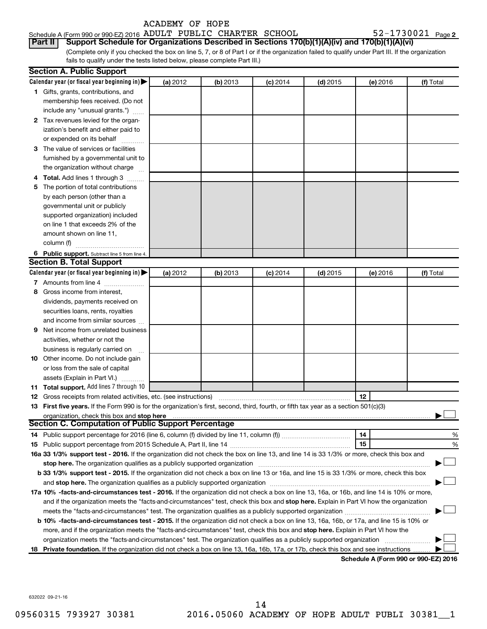| ACADEMY OF HOPE |  |  |
|-----------------|--|--|
|-----------------|--|--|

| Schedule A (Form 990 or 990-EZ) 2016 ADULT PUBLIC CHARTER SCHOOL |  |  | 52-1730021 $_{Page2}$                                                                                  |  |
|------------------------------------------------------------------|--|--|--------------------------------------------------------------------------------------------------------|--|
|                                                                  |  |  | Part II Support Schedule for Organizations Described in Sections 170(b)(1)(A)(iv) and 170(b)(1)(A)(vi) |  |

(Complete only if you checked the box on line 5, 7, or 8 of Part I or if the organization failed to qualify under Part III. If the organization fails to qualify under the tests listed below, please complete Part III.)

| Calendar year (or fiscal year beginning in)<br>(a) 2012<br>(b) 2013<br>$(c)$ 2014<br>$(d)$ 2015<br>(e) 2016<br>(f) Total<br>1 Gifts, grants, contributions, and<br>membership fees received. (Do not<br>include any "unusual grants.")<br>2 Tax revenues levied for the organ-<br>ization's benefit and either paid to<br>or expended on its behalf<br>3 The value of services or facilities<br>furnished by a governmental unit to<br>the organization without charge<br>4 Total. Add lines 1 through 3<br>5 The portion of total contributions<br>by each person (other than a<br>governmental unit or publicly<br>supported organization) included<br>on line 1 that exceeds 2% of the<br>amount shown on line 11,<br>column (f)<br>6 Public support. Subtract line 5 from line 4.<br><b>Section B. Total Support</b><br>Calendar year (or fiscal year beginning in)<br>(a) 2012<br>(b) 2013<br>$(d)$ 2015<br>(f) Total<br>$(c)$ 2014<br>(e) 2016<br>7 Amounts from line 4<br>Gross income from interest,<br>8<br>dividends, payments received on<br>securities loans, rents, royalties<br>and income from similar sources<br>Net income from unrelated business<br>9<br>activities, whether or not the<br>business is regularly carried on<br>10 Other income. Do not include gain<br>or loss from the sale of capital<br>assets (Explain in Part VI.)<br>11 Total support. Add lines 7 through 10<br>12<br><b>12</b> Gross receipts from related activities, etc. (see instructions)<br>13 First five years. If the Form 990 is for the organization's first, second, third, fourth, or fifth tax year as a section 501(c)(3)<br>organization, check this box and stop here<br><b>Section C. Computation of Public Support Percentage</b><br>14<br>15<br>16a 33 1/3% support test - 2016. If the organization did not check the box on line 13, and line 14 is 33 1/3% or more, check this box and<br>stop here. The organization qualifies as a publicly supported organization manufaction manufacture or the organization manufacture or the organization manufacture or the organization manufacture or the state of the state o<br>b 33 1/3% support test - 2015. If the organization did not check a box on line 13 or 16a, and line 15 is 33 1/3% or more, check this box | <b>Section A. Public Support</b> |  |  |   |
|---------------------------------------------------------------------------------------------------------------------------------------------------------------------------------------------------------------------------------------------------------------------------------------------------------------------------------------------------------------------------------------------------------------------------------------------------------------------------------------------------------------------------------------------------------------------------------------------------------------------------------------------------------------------------------------------------------------------------------------------------------------------------------------------------------------------------------------------------------------------------------------------------------------------------------------------------------------------------------------------------------------------------------------------------------------------------------------------------------------------------------------------------------------------------------------------------------------------------------------------------------------------------------------------------------------------------------------------------------------------------------------------------------------------------------------------------------------------------------------------------------------------------------------------------------------------------------------------------------------------------------------------------------------------------------------------------------------------------------------------------------------------------------------------------------------------------------------------------------------------------------------------------------------------------------------------------------------------------------------------------------------------------------------------------------------------------------------------------------------------------------------------------------------------------------------------------------------------------------------------------------------------------------------|----------------------------------|--|--|---|
|                                                                                                                                                                                                                                                                                                                                                                                                                                                                                                                                                                                                                                                                                                                                                                                                                                                                                                                                                                                                                                                                                                                                                                                                                                                                                                                                                                                                                                                                                                                                                                                                                                                                                                                                                                                                                                                                                                                                                                                                                                                                                                                                                                                                                                                                                       |                                  |  |  |   |
|                                                                                                                                                                                                                                                                                                                                                                                                                                                                                                                                                                                                                                                                                                                                                                                                                                                                                                                                                                                                                                                                                                                                                                                                                                                                                                                                                                                                                                                                                                                                                                                                                                                                                                                                                                                                                                                                                                                                                                                                                                                                                                                                                                                                                                                                                       |                                  |  |  |   |
|                                                                                                                                                                                                                                                                                                                                                                                                                                                                                                                                                                                                                                                                                                                                                                                                                                                                                                                                                                                                                                                                                                                                                                                                                                                                                                                                                                                                                                                                                                                                                                                                                                                                                                                                                                                                                                                                                                                                                                                                                                                                                                                                                                                                                                                                                       |                                  |  |  |   |
|                                                                                                                                                                                                                                                                                                                                                                                                                                                                                                                                                                                                                                                                                                                                                                                                                                                                                                                                                                                                                                                                                                                                                                                                                                                                                                                                                                                                                                                                                                                                                                                                                                                                                                                                                                                                                                                                                                                                                                                                                                                                                                                                                                                                                                                                                       |                                  |  |  |   |
|                                                                                                                                                                                                                                                                                                                                                                                                                                                                                                                                                                                                                                                                                                                                                                                                                                                                                                                                                                                                                                                                                                                                                                                                                                                                                                                                                                                                                                                                                                                                                                                                                                                                                                                                                                                                                                                                                                                                                                                                                                                                                                                                                                                                                                                                                       |                                  |  |  |   |
|                                                                                                                                                                                                                                                                                                                                                                                                                                                                                                                                                                                                                                                                                                                                                                                                                                                                                                                                                                                                                                                                                                                                                                                                                                                                                                                                                                                                                                                                                                                                                                                                                                                                                                                                                                                                                                                                                                                                                                                                                                                                                                                                                                                                                                                                                       |                                  |  |  |   |
|                                                                                                                                                                                                                                                                                                                                                                                                                                                                                                                                                                                                                                                                                                                                                                                                                                                                                                                                                                                                                                                                                                                                                                                                                                                                                                                                                                                                                                                                                                                                                                                                                                                                                                                                                                                                                                                                                                                                                                                                                                                                                                                                                                                                                                                                                       |                                  |  |  |   |
|                                                                                                                                                                                                                                                                                                                                                                                                                                                                                                                                                                                                                                                                                                                                                                                                                                                                                                                                                                                                                                                                                                                                                                                                                                                                                                                                                                                                                                                                                                                                                                                                                                                                                                                                                                                                                                                                                                                                                                                                                                                                                                                                                                                                                                                                                       |                                  |  |  |   |
|                                                                                                                                                                                                                                                                                                                                                                                                                                                                                                                                                                                                                                                                                                                                                                                                                                                                                                                                                                                                                                                                                                                                                                                                                                                                                                                                                                                                                                                                                                                                                                                                                                                                                                                                                                                                                                                                                                                                                                                                                                                                                                                                                                                                                                                                                       |                                  |  |  |   |
|                                                                                                                                                                                                                                                                                                                                                                                                                                                                                                                                                                                                                                                                                                                                                                                                                                                                                                                                                                                                                                                                                                                                                                                                                                                                                                                                                                                                                                                                                                                                                                                                                                                                                                                                                                                                                                                                                                                                                                                                                                                                                                                                                                                                                                                                                       |                                  |  |  |   |
|                                                                                                                                                                                                                                                                                                                                                                                                                                                                                                                                                                                                                                                                                                                                                                                                                                                                                                                                                                                                                                                                                                                                                                                                                                                                                                                                                                                                                                                                                                                                                                                                                                                                                                                                                                                                                                                                                                                                                                                                                                                                                                                                                                                                                                                                                       |                                  |  |  |   |
|                                                                                                                                                                                                                                                                                                                                                                                                                                                                                                                                                                                                                                                                                                                                                                                                                                                                                                                                                                                                                                                                                                                                                                                                                                                                                                                                                                                                                                                                                                                                                                                                                                                                                                                                                                                                                                                                                                                                                                                                                                                                                                                                                                                                                                                                                       |                                  |  |  |   |
|                                                                                                                                                                                                                                                                                                                                                                                                                                                                                                                                                                                                                                                                                                                                                                                                                                                                                                                                                                                                                                                                                                                                                                                                                                                                                                                                                                                                                                                                                                                                                                                                                                                                                                                                                                                                                                                                                                                                                                                                                                                                                                                                                                                                                                                                                       |                                  |  |  |   |
|                                                                                                                                                                                                                                                                                                                                                                                                                                                                                                                                                                                                                                                                                                                                                                                                                                                                                                                                                                                                                                                                                                                                                                                                                                                                                                                                                                                                                                                                                                                                                                                                                                                                                                                                                                                                                                                                                                                                                                                                                                                                                                                                                                                                                                                                                       |                                  |  |  |   |
|                                                                                                                                                                                                                                                                                                                                                                                                                                                                                                                                                                                                                                                                                                                                                                                                                                                                                                                                                                                                                                                                                                                                                                                                                                                                                                                                                                                                                                                                                                                                                                                                                                                                                                                                                                                                                                                                                                                                                                                                                                                                                                                                                                                                                                                                                       |                                  |  |  |   |
|                                                                                                                                                                                                                                                                                                                                                                                                                                                                                                                                                                                                                                                                                                                                                                                                                                                                                                                                                                                                                                                                                                                                                                                                                                                                                                                                                                                                                                                                                                                                                                                                                                                                                                                                                                                                                                                                                                                                                                                                                                                                                                                                                                                                                                                                                       |                                  |  |  |   |
|                                                                                                                                                                                                                                                                                                                                                                                                                                                                                                                                                                                                                                                                                                                                                                                                                                                                                                                                                                                                                                                                                                                                                                                                                                                                                                                                                                                                                                                                                                                                                                                                                                                                                                                                                                                                                                                                                                                                                                                                                                                                                                                                                                                                                                                                                       |                                  |  |  |   |
|                                                                                                                                                                                                                                                                                                                                                                                                                                                                                                                                                                                                                                                                                                                                                                                                                                                                                                                                                                                                                                                                                                                                                                                                                                                                                                                                                                                                                                                                                                                                                                                                                                                                                                                                                                                                                                                                                                                                                                                                                                                                                                                                                                                                                                                                                       |                                  |  |  |   |
|                                                                                                                                                                                                                                                                                                                                                                                                                                                                                                                                                                                                                                                                                                                                                                                                                                                                                                                                                                                                                                                                                                                                                                                                                                                                                                                                                                                                                                                                                                                                                                                                                                                                                                                                                                                                                                                                                                                                                                                                                                                                                                                                                                                                                                                                                       |                                  |  |  |   |
|                                                                                                                                                                                                                                                                                                                                                                                                                                                                                                                                                                                                                                                                                                                                                                                                                                                                                                                                                                                                                                                                                                                                                                                                                                                                                                                                                                                                                                                                                                                                                                                                                                                                                                                                                                                                                                                                                                                                                                                                                                                                                                                                                                                                                                                                                       |                                  |  |  |   |
|                                                                                                                                                                                                                                                                                                                                                                                                                                                                                                                                                                                                                                                                                                                                                                                                                                                                                                                                                                                                                                                                                                                                                                                                                                                                                                                                                                                                                                                                                                                                                                                                                                                                                                                                                                                                                                                                                                                                                                                                                                                                                                                                                                                                                                                                                       |                                  |  |  |   |
|                                                                                                                                                                                                                                                                                                                                                                                                                                                                                                                                                                                                                                                                                                                                                                                                                                                                                                                                                                                                                                                                                                                                                                                                                                                                                                                                                                                                                                                                                                                                                                                                                                                                                                                                                                                                                                                                                                                                                                                                                                                                                                                                                                                                                                                                                       |                                  |  |  |   |
|                                                                                                                                                                                                                                                                                                                                                                                                                                                                                                                                                                                                                                                                                                                                                                                                                                                                                                                                                                                                                                                                                                                                                                                                                                                                                                                                                                                                                                                                                                                                                                                                                                                                                                                                                                                                                                                                                                                                                                                                                                                                                                                                                                                                                                                                                       |                                  |  |  |   |
|                                                                                                                                                                                                                                                                                                                                                                                                                                                                                                                                                                                                                                                                                                                                                                                                                                                                                                                                                                                                                                                                                                                                                                                                                                                                                                                                                                                                                                                                                                                                                                                                                                                                                                                                                                                                                                                                                                                                                                                                                                                                                                                                                                                                                                                                                       |                                  |  |  |   |
|                                                                                                                                                                                                                                                                                                                                                                                                                                                                                                                                                                                                                                                                                                                                                                                                                                                                                                                                                                                                                                                                                                                                                                                                                                                                                                                                                                                                                                                                                                                                                                                                                                                                                                                                                                                                                                                                                                                                                                                                                                                                                                                                                                                                                                                                                       |                                  |  |  |   |
|                                                                                                                                                                                                                                                                                                                                                                                                                                                                                                                                                                                                                                                                                                                                                                                                                                                                                                                                                                                                                                                                                                                                                                                                                                                                                                                                                                                                                                                                                                                                                                                                                                                                                                                                                                                                                                                                                                                                                                                                                                                                                                                                                                                                                                                                                       |                                  |  |  |   |
|                                                                                                                                                                                                                                                                                                                                                                                                                                                                                                                                                                                                                                                                                                                                                                                                                                                                                                                                                                                                                                                                                                                                                                                                                                                                                                                                                                                                                                                                                                                                                                                                                                                                                                                                                                                                                                                                                                                                                                                                                                                                                                                                                                                                                                                                                       |                                  |  |  |   |
|                                                                                                                                                                                                                                                                                                                                                                                                                                                                                                                                                                                                                                                                                                                                                                                                                                                                                                                                                                                                                                                                                                                                                                                                                                                                                                                                                                                                                                                                                                                                                                                                                                                                                                                                                                                                                                                                                                                                                                                                                                                                                                                                                                                                                                                                                       |                                  |  |  |   |
|                                                                                                                                                                                                                                                                                                                                                                                                                                                                                                                                                                                                                                                                                                                                                                                                                                                                                                                                                                                                                                                                                                                                                                                                                                                                                                                                                                                                                                                                                                                                                                                                                                                                                                                                                                                                                                                                                                                                                                                                                                                                                                                                                                                                                                                                                       |                                  |  |  |   |
|                                                                                                                                                                                                                                                                                                                                                                                                                                                                                                                                                                                                                                                                                                                                                                                                                                                                                                                                                                                                                                                                                                                                                                                                                                                                                                                                                                                                                                                                                                                                                                                                                                                                                                                                                                                                                                                                                                                                                                                                                                                                                                                                                                                                                                                                                       |                                  |  |  |   |
|                                                                                                                                                                                                                                                                                                                                                                                                                                                                                                                                                                                                                                                                                                                                                                                                                                                                                                                                                                                                                                                                                                                                                                                                                                                                                                                                                                                                                                                                                                                                                                                                                                                                                                                                                                                                                                                                                                                                                                                                                                                                                                                                                                                                                                                                                       |                                  |  |  |   |
|                                                                                                                                                                                                                                                                                                                                                                                                                                                                                                                                                                                                                                                                                                                                                                                                                                                                                                                                                                                                                                                                                                                                                                                                                                                                                                                                                                                                                                                                                                                                                                                                                                                                                                                                                                                                                                                                                                                                                                                                                                                                                                                                                                                                                                                                                       |                                  |  |  |   |
|                                                                                                                                                                                                                                                                                                                                                                                                                                                                                                                                                                                                                                                                                                                                                                                                                                                                                                                                                                                                                                                                                                                                                                                                                                                                                                                                                                                                                                                                                                                                                                                                                                                                                                                                                                                                                                                                                                                                                                                                                                                                                                                                                                                                                                                                                       |                                  |  |  |   |
|                                                                                                                                                                                                                                                                                                                                                                                                                                                                                                                                                                                                                                                                                                                                                                                                                                                                                                                                                                                                                                                                                                                                                                                                                                                                                                                                                                                                                                                                                                                                                                                                                                                                                                                                                                                                                                                                                                                                                                                                                                                                                                                                                                                                                                                                                       |                                  |  |  |   |
|                                                                                                                                                                                                                                                                                                                                                                                                                                                                                                                                                                                                                                                                                                                                                                                                                                                                                                                                                                                                                                                                                                                                                                                                                                                                                                                                                                                                                                                                                                                                                                                                                                                                                                                                                                                                                                                                                                                                                                                                                                                                                                                                                                                                                                                                                       |                                  |  |  |   |
|                                                                                                                                                                                                                                                                                                                                                                                                                                                                                                                                                                                                                                                                                                                                                                                                                                                                                                                                                                                                                                                                                                                                                                                                                                                                                                                                                                                                                                                                                                                                                                                                                                                                                                                                                                                                                                                                                                                                                                                                                                                                                                                                                                                                                                                                                       |                                  |  |  |   |
|                                                                                                                                                                                                                                                                                                                                                                                                                                                                                                                                                                                                                                                                                                                                                                                                                                                                                                                                                                                                                                                                                                                                                                                                                                                                                                                                                                                                                                                                                                                                                                                                                                                                                                                                                                                                                                                                                                                                                                                                                                                                                                                                                                                                                                                                                       |                                  |  |  |   |
|                                                                                                                                                                                                                                                                                                                                                                                                                                                                                                                                                                                                                                                                                                                                                                                                                                                                                                                                                                                                                                                                                                                                                                                                                                                                                                                                                                                                                                                                                                                                                                                                                                                                                                                                                                                                                                                                                                                                                                                                                                                                                                                                                                                                                                                                                       |                                  |  |  |   |
|                                                                                                                                                                                                                                                                                                                                                                                                                                                                                                                                                                                                                                                                                                                                                                                                                                                                                                                                                                                                                                                                                                                                                                                                                                                                                                                                                                                                                                                                                                                                                                                                                                                                                                                                                                                                                                                                                                                                                                                                                                                                                                                                                                                                                                                                                       |                                  |  |  | % |
|                                                                                                                                                                                                                                                                                                                                                                                                                                                                                                                                                                                                                                                                                                                                                                                                                                                                                                                                                                                                                                                                                                                                                                                                                                                                                                                                                                                                                                                                                                                                                                                                                                                                                                                                                                                                                                                                                                                                                                                                                                                                                                                                                                                                                                                                                       |                                  |  |  | % |
|                                                                                                                                                                                                                                                                                                                                                                                                                                                                                                                                                                                                                                                                                                                                                                                                                                                                                                                                                                                                                                                                                                                                                                                                                                                                                                                                                                                                                                                                                                                                                                                                                                                                                                                                                                                                                                                                                                                                                                                                                                                                                                                                                                                                                                                                                       |                                  |  |  |   |
|                                                                                                                                                                                                                                                                                                                                                                                                                                                                                                                                                                                                                                                                                                                                                                                                                                                                                                                                                                                                                                                                                                                                                                                                                                                                                                                                                                                                                                                                                                                                                                                                                                                                                                                                                                                                                                                                                                                                                                                                                                                                                                                                                                                                                                                                                       |                                  |  |  |   |
|                                                                                                                                                                                                                                                                                                                                                                                                                                                                                                                                                                                                                                                                                                                                                                                                                                                                                                                                                                                                                                                                                                                                                                                                                                                                                                                                                                                                                                                                                                                                                                                                                                                                                                                                                                                                                                                                                                                                                                                                                                                                                                                                                                                                                                                                                       |                                  |  |  |   |
|                                                                                                                                                                                                                                                                                                                                                                                                                                                                                                                                                                                                                                                                                                                                                                                                                                                                                                                                                                                                                                                                                                                                                                                                                                                                                                                                                                                                                                                                                                                                                                                                                                                                                                                                                                                                                                                                                                                                                                                                                                                                                                                                                                                                                                                                                       |                                  |  |  |   |
| 17a 10% -facts-and-circumstances test - 2016. If the organization did not check a box on line 13, 16a, or 16b, and line 14 is 10% or more,                                                                                                                                                                                                                                                                                                                                                                                                                                                                                                                                                                                                                                                                                                                                                                                                                                                                                                                                                                                                                                                                                                                                                                                                                                                                                                                                                                                                                                                                                                                                                                                                                                                                                                                                                                                                                                                                                                                                                                                                                                                                                                                                            |                                  |  |  |   |
| and if the organization meets the "facts-and-circumstances" test, check this box and stop here. Explain in Part VI how the organization                                                                                                                                                                                                                                                                                                                                                                                                                                                                                                                                                                                                                                                                                                                                                                                                                                                                                                                                                                                                                                                                                                                                                                                                                                                                                                                                                                                                                                                                                                                                                                                                                                                                                                                                                                                                                                                                                                                                                                                                                                                                                                                                               |                                  |  |  |   |
| meets the "facts-and-circumstances" test. The organization qualifies as a publicly supported organization <i>manumumumum</i>                                                                                                                                                                                                                                                                                                                                                                                                                                                                                                                                                                                                                                                                                                                                                                                                                                                                                                                                                                                                                                                                                                                                                                                                                                                                                                                                                                                                                                                                                                                                                                                                                                                                                                                                                                                                                                                                                                                                                                                                                                                                                                                                                          |                                  |  |  |   |
| b 10% -facts-and-circumstances test - 2015. If the organization did not check a box on line 13, 16a, 16b, or 17a, and line 15 is 10% or                                                                                                                                                                                                                                                                                                                                                                                                                                                                                                                                                                                                                                                                                                                                                                                                                                                                                                                                                                                                                                                                                                                                                                                                                                                                                                                                                                                                                                                                                                                                                                                                                                                                                                                                                                                                                                                                                                                                                                                                                                                                                                                                               |                                  |  |  |   |
| more, and if the organization meets the "facts-and-circumstances" test, check this box and stop here. Explain in Part VI how the                                                                                                                                                                                                                                                                                                                                                                                                                                                                                                                                                                                                                                                                                                                                                                                                                                                                                                                                                                                                                                                                                                                                                                                                                                                                                                                                                                                                                                                                                                                                                                                                                                                                                                                                                                                                                                                                                                                                                                                                                                                                                                                                                      |                                  |  |  |   |
| organization meets the "facts-and-circumstances" test. The organization qualifies as a publicly supported organization                                                                                                                                                                                                                                                                                                                                                                                                                                                                                                                                                                                                                                                                                                                                                                                                                                                                                                                                                                                                                                                                                                                                                                                                                                                                                                                                                                                                                                                                                                                                                                                                                                                                                                                                                                                                                                                                                                                                                                                                                                                                                                                                                                |                                  |  |  |   |
| 18 Private foundation. If the organization did not check a box on line 13, 16a, 16b, 17a, or 17b, check this box and see instructions                                                                                                                                                                                                                                                                                                                                                                                                                                                                                                                                                                                                                                                                                                                                                                                                                                                                                                                                                                                                                                                                                                                                                                                                                                                                                                                                                                                                                                                                                                                                                                                                                                                                                                                                                                                                                                                                                                                                                                                                                                                                                                                                                 |                                  |  |  |   |

**Schedule A (Form 990 or 990-EZ) 2016**

632022 09-21-16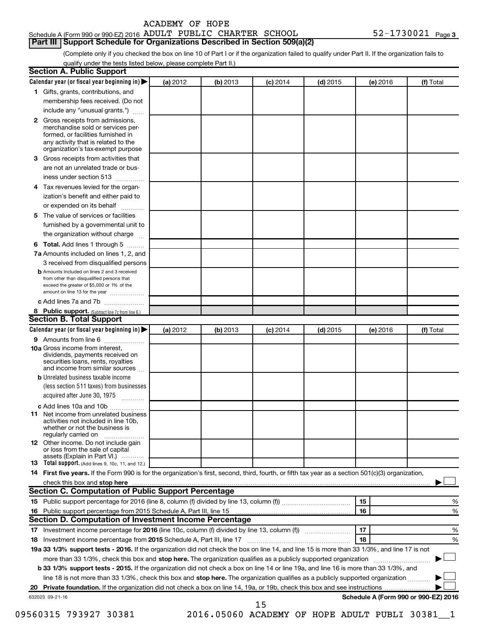| ACADEMY OF HOPE |  |  |
|-----------------|--|--|
|-----------------|--|--|

# Schedule A (Form 990 or 990-EZ) 2016 ADULT PUBLIC CHARTER SCHOOL  $$52-1730021$   $_{\rm Page}$ **Part III Support Schedule for Organizations Described in Section 509(a)(2)**

(Complete only if you checked the box on line 10 of Part I or if the organization failed to qualify under Part II. If the organization fails to qualify under the tests listed below, please complete Part II.)

| Calendar year (or fiscal year beginning in)                                                                                                                                                                                   | (a) 2012 | (b) 2013 | $(c)$ 2014 | $(d)$ 2015 | (e) 2016 | (f) Total                            |
|-------------------------------------------------------------------------------------------------------------------------------------------------------------------------------------------------------------------------------|----------|----------|------------|------------|----------|--------------------------------------|
| 1 Gifts, grants, contributions, and                                                                                                                                                                                           |          |          |            |            |          |                                      |
| membership fees received. (Do not                                                                                                                                                                                             |          |          |            |            |          |                                      |
| include any "unusual grants.")                                                                                                                                                                                                |          |          |            |            |          |                                      |
| 2 Gross receipts from admissions,                                                                                                                                                                                             |          |          |            |            |          |                                      |
| merchandise sold or services per-                                                                                                                                                                                             |          |          |            |            |          |                                      |
| formed, or facilities furnished in<br>any activity that is related to the                                                                                                                                                     |          |          |            |            |          |                                      |
| organization's tax-exempt purpose                                                                                                                                                                                             |          |          |            |            |          |                                      |
| Gross receipts from activities that<br>з                                                                                                                                                                                      |          |          |            |            |          |                                      |
| are not an unrelated trade or bus-                                                                                                                                                                                            |          |          |            |            |          |                                      |
| iness under section 513                                                                                                                                                                                                       |          |          |            |            |          |                                      |
| Tax revenues levied for the organ-<br>4                                                                                                                                                                                       |          |          |            |            |          |                                      |
| ization's benefit and either paid to                                                                                                                                                                                          |          |          |            |            |          |                                      |
| or expended on its behalf<br>.                                                                                                                                                                                                |          |          |            |            |          |                                      |
| The value of services or facilities<br>5                                                                                                                                                                                      |          |          |            |            |          |                                      |
| furnished by a governmental unit to                                                                                                                                                                                           |          |          |            |            |          |                                      |
| the organization without charge                                                                                                                                                                                               |          |          |            |            |          |                                      |
| Total. Add lines 1 through 5<br>6                                                                                                                                                                                             |          |          |            |            |          |                                      |
| 7a Amounts included on lines 1, 2, and                                                                                                                                                                                        |          |          |            |            |          |                                      |
| 3 received from disqualified persons                                                                                                                                                                                          |          |          |            |            |          |                                      |
| <b>b</b> Amounts included on lines 2 and 3 received                                                                                                                                                                           |          |          |            |            |          |                                      |
| from other than disqualified persons that<br>exceed the greater of \$5,000 or 1% of the                                                                                                                                       |          |          |            |            |          |                                      |
| amount on line 13 for the year                                                                                                                                                                                                |          |          |            |            |          |                                      |
| c Add lines 7a and 7b                                                                                                                                                                                                         |          |          |            |            |          |                                      |
| 8 Public support. (Subtract line 7c from line 6.)                                                                                                                                                                             |          |          |            |            |          |                                      |
| <b>Section B. Total Support</b>                                                                                                                                                                                               |          |          |            |            |          |                                      |
| Calendar year (or fiscal year beginning in)                                                                                                                                                                                   | (a) 2012 | (b) 2013 | $(c)$ 2014 | $(d)$ 2015 | (e) 2016 | (f) Total                            |
| 9 Amounts from line 6                                                                                                                                                                                                         |          |          |            |            |          |                                      |
| <b>10a</b> Gross income from interest,<br>dividends, payments received on<br>securities loans, rents, royalties<br>and income from similar sources                                                                            |          |          |            |            |          |                                      |
| <b>b</b> Unrelated business taxable income                                                                                                                                                                                    |          |          |            |            |          |                                      |
| (less section 511 taxes) from businesses                                                                                                                                                                                      |          |          |            |            |          |                                      |
| acquired after June 30, 1975                                                                                                                                                                                                  |          |          |            |            |          |                                      |
|                                                                                                                                                                                                                               |          |          |            |            |          |                                      |
| c Add lines 10a and 10b<br><b>11</b> Net income from unrelated business                                                                                                                                                       |          |          |            |            |          |                                      |
| activities not included in line 10b.<br>whether or not the business is<br>regularly carried on                                                                                                                                |          |          |            |            |          |                                      |
| 12 Other income. Do not include gain                                                                                                                                                                                          |          |          |            |            |          |                                      |
| or loss from the sale of capital                                                                                                                                                                                              |          |          |            |            |          |                                      |
| assets (Explain in Part VI.)<br>13 Total support. (Add lines 9, 10c, 11, and 12.)                                                                                                                                             |          |          |            |            |          |                                      |
| 14 First five years. If the Form 990 is for the organization's first, second, third, fourth, or fifth tax year as a section 501(c)(3) organization,                                                                           |          |          |            |            |          |                                      |
| check this box and stop here measurements and the contract of the state of the state of the state of the state of the state of the state of the state of the state of the state of the state of the state of the state of the |          |          |            |            |          |                                      |
| Section C. Computation of Public Support Percentage                                                                                                                                                                           |          |          |            |            |          |                                      |
|                                                                                                                                                                                                                               |          |          |            |            | 15       | %                                    |
|                                                                                                                                                                                                                               |          |          |            |            | 16       | %                                    |
| Section D. Computation of Investment Income Percentage                                                                                                                                                                        |          |          |            |            |          |                                      |
|                                                                                                                                                                                                                               |          |          |            |            | 17       | %                                    |
| 18                                                                                                                                                                                                                            |          |          |            |            | 18       | %                                    |
| 19a 33 1/3% support tests - 2016. If the organization did not check the box on line 14, and line 15 is more than 33 1/3%, and line 17 is not                                                                                  |          |          |            |            |          |                                      |
| more than 33 1/3%, check this box and stop here. The organization qualifies as a publicly supported organization <i>marroummanness</i>                                                                                        |          |          |            |            |          |                                      |
|                                                                                                                                                                                                                               |          |          |            |            |          |                                      |
|                                                                                                                                                                                                                               |          |          |            |            |          |                                      |
| b 33 1/3% support tests - 2015. If the organization did not check a box on line 14 or line 19a, and line 16 is more than 33 1/3%, and                                                                                         |          |          |            |            |          |                                      |
| line 18 is not more than 33 1/3%, check this box and stop here. The organization qualifies as a publicly supported organization                                                                                               |          |          |            |            |          |                                      |
|                                                                                                                                                                                                                               |          |          |            |            |          |                                      |
| 632023 09-21-16                                                                                                                                                                                                               |          |          | 15         |            |          | Schedule A (Form 990 or 990-EZ) 2016 |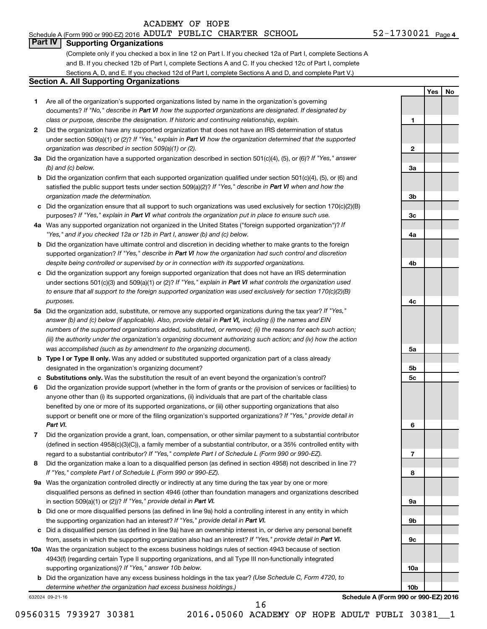# Schedule A (Form 990 or 990-EZ) 2016 ADULT PUBLIC CHARTER SCHOOL  $$52-1730021$   $_{\rm Page}$

**1**

**Yes No**

# **Part IV Supporting Organizations**

(Complete only if you checked a box in line 12 on Part I. If you checked 12a of Part I, complete Sections A and B. If you checked 12b of Part I, complete Sections A and C. If you checked 12c of Part I, complete Sections A, D, and E. If you checked 12d of Part I, complete Sections A and D, and complete Part V.)

# **Section A. All Supporting Organizations**

- **1** Are all of the organization's supported organizations listed by name in the organization's governing documents? If "No," describe in Part VI how the supported organizations are designated. If designated by *class or purpose, describe the designation. If historic and continuing relationship, explain.*
- **2** Did the organization have any supported organization that does not have an IRS determination of status under section 509(a)(1) or (2)? If "Yes," explain in Part VI how the organization determined that the supported *organization was described in section 509(a)(1) or (2).*
- **3a** Did the organization have a supported organization described in section 501(c)(4), (5), or (6)? If "Yes," answer *(b) and (c) below.*
- **b** Did the organization confirm that each supported organization qualified under section 501(c)(4), (5), or (6) and satisfied the public support tests under section 509(a)(2)? If "Yes," describe in Part VI when and how the *organization made the determination.*
- **c** Did the organization ensure that all support to such organizations was used exclusively for section 170(c)(2)(B) purposes? If "Yes," explain in Part VI what controls the organization put in place to ensure such use.
- **4 a** *If* Was any supported organization not organized in the United States ("foreign supported organization")? *"Yes," and if you checked 12a or 12b in Part I, answer (b) and (c) below.*
- **b** Did the organization have ultimate control and discretion in deciding whether to make grants to the foreign supported organization? If "Yes," describe in Part VI how the organization had such control and discretion *despite being controlled or supervised by or in connection with its supported organizations.*
- **c** Did the organization support any foreign supported organization that does not have an IRS determination under sections 501(c)(3) and 509(a)(1) or (2)? If "Yes," explain in Part VI what controls the organization used *to ensure that all support to the foreign supported organization was used exclusively for section 170(c)(2)(B) purposes.*
- **5a** Did the organization add, substitute, or remove any supported organizations during the tax year? If "Yes," answer (b) and (c) below (if applicable). Also, provide detail in Part VI, including (i) the names and EIN *numbers of the supported organizations added, substituted, or removed; (ii) the reasons for each such action; (iii) the authority under the organization's organizing document authorizing such action; and (iv) how the action was accomplished (such as by amendment to the organizing document).*
- **b Type I or Type II only.** Was any added or substituted supported organization part of a class already designated in the organization's organizing document?
- **c Substitutions only.**  Was the substitution the result of an event beyond the organization's control?
- **6** Did the organization provide support (whether in the form of grants or the provision of services or facilities) to support or benefit one or more of the filing organization's supported organizations? If "Yes," provide detail in anyone other than (i) its supported organizations, (ii) individuals that are part of the charitable class benefited by one or more of its supported organizations, or (iii) other supporting organizations that also *Part VI.*
- **7** Did the organization provide a grant, loan, compensation, or other similar payment to a substantial contributor regard to a substantial contributor? If "Yes," complete Part I of Schedule L (Form 990 or 990-EZ). (defined in section 4958(c)(3)(C)), a family member of a substantial contributor, or a 35% controlled entity with
- **8** Did the organization make a loan to a disqualified person (as defined in section 4958) not described in line 7? *If "Yes," complete Part I of Schedule L (Form 990 or 990-EZ).*
- **9 a** Was the organization controlled directly or indirectly at any time during the tax year by one or more in section 509(a)(1) or (2))? If "Yes," provide detail in Part VI. disqualified persons as defined in section 4946 (other than foundation managers and organizations described
- **b** Did one or more disqualified persons (as defined in line 9a) hold a controlling interest in any entity in which the supporting organization had an interest? If "Yes," provide detail in Part VI.
- **c** Did a disqualified person (as defined in line 9a) have an ownership interest in, or derive any personal benefit from, assets in which the supporting organization also had an interest? If "Yes," provide detail in Part VI.
- **10 a** Was the organization subject to the excess business holdings rules of section 4943 because of section supporting organizations)? If "Yes," answer 10b below. 4943(f) (regarding certain Type II supporting organizations, and all Type III non-functionally integrated
	- **b** Did the organization have any excess business holdings in the tax year? (Use Schedule C, Form 4720, to *determine whether the organization had excess business holdings.)*

632024 09-21-16

**Schedule A (Form 990 or 990-EZ) 2016**

16

**2 3a 3b 3c 4a 4b 4c 5a 5b 5c 6 7 8 9a 9b 9c 10a 10b**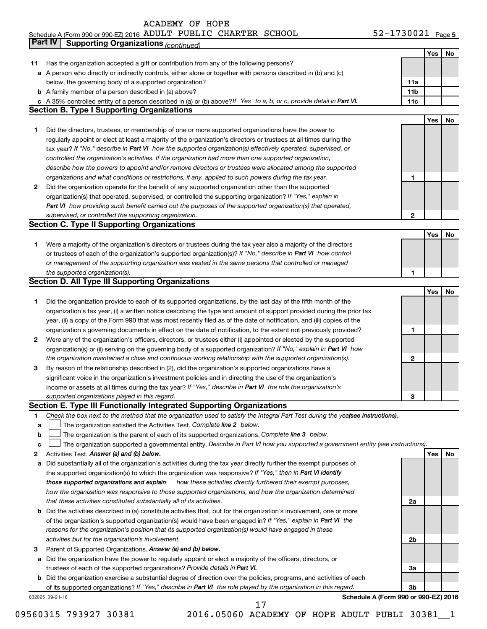#### Schedule A (Form 990 or 990-EZ) 2016 ADULT PUBLIC CHARTER SCHOOL 5 Z = 1 / 3 U U Z L Page ADULT PUBLIC CHARTER SCHOOL 52-1730021

|             | Part IV<br><b>Supporting Organizations (continued)</b>                                                                          |                 |     |    |
|-------------|---------------------------------------------------------------------------------------------------------------------------------|-----------------|-----|----|
|             |                                                                                                                                 |                 | Yes | No |
| 11          | Has the organization accepted a gift or contribution from any of the following persons?                                         |                 |     |    |
|             | a A person who directly or indirectly controls, either alone or together with persons described in (b) and (c)                  |                 |     |    |
|             | below, the governing body of a supported organization?                                                                          | 11a             |     |    |
|             | <b>b</b> A family member of a person described in (a) above?                                                                    | 11 <sub>b</sub> |     |    |
|             | c A 35% controlled entity of a person described in (a) or (b) above? If "Yes" to a, b, or c, provide detail in Part VI.         | 11c             |     |    |
|             | <b>Section B. Type I Supporting Organizations</b>                                                                               |                 |     |    |
|             |                                                                                                                                 |                 | Yes | No |
|             |                                                                                                                                 |                 |     |    |
| 1           | Did the directors, trustees, or membership of one or more supported organizations have the power to                             |                 |     |    |
|             | regularly appoint or elect at least a majority of the organization's directors or trustees at all times during the              |                 |     |    |
|             | tax year? If "No," describe in Part VI how the supported organization(s) effectively operated, supervised, or                   |                 |     |    |
|             | controlled the organization's activities. If the organization had more than one supported organization,                         |                 |     |    |
|             | describe how the powers to appoint and/or remove directors or trustees were allocated among the supported                       |                 |     |    |
|             | organizations and what conditions or restrictions, if any, applied to such powers during the tax year.                          | 1               |     |    |
| 2           | Did the organization operate for the benefit of any supported organization other than the supported                             |                 |     |    |
|             | organization(s) that operated, supervised, or controlled the supporting organization? If "Yes," explain in                      |                 |     |    |
|             | Part VI how providing such benefit carried out the purposes of the supported organization(s) that operated,                     |                 |     |    |
|             | supervised, or controlled the supporting organization.                                                                          | 2               |     |    |
|             | <b>Section C. Type II Supporting Organizations</b>                                                                              |                 |     |    |
|             |                                                                                                                                 |                 | Yes | No |
| 1           | Were a majority of the organization's directors or trustees during the tax year also a majority of the directors                |                 |     |    |
|             | or trustees of each of the organization's supported organization(s)? If "No," describe in Part VI how control                   |                 |     |    |
|             | or management of the supporting organization was vested in the same persons that controlled or managed                          |                 |     |    |
|             | the supported organization(s).                                                                                                  | 1               |     |    |
|             | <b>Section D. All Type III Supporting Organizations</b>                                                                         |                 |     |    |
|             |                                                                                                                                 |                 | Yes | No |
|             |                                                                                                                                 |                 |     |    |
| 1           | Did the organization provide to each of its supported organizations, by the last day of the fifth month of the                  |                 |     |    |
|             | organization's tax year, (i) a written notice describing the type and amount of support provided during the prior tax           |                 |     |    |
|             | year, (ii) a copy of the Form 990 that was most recently filed as of the date of notification, and (iii) copies of the          |                 |     |    |
|             | organization's governing documents in effect on the date of notification, to the extent not previously provided?                | 1               |     |    |
| 2           | Were any of the organization's officers, directors, or trustees either (i) appointed or elected by the supported                |                 |     |    |
|             | organization(s) or (ii) serving on the governing body of a supported organization? If "No," explain in Part VI how              |                 |     |    |
|             | the organization maintained a close and continuous working relationship with the supported organization(s).                     | 2               |     |    |
| 3           | By reason of the relationship described in (2), did the organization's supported organizations have a                           |                 |     |    |
|             | significant voice in the organization's investment policies and in directing the use of the organization's                      |                 |     |    |
|             | income or assets at all times during the tax year? If "Yes," describe in Part VI the role the organization's                    |                 |     |    |
|             | supported organizations played in this regard.                                                                                  | з               |     |    |
|             | Section E. Type III Functionally Integrated Supporting Organizations                                                            |                 |     |    |
| 1           | Check the box next to the method that the organization used to satisfy the Integral Part Test during the yealsee instructions). |                 |     |    |
| a           | The organization satisfied the Activities Test. Complete line 2 below.                                                          |                 |     |    |
| $\mathbf b$ | The organization is the parent of each of its supported organizations. Complete line 3 below.                                   |                 |     |    |
| c           | The organization supported a governmental entity. Describe in Part VI how you supported a government entity (see instructions). |                 |     |    |
| 2           | Activities Test. Answer (a) and (b) below.                                                                                      |                 | Yes | No |
| а           | Did substantially all of the organization's activities during the tax year directly further the exempt purposes of              |                 |     |    |
|             | the supported organization(s) to which the organization was responsive? If "Yes," then in Part VI identify                      |                 |     |    |
|             | how these activities directly furthered their exempt purposes,<br>those supported organizations and explain                     |                 |     |    |
|             | how the organization was responsive to those supported organizations, and how the organization determined                       |                 |     |    |
|             | that these activities constituted substantially all of its activities.                                                          | 2a              |     |    |
|             | b Did the activities described in (a) constitute activities that, but for the organization's involvement, one or more           |                 |     |    |
|             |                                                                                                                                 |                 |     |    |
|             | of the organization's supported organization(s) would have been engaged in? If "Yes," explain in Part VI the                    |                 |     |    |
|             | reasons for the organization's position that its supported organization(s) would have engaged in these                          |                 |     |    |
|             | activities but for the organization's involvement.                                                                              | 2b              |     |    |
| З           | Parent of Supported Organizations. Answer (a) and (b) below.                                                                    |                 |     |    |
| а           | Did the organization have the power to regularly appoint or elect a majority of the officers, directors, or                     |                 |     |    |
|             | trustees of each of the supported organizations? Provide details in Part VI.                                                    | За              |     |    |
|             | <b>b</b> Did the organization exercise a substantial degree of direction over the policies, programs, and activities of each    |                 |     |    |
|             | of its supported organizations? If "Yes," describe in Part VI the role played by the organization in this regard.               | 3b              |     |    |
|             | Schedule A (Form 990 or 990-EZ) 2016<br>632025 09-21-16                                                                         |                 |     |    |

09560315 793927 30381 2016.05060 ACADEMY OF HOPE ADULT PUBLI 30381\_1 17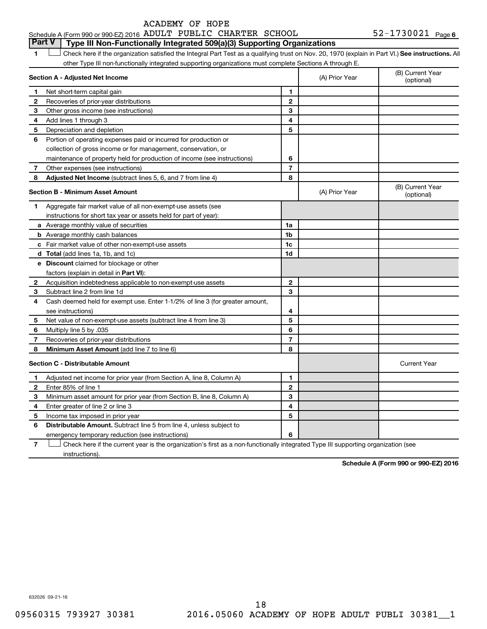52-1730021 <sub>Page 6</sub> **1 Letter or if the organization satisfied the Integral Part Test as a qualifying trust on Nov. 20, 1970 (explain in Part VI.) See instructions. All Section A - Adjusted Net Income 1 2 3 4 5 6 7 8 1 2 3 4 5 6 7 Adjusted Net Income** (subtract lines 5, 6, and 7 from line 4) **8 8 Section B - Minimum Asset Amount 1 2 3 4 5 6 7 8 a** Average monthly value of securities **b** Average monthly cash balances **c** Fair market value of other non-exempt-use assets **d Total**  (add lines 1a, 1b, and 1c) **e Discount** claimed for blockage or other **1a 1b 1c 1d 2 3 4 5 6 7 8** factors (explain in detail in Part VI): **Minimum Asset Amount**  (add line 7 to line 6) **Section C - Distributable Amount 1 2 3 4 5 6 1 2 3 4 5 6** Distributable Amount. Subtract line 5 from line 4, unless subject to Schedule A (Form 990 or 990-EZ) 2016 ADULT PUBLIC CHARTER SCHOOL  $$52-1730021$   $_{\rm Page}$ other Type III non-functionally integrated supporting organizations must complete Sections A through E. (B) Current Year (A) Prior Year Net short-term capital gain Recoveries of prior-year distributions Other gross income (see instructions) Add lines 1 through 3 Depreciation and depletion Portion of operating expenses paid or incurred for production or collection of gross income or for management, conservation, or maintenance of property held for production of income (see instructions) Other expenses (see instructions) (B) Current Year  $(A)$  Prior Year  $\left\{\n\begin{array}{ccc}\n\end{array}\n\right\}$  (optional) Aggregate fair market value of all non-exempt-use assets (see instructions for short tax year or assets held for part of year): Acquisition indebtedness applicable to non-exempt-use assets Subtract line 2 from line 1d Cash deemed held for exempt use. Enter 1-1/2% of line 3 (for greater amount, see instructions) Net value of non-exempt-use assets (subtract line 4 from line 3) Multiply line 5 by .035 Recoveries of prior-year distributions Current Year Adjusted net income for prior year (from Section A, line 8, Column A) Enter 85% of line 1 Minimum asset amount for prior year (from Section B, line 8, Column A) Enter greater of line 2 or line 3 Income tax imposed in prior year emergency temporary reduction (see instructions) **Part V Type III Non-Functionally Integrated 509(a)(3) Supporting Organizations**   $\Box$ 

**7** Check here if the current year is the organization's first as a non-functionally integrated Type III supporting organization (see † instructions).

**Schedule A (Form 990 or 990-EZ) 2016**

632026 09-21-16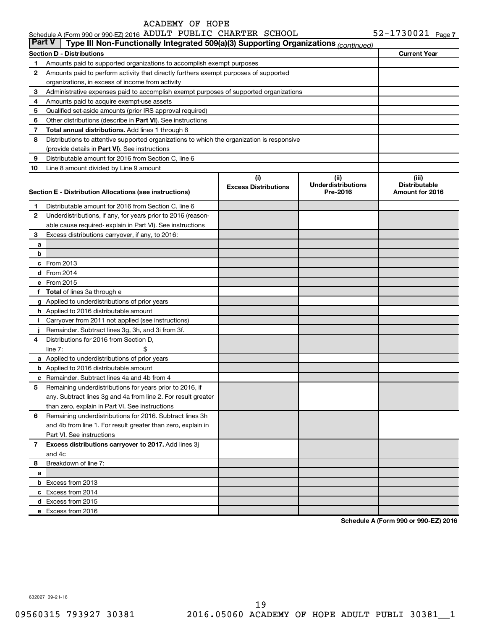#### **Section D - Distributions Current Year 1 2 3 4 5 6 7 8 9 10** Other distributions (describe in Part VI). See instructions **Total annual distributions.** Add lines 1 through 6 (provide details in Part VI). See instructions **(i) Excess Distributions (ii) Underdistributions Pre-2016 (iii) Distributable Section E - Distribution Allocations (see instructions) 1 2 3 4 5 6** Remaining underdistributions for 2016. Subtract lines 3h **7 8** Breakdown of line 7: **a b c** From 2013 **d** From 2014 **e** From 2015 **f Total**  of lines 3a through e **g** Applied to underdistributions of prior years **h** Applied to 2016 distributable amount **i** Carryover from 2011 not applied (see instructions) **j a** Applied to underdistributions of prior years **b** Applied to 2016 distributable amount **c** Remainder. Subtract lines 4a and 4b from 4 **Excess distributions carryover to 2017.**  Add lines 3j **a b** Excess from 2013 **c** Excess from 2014 **d** Excess from 2015 **e** Excess from 2016 Schedule A (Form 990 or 990-EZ) 2016 ADULT PUBLIC CHARTER SCHOOL  $$52-1730021$   $_{\rm Page}$ Amounts paid to supported organizations to accomplish exempt purposes Amounts paid to perform activity that directly furthers exempt purposes of supported organizations, in excess of income from activity Administrative expenses paid to accomplish exempt purposes of supported organizations Amounts paid to acquire exempt-use assets Qualified set-aside amounts (prior IRS approval required) Distributions to attentive supported organizations to which the organization is responsive Distributable amount for 2016 from Section C, line 6 Line 8 amount divided by Line 9 amount Distributable amount for 2016 from Section C, line 6 Underdistributions, if any, for years prior to 2016 (reasonable cause required- explain in Part VI). See instructions Excess distributions carryover, if any, to 2016: Remainder. Subtract lines 3g, 3h, and 3i from 3f. Distributions for 2016 from Section D,  $line 7:$   $\$ Remaining underdistributions for years prior to 2016, if any. Subtract lines 3g and 4a from line 2. For result greater than zero, explain in Part VI. See instructions and 4b from line 1. For result greater than zero, explain in Part VI. See instructions and 4c **Part V Type III Non-Functionally Integrated 509(a)(3) Supporting Organizations** *(continued)*

**Schedule A (Form 990 or 990-EZ) 2016**

632027 09-21-16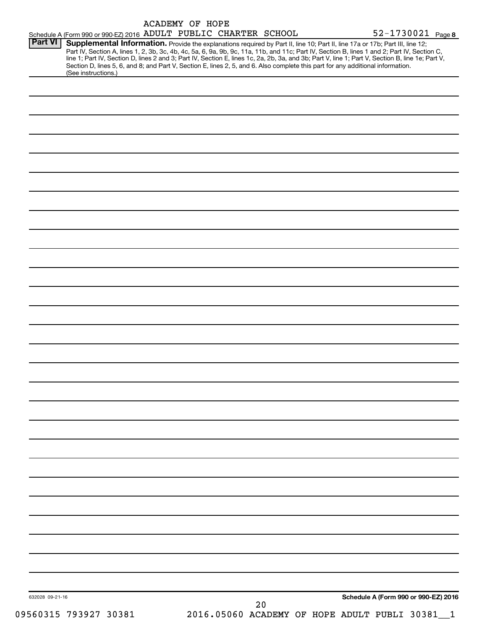|                 | Schedule A (Form 990 or 990-EZ) 2016 ADULT PUBLIC CHARTER SCHOOL                                                                                                                                                                                                                                                                                                                                                                                                                                                                                                                            | <b>ACADEMY OF HOPE</b> |  |    |  | 52-1730021 Page 8                    |  |
|-----------------|---------------------------------------------------------------------------------------------------------------------------------------------------------------------------------------------------------------------------------------------------------------------------------------------------------------------------------------------------------------------------------------------------------------------------------------------------------------------------------------------------------------------------------------------------------------------------------------------|------------------------|--|----|--|--------------------------------------|--|
| <b>Part VI</b>  | Supplemental Information. Provide the explanations required by Part II, line 10; Part II, line 17a or 17b; Part III, line 12;<br>Part IV, Section A, lines 1, 2, 3b, 3c, 4b, 4c, 5a, 6, 9a, 9b, 9c, 11a, 11b, and 11c; Part IV, Section B, lines 1 and 2; Part IV, Section C,<br>line 1; Part IV, Section D, lines 2 and 3; Part IV, Section E, lines 1c, 2a, 2b, 3a, and 3b; Part V, line 1; Part V, Section B, line 1e; Part V,<br>Section D, lines 5, 6, and 8; and Part V, Section E, lines 2, 5, and 6. Also complete this part for any additional information.<br>(See instructions.) |                        |  |    |  |                                      |  |
|                 |                                                                                                                                                                                                                                                                                                                                                                                                                                                                                                                                                                                             |                        |  |    |  |                                      |  |
|                 |                                                                                                                                                                                                                                                                                                                                                                                                                                                                                                                                                                                             |                        |  |    |  |                                      |  |
|                 |                                                                                                                                                                                                                                                                                                                                                                                                                                                                                                                                                                                             |                        |  |    |  |                                      |  |
|                 |                                                                                                                                                                                                                                                                                                                                                                                                                                                                                                                                                                                             |                        |  |    |  |                                      |  |
|                 |                                                                                                                                                                                                                                                                                                                                                                                                                                                                                                                                                                                             |                        |  |    |  |                                      |  |
|                 |                                                                                                                                                                                                                                                                                                                                                                                                                                                                                                                                                                                             |                        |  |    |  |                                      |  |
|                 |                                                                                                                                                                                                                                                                                                                                                                                                                                                                                                                                                                                             |                        |  |    |  |                                      |  |
|                 |                                                                                                                                                                                                                                                                                                                                                                                                                                                                                                                                                                                             |                        |  |    |  |                                      |  |
|                 |                                                                                                                                                                                                                                                                                                                                                                                                                                                                                                                                                                                             |                        |  |    |  |                                      |  |
|                 |                                                                                                                                                                                                                                                                                                                                                                                                                                                                                                                                                                                             |                        |  |    |  |                                      |  |
|                 |                                                                                                                                                                                                                                                                                                                                                                                                                                                                                                                                                                                             |                        |  |    |  |                                      |  |
|                 |                                                                                                                                                                                                                                                                                                                                                                                                                                                                                                                                                                                             |                        |  |    |  |                                      |  |
|                 |                                                                                                                                                                                                                                                                                                                                                                                                                                                                                                                                                                                             |                        |  |    |  |                                      |  |
|                 |                                                                                                                                                                                                                                                                                                                                                                                                                                                                                                                                                                                             |                        |  |    |  |                                      |  |
|                 |                                                                                                                                                                                                                                                                                                                                                                                                                                                                                                                                                                                             |                        |  |    |  |                                      |  |
|                 |                                                                                                                                                                                                                                                                                                                                                                                                                                                                                                                                                                                             |                        |  |    |  |                                      |  |
|                 |                                                                                                                                                                                                                                                                                                                                                                                                                                                                                                                                                                                             |                        |  |    |  |                                      |  |
|                 |                                                                                                                                                                                                                                                                                                                                                                                                                                                                                                                                                                                             |                        |  |    |  |                                      |  |
|                 |                                                                                                                                                                                                                                                                                                                                                                                                                                                                                                                                                                                             |                        |  |    |  |                                      |  |
|                 |                                                                                                                                                                                                                                                                                                                                                                                                                                                                                                                                                                                             |                        |  |    |  |                                      |  |
|                 |                                                                                                                                                                                                                                                                                                                                                                                                                                                                                                                                                                                             |                        |  |    |  |                                      |  |
|                 |                                                                                                                                                                                                                                                                                                                                                                                                                                                                                                                                                                                             |                        |  |    |  |                                      |  |
|                 |                                                                                                                                                                                                                                                                                                                                                                                                                                                                                                                                                                                             |                        |  |    |  |                                      |  |
|                 |                                                                                                                                                                                                                                                                                                                                                                                                                                                                                                                                                                                             |                        |  |    |  |                                      |  |
|                 |                                                                                                                                                                                                                                                                                                                                                                                                                                                                                                                                                                                             |                        |  |    |  |                                      |  |
|                 |                                                                                                                                                                                                                                                                                                                                                                                                                                                                                                                                                                                             |                        |  |    |  |                                      |  |
|                 |                                                                                                                                                                                                                                                                                                                                                                                                                                                                                                                                                                                             |                        |  |    |  |                                      |  |
|                 |                                                                                                                                                                                                                                                                                                                                                                                                                                                                                                                                                                                             |                        |  |    |  |                                      |  |
|                 |                                                                                                                                                                                                                                                                                                                                                                                                                                                                                                                                                                                             |                        |  |    |  |                                      |  |
|                 |                                                                                                                                                                                                                                                                                                                                                                                                                                                                                                                                                                                             |                        |  |    |  |                                      |  |
| 632028 09-21-16 |                                                                                                                                                                                                                                                                                                                                                                                                                                                                                                                                                                                             |                        |  | 20 |  | Schedule A (Form 990 or 990-EZ) 2016 |  |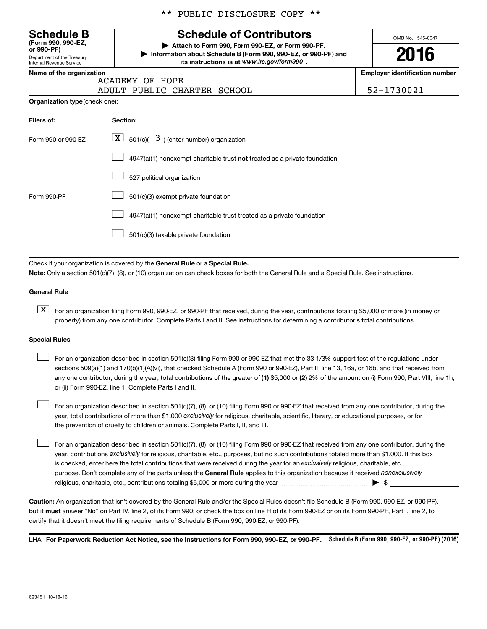**(Form 990, 990-EZ,**

Department of the Treasury Internal Revenue Service

# \*\* PUBLIC DISCLOSURE COPY \*\*

# **Schedule B Schedule of Contributors**

**or 990-PF) | Attach to Form 990, Form 990-EZ, or Form 990-PF. | Information about Schedule B (Form 990, 990-EZ, or 990-PF) and** its instructions is at www.irs.gov/form990.

OMB No. 1545-0047

**2016**

**Name of the organization Employer identification number**

ACADEMY OF HOPE

|                                       | ADULT PUBLIC CHARTER SCHOOL |  |
|---------------------------------------|-----------------------------|--|
| <b>Organization type</b> (check one): |                             |  |

| 52-1730021 |  |
|------------|--|

| Filers of:         | Section:                                                                           |
|--------------------|------------------------------------------------------------------------------------|
| Form 990 or 990-EZ | $ \underline{X} $ 501(c)( 3) (enter number) organization                           |
|                    | $4947(a)(1)$ nonexempt charitable trust <b>not</b> treated as a private foundation |
|                    | 527 political organization                                                         |
| Form 990-PF        | 501(c)(3) exempt private foundation                                                |
|                    | 4947(a)(1) nonexempt charitable trust treated as a private foundation              |
|                    | 501(c)(3) taxable private foundation                                               |

Check if your organization is covered by the General Rule or a Special Rule.

**Note:**  Only a section 501(c)(7), (8), or (10) organization can check boxes for both the General Rule and a Special Rule. See instructions.

## **General Rule**

**K** For an organization filing Form 990, 990-EZ, or 990-PF that received, during the year, contributions totaling \$5,000 or more (in money or property) from any one contributor. Complete Parts I and II. See instructions for determining a contributor's total contributions.

#### **Special Rules**

 $\Box$ 

any one contributor, during the year, total contributions of the greater of **(1)** \$5,000 or **(2)** 2% of the amount on (i) Form 990, Part VIII, line 1h, For an organization described in section 501(c)(3) filing Form 990 or 990-EZ that met the 33 1/3% support test of the regulations under sections 509(a)(1) and 170(b)(1)(A)(vi), that checked Schedule A (Form 990 or 990-EZ), Part II, line 13, 16a, or 16b, and that received from or (ii) Form 990-EZ, line 1. Complete Parts I and II.  $\Box$ 

year, total contributions of more than \$1,000 *exclusively* for religious, charitable, scientific, literary, or educational purposes, or for For an organization described in section 501(c)(7), (8), or (10) filing Form 990 or 990-EZ that received from any one contributor, during the the prevention of cruelty to children or animals. Complete Parts I, II, and III.  $\Box$ 

purpose. Don't complete any of the parts unless the General Rule applies to this organization because it received nonexclusively year, contributions exclusively for religious, charitable, etc., purposes, but no such contributions totaled more than \$1,000. If this box is checked, enter here the total contributions that were received during the year for an exclusively religious, charitable, etc., For an organization described in section 501(c)(7), (8), or (10) filing Form 990 or 990-EZ that received from any one contributor, during the religious, charitable, etc., contributions totaling \$5,000 or more during the year  $\ldots$  $\ldots$  $\ldots$  $\ldots$  $\ldots$  $\ldots$ 

**Caution:**  An organization that isn't covered by the General Rule and/or the Special Rules doesn't file Schedule B (Form 990, 990-EZ, or 990-PF),  **must** but it answer "No" on Part IV, line 2, of its Form 990; or check the box on line H of its Form 990-EZ or on its Form 990-PF, Part I, line 2, to certify that it doesn't meet the filing requirements of Schedule B (Form 990, 990-EZ, or 990-PF).

LHA For Paperwork Reduction Act Notice, see the Instructions for Form 990, 990-EZ, or 990-PF. Schedule B (Form 990, 990-EZ, or 990-PF) (2016)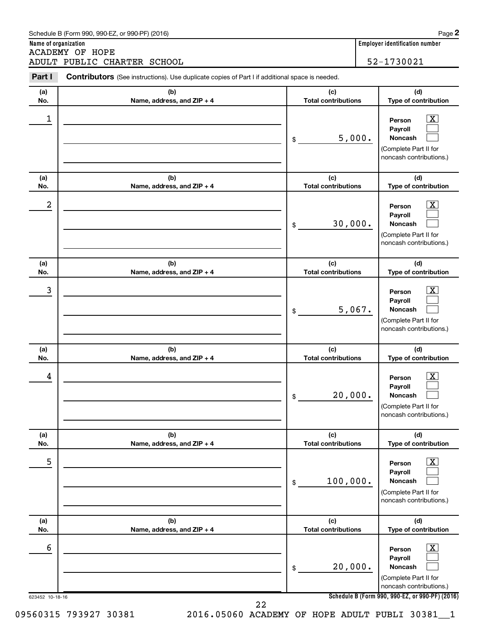|            | ADULT PUBLIC CHARTER SCHOOL                                                                           |                                   | 52-1730021                                                                                                       |
|------------|-------------------------------------------------------------------------------------------------------|-----------------------------------|------------------------------------------------------------------------------------------------------------------|
| Part I     | <b>Contributors</b> (See instructions). Use duplicate copies of Part I if additional space is needed. |                                   |                                                                                                                  |
| (a)<br>No. | (b)<br>Name, address, and ZIP + 4                                                                     | (c)<br><b>Total contributions</b> | (d)<br>Type of contribution                                                                                      |
| 1          |                                                                                                       | 5,000.<br>\$                      | $\mathbf{X}$<br>Person<br>Payroll<br><b>Noncash</b><br>(Complete Part II for<br>noncash contributions.)          |
| (a)<br>No. | (b)<br>Name, address, and ZIP + 4                                                                     | (c)<br><b>Total contributions</b> | (d)<br>Type of contribution                                                                                      |
| 2          |                                                                                                       | 30,000.<br>\$                     | $\overline{\text{X}}$<br>Person<br>Payroll<br><b>Noncash</b><br>(Complete Part II for<br>noncash contributions.) |
| (a)<br>No. | (b)<br>Name, address, and ZIP + 4                                                                     | (c)<br><b>Total contributions</b> | (d)<br>Type of contribution                                                                                      |
| 3          |                                                                                                       | 5,067.<br>\$                      | $\overline{\text{X}}$<br>Person<br>Payroll<br><b>Noncash</b><br>(Complete Part II for<br>noncash contributions.) |
| (a)<br>No. | (b)<br>Name, address, and ZIP + 4                                                                     | (c)<br><b>Total contributions</b> | (d)<br>Type of contribution                                                                                      |
| 4          |                                                                                                       | 20,000.<br>\$                     | $\overline{\text{X}}$<br>Person<br>Payroll<br>Noncash<br>(Complete Part II for<br>noncash contributions.)        |
| (a)<br>No. | (b)<br>Name, address, and ZIP + 4                                                                     | (c)<br><b>Total contributions</b> | (d)<br>Type of contribution                                                                                      |
| 5          |                                                                                                       | 100,000.<br>\$                    | $\boxed{\textbf{X}}$<br>Person<br>Payroll<br><b>Noncash</b><br>(Complete Part II for<br>noncash contributions.)  |
| (a)<br>No. | (b)<br>Name, address, and ZIP + 4                                                                     | (c)<br><b>Total contributions</b> | (d)<br>Type of contribution                                                                                      |
| 6          |                                                                                                       | 20,000.<br>\$                     | $\boxed{\textbf{X}}$<br>Person<br>Payroll<br><b>Noncash</b><br>(Complete Part II for<br>noncash contributions.)  |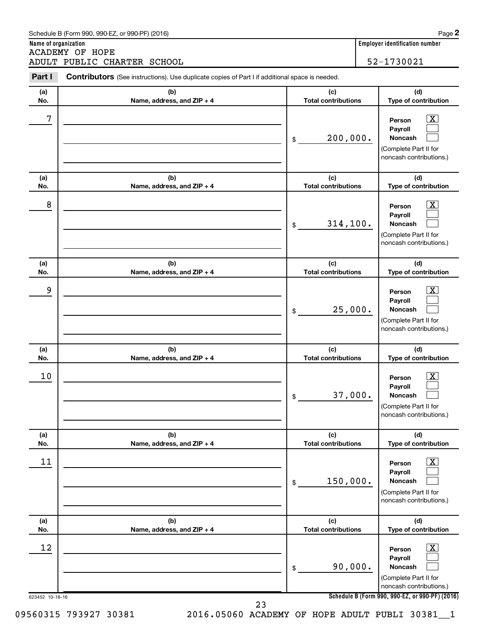|            | ADULT PUBLIC CHARTER SCHOOL                                                                    |                                   | 52-1730021                                                                                                       |
|------------|------------------------------------------------------------------------------------------------|-----------------------------------|------------------------------------------------------------------------------------------------------------------|
| Part I     | Contributors (See instructions). Use duplicate copies of Part I if additional space is needed. |                                   |                                                                                                                  |
| (a)<br>No. | (b)<br>Name, address, and ZIP + 4                                                              | (c)<br><b>Total contributions</b> | (d)<br>Type of contribution                                                                                      |
| 7          |                                                                                                | \$<br>200,000.                    | $\overline{\text{X}}$<br>Person<br>Payroll<br><b>Noncash</b><br>(Complete Part II for<br>noncash contributions.) |
| (a)<br>No. | (b)<br>Name, address, and ZIP + 4                                                              | (c)<br><b>Total contributions</b> | (d)<br>Type of contribution                                                                                      |
| 8          |                                                                                                | \$<br>314, 100.                   | $\overline{\text{X}}$<br>Person<br>Payroll<br><b>Noncash</b><br>(Complete Part II for<br>noncash contributions.) |
| (a)<br>No. | (b)<br>Name, address, and ZIP + 4                                                              | (c)<br><b>Total contributions</b> | (d)<br>Type of contribution                                                                                      |
| 9          |                                                                                                | \$<br>25,000.                     | $\overline{\text{X}}$<br>Person<br>Payroll<br><b>Noncash</b><br>(Complete Part II for<br>noncash contributions.) |
| (a)<br>No. | (b)<br>Name, address, and ZIP + 4                                                              | (c)<br><b>Total contributions</b> | (d)<br>Type of contribution                                                                                      |
| 10         |                                                                                                | \$<br>37,000.                     | $\overline{\text{X}}$<br>Person<br>Payroll<br>Noncash<br>(Complete Part II for<br>noncash contributions.)        |
| (a)<br>No. | (b)<br>Name, address, and ZIP + 4                                                              | (c)<br><b>Total contributions</b> | (d)<br>Type of contribution                                                                                      |
| 11         |                                                                                                | \$<br>150,000.                    | $\overline{\text{X}}$<br>Person<br>Payroll<br>Noncash<br>(Complete Part II for<br>noncash contributions.)        |
| (a)<br>No. | (b)<br>Name, address, and ZIP + 4                                                              | (c)<br><b>Total contributions</b> | (d)<br>Type of contribution                                                                                      |
| 12         |                                                                                                | \$<br>90,000.                     | $\overline{\text{X}}$<br>Person<br>Payroll<br>Noncash<br>(Complete Part II for<br>noncash contributions.)        |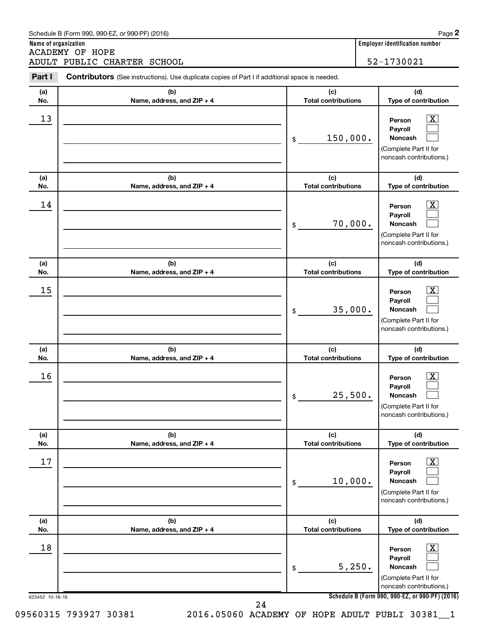|            | ADULT PUBLIC CHARTER SCHOOL                                                                    |                                   | 52-1730021                                                                                   |
|------------|------------------------------------------------------------------------------------------------|-----------------------------------|----------------------------------------------------------------------------------------------|
| Part I     | Contributors (See instructions). Use duplicate copies of Part I if additional space is needed. |                                   |                                                                                              |
| (a)<br>No. | (b)<br>Name, address, and ZIP + 4                                                              | (c)<br><b>Total contributions</b> | (d)<br>Type of contribution                                                                  |
| 13         |                                                                                                | \$<br>150,000.                    | X<br>Person<br>Payroll<br><b>Noncash</b><br>(Complete Part II for<br>noncash contributions.) |
| (a)<br>No. | (b)<br>Name, address, and ZIP + 4                                                              | (c)<br><b>Total contributions</b> | (d)<br>Type of contribution                                                                  |
| 14         |                                                                                                | \$<br>70,000.                     | x<br>Person<br>Pavroll<br><b>Noncash</b><br>(Complete Part II for<br>noncash contributions.) |
| (a)<br>No. | (b)<br>Name, address, and ZIP + 4                                                              | (c)<br><b>Total contributions</b> | (d)<br>Type of contribution                                                                  |
| 15         |                                                                                                | \$<br>35,000.                     | х<br>Person<br>Payroll<br><b>Noncash</b><br>(Complete Part II for<br>noncash contributions.) |
| (a)<br>No. | (b)<br>Name, address, and ZIP + 4                                                              | (c)<br><b>Total contributions</b> | (d)<br>Type of contribution                                                                  |
| 16         |                                                                                                | \$<br>25,500.                     | <u>x</u><br>Person<br>Payroll<br>Noncash<br>(Complete Part II for<br>noncash contributions.) |
| (a)<br>No. | (b)<br>Name, address, and ZIP + 4                                                              | (c)<br><b>Total contributions</b> | (d)<br>Type of contribution                                                                  |
| 17         |                                                                                                | \$<br>10,000.                     | х<br>Person<br>Payroll<br><b>Noncash</b><br>(Complete Part II for<br>noncash contributions.) |
| (a)<br>No. | (b)<br>Name, address, and ZIP + 4                                                              | (c)<br><b>Total contributions</b> | (d)<br>Type of contribution                                                                  |
| 18         |                                                                                                | \$<br>5,250.                      | <u>x</u><br>Person<br>Payroll<br>Noncash<br>(Complete Part II for<br>noncash contributions.) |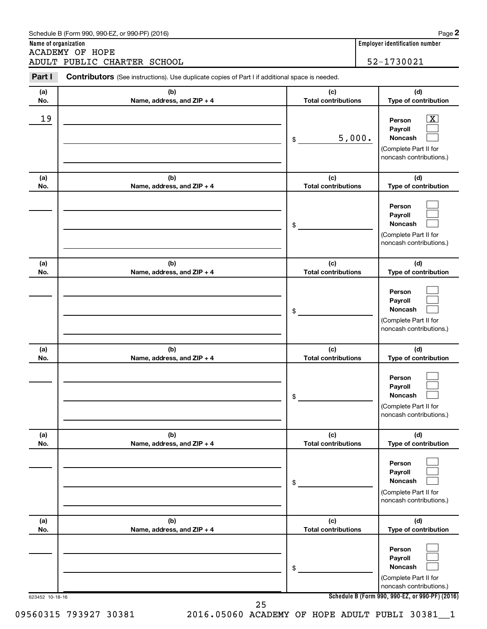|            | ADULT PUBLIC CHARTER SCHOOL                                                                           |                                   | 52-1730021                                                                                   |
|------------|-------------------------------------------------------------------------------------------------------|-----------------------------------|----------------------------------------------------------------------------------------------|
| Part I     | <b>Contributors</b> (See instructions). Use duplicate copies of Part I if additional space is needed. |                                   |                                                                                              |
| (a)<br>No. | (b)<br>Name, address, and ZIP + 4                                                                     | (c)<br><b>Total contributions</b> | (d)<br>Type of contribution                                                                  |
| 19         |                                                                                                       | 5,000.<br>\$                      | х<br>Person<br>Payroll<br><b>Noncash</b><br>(Complete Part II for<br>noncash contributions.) |
| (a)<br>No. | (b)<br>Name, address, and ZIP + 4                                                                     | (c)<br><b>Total contributions</b> | (d)<br>Type of contribution                                                                  |
|            |                                                                                                       | \$                                | Person<br>Payroll<br><b>Noncash</b><br>(Complete Part II for<br>noncash contributions.)      |
| (a)<br>No. | (b)<br>Name, address, and ZIP + 4                                                                     | (c)<br><b>Total contributions</b> | (d)<br>Type of contribution                                                                  |
|            |                                                                                                       | \$                                | Person<br>Payroll<br><b>Noncash</b><br>(Complete Part II for<br>noncash contributions.)      |
| (a)<br>No. | (b)<br>Name, address, and ZIP + 4                                                                     | (c)<br><b>Total contributions</b> | (d)<br>Type of contribution                                                                  |
|            |                                                                                                       | \$                                | Person<br>Payroll<br>Noncash<br>(Complete Part II for<br>noncash contributions.)             |
| (a)<br>No. | (b)<br>Name, address, and ZIP + 4                                                                     | (c)<br><b>Total contributions</b> | (d)<br>Type of contribution                                                                  |
|            |                                                                                                       | \$                                | Person<br>Payroll<br>Noncash<br>(Complete Part II for<br>noncash contributions.)             |
| (a)<br>No. | (b)<br>Name, address, and ZIP + 4                                                                     | (c)<br><b>Total contributions</b> | (d)<br>Type of contribution                                                                  |
|            |                                                                                                       | \$                                | Person<br>Payroll<br>Noncash<br>(Complete Part II for<br>noncash contributions.)             |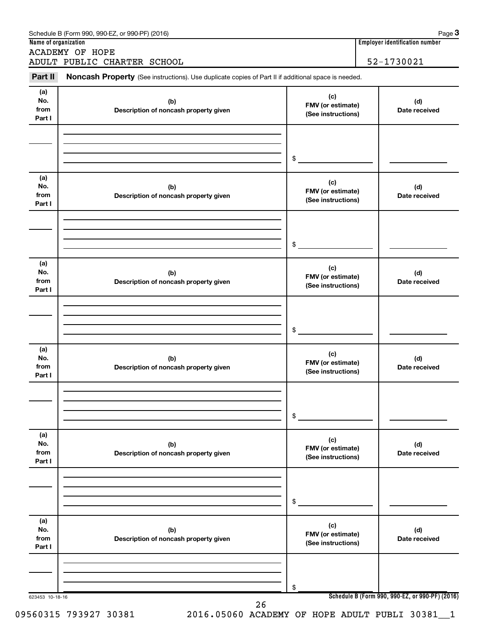| Name of organization<br><b>ACADEMY OF HOPE</b><br>52-1730021<br>ADULT PUBLIC CHARTER SCHOOL<br>Part II<br>Noncash Property (See instructions). Use duplicate copies of Part II if additional space is needed.<br>(a)<br>(c)<br>No.<br>(b)<br>(d)<br>FMV (or estimate)<br>from<br>Description of noncash property given<br>Date received<br>(See instructions)<br>Part I<br>\$<br>(a)<br>(c)<br>No.<br>(b)<br>(d)<br>FMV (or estimate)<br>from<br>Description of noncash property given<br>Date received<br>(See instructions)<br>Part I<br>\$<br>(a)<br>(c)<br>No.<br>(b)<br>(d)<br>FMV (or estimate)<br>from<br>Description of noncash property given<br>Date received<br>(See instructions)<br>Part I<br>\$<br>(a)<br>(c)<br>No.<br>(b)<br>(d)<br>FMV (or estimate)<br>from<br>Description of noncash property given<br>Date received<br>(See instructions)<br>Part I<br>\$<br>(a)<br>(c)<br>No.<br>(b)<br>(d)<br>FMV (or estimate)<br>from<br>Description of noncash property given<br>Date received<br>(See instructions)<br>Part I<br>\$<br>(a)<br>(c)<br>No.<br>(b)<br>(d)<br>FMV (or estimate)<br>from<br>Description of noncash property given<br>Date received<br>(See instructions)<br>Part I<br>\$<br>Schedule B (Form 990, 990-EZ, or 990-PF) (2016)<br>623453 10-18-16 | Schedule B (Form 990, 990-EZ, or 990-PF) (2016) |  | Page 3<br><b>Employer identification number</b> |
|-------------------------------------------------------------------------------------------------------------------------------------------------------------------------------------------------------------------------------------------------------------------------------------------------------------------------------------------------------------------------------------------------------------------------------------------------------------------------------------------------------------------------------------------------------------------------------------------------------------------------------------------------------------------------------------------------------------------------------------------------------------------------------------------------------------------------------------------------------------------------------------------------------------------------------------------------------------------------------------------------------------------------------------------------------------------------------------------------------------------------------------------------------------------------------------------------------------------------------------------------------------------------------------|-------------------------------------------------|--|-------------------------------------------------|
|                                                                                                                                                                                                                                                                                                                                                                                                                                                                                                                                                                                                                                                                                                                                                                                                                                                                                                                                                                                                                                                                                                                                                                                                                                                                                     |                                                 |  |                                                 |
|                                                                                                                                                                                                                                                                                                                                                                                                                                                                                                                                                                                                                                                                                                                                                                                                                                                                                                                                                                                                                                                                                                                                                                                                                                                                                     |                                                 |  |                                                 |
|                                                                                                                                                                                                                                                                                                                                                                                                                                                                                                                                                                                                                                                                                                                                                                                                                                                                                                                                                                                                                                                                                                                                                                                                                                                                                     |                                                 |  |                                                 |
|                                                                                                                                                                                                                                                                                                                                                                                                                                                                                                                                                                                                                                                                                                                                                                                                                                                                                                                                                                                                                                                                                                                                                                                                                                                                                     |                                                 |  |                                                 |
|                                                                                                                                                                                                                                                                                                                                                                                                                                                                                                                                                                                                                                                                                                                                                                                                                                                                                                                                                                                                                                                                                                                                                                                                                                                                                     |                                                 |  |                                                 |
|                                                                                                                                                                                                                                                                                                                                                                                                                                                                                                                                                                                                                                                                                                                                                                                                                                                                                                                                                                                                                                                                                                                                                                                                                                                                                     |                                                 |  |                                                 |
|                                                                                                                                                                                                                                                                                                                                                                                                                                                                                                                                                                                                                                                                                                                                                                                                                                                                                                                                                                                                                                                                                                                                                                                                                                                                                     |                                                 |  |                                                 |
|                                                                                                                                                                                                                                                                                                                                                                                                                                                                                                                                                                                                                                                                                                                                                                                                                                                                                                                                                                                                                                                                                                                                                                                                                                                                                     |                                                 |  |                                                 |
|                                                                                                                                                                                                                                                                                                                                                                                                                                                                                                                                                                                                                                                                                                                                                                                                                                                                                                                                                                                                                                                                                                                                                                                                                                                                                     |                                                 |  |                                                 |
|                                                                                                                                                                                                                                                                                                                                                                                                                                                                                                                                                                                                                                                                                                                                                                                                                                                                                                                                                                                                                                                                                                                                                                                                                                                                                     |                                                 |  |                                                 |
|                                                                                                                                                                                                                                                                                                                                                                                                                                                                                                                                                                                                                                                                                                                                                                                                                                                                                                                                                                                                                                                                                                                                                                                                                                                                                     |                                                 |  |                                                 |
|                                                                                                                                                                                                                                                                                                                                                                                                                                                                                                                                                                                                                                                                                                                                                                                                                                                                                                                                                                                                                                                                                                                                                                                                                                                                                     |                                                 |  |                                                 |
|                                                                                                                                                                                                                                                                                                                                                                                                                                                                                                                                                                                                                                                                                                                                                                                                                                                                                                                                                                                                                                                                                                                                                                                                                                                                                     |                                                 |  |                                                 |
|                                                                                                                                                                                                                                                                                                                                                                                                                                                                                                                                                                                                                                                                                                                                                                                                                                                                                                                                                                                                                                                                                                                                                                                                                                                                                     |                                                 |  |                                                 |
|                                                                                                                                                                                                                                                                                                                                                                                                                                                                                                                                                                                                                                                                                                                                                                                                                                                                                                                                                                                                                                                                                                                                                                                                                                                                                     |                                                 |  |                                                 |
|                                                                                                                                                                                                                                                                                                                                                                                                                                                                                                                                                                                                                                                                                                                                                                                                                                                                                                                                                                                                                                                                                                                                                                                                                                                                                     |                                                 |  |                                                 |
|                                                                                                                                                                                                                                                                                                                                                                                                                                                                                                                                                                                                                                                                                                                                                                                                                                                                                                                                                                                                                                                                                                                                                                                                                                                                                     |                                                 |  |                                                 |
|                                                                                                                                                                                                                                                                                                                                                                                                                                                                                                                                                                                                                                                                                                                                                                                                                                                                                                                                                                                                                                                                                                                                                                                                                                                                                     |                                                 |  |                                                 |
|                                                                                                                                                                                                                                                                                                                                                                                                                                                                                                                                                                                                                                                                                                                                                                                                                                                                                                                                                                                                                                                                                                                                                                                                                                                                                     |                                                 |  |                                                 |
|                                                                                                                                                                                                                                                                                                                                                                                                                                                                                                                                                                                                                                                                                                                                                                                                                                                                                                                                                                                                                                                                                                                                                                                                                                                                                     |                                                 |  |                                                 |
|                                                                                                                                                                                                                                                                                                                                                                                                                                                                                                                                                                                                                                                                                                                                                                                                                                                                                                                                                                                                                                                                                                                                                                                                                                                                                     |                                                 |  |                                                 |
|                                                                                                                                                                                                                                                                                                                                                                                                                                                                                                                                                                                                                                                                                                                                                                                                                                                                                                                                                                                                                                                                                                                                                                                                                                                                                     | 26                                              |  |                                                 |

09560315 793927 30381 2016.05060 ACADEMY OF HOPE ADULT PUBLI 30381\_1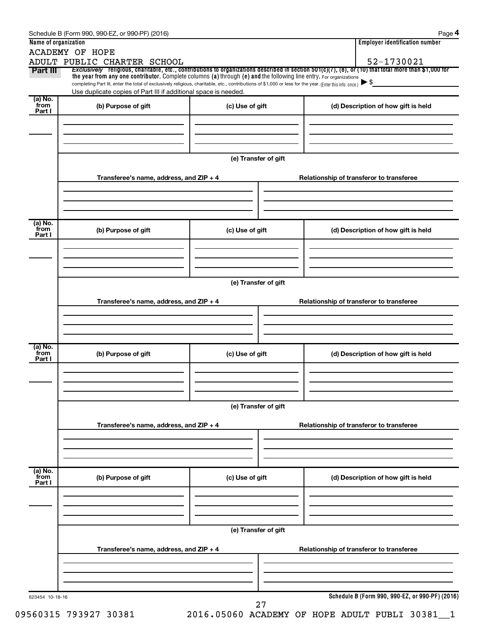|                           | <b>ACADEMY OF HOPE</b>                                                                                                                                   |                      |                                                                                                                                                       |
|---------------------------|----------------------------------------------------------------------------------------------------------------------------------------------------------|----------------------|-------------------------------------------------------------------------------------------------------------------------------------------------------|
|                           | ADULT PUBLIC CHARTER SCHOOL                                                                                                                              |                      | 52-1730021                                                                                                                                            |
| Part III                  | the year from any one contributor. Complete columns (a) through (e) and the following line entry. For organizations                                      |                      | Exclusively religious, charitable, etc., contributions to organizations described in section 501(c)(7), (8), or (10) that total more than \$1,000 for |
|                           | completing Part III, enter the total of exclusively religious, charitable, etc., contributions of \$1,000 or less for the year. (Enter this info. once.) |                      |                                                                                                                                                       |
|                           | Use duplicate copies of Part III if additional space is needed.                                                                                          |                      |                                                                                                                                                       |
| (a) No.<br>from<br>Part I | (b) Purpose of gift                                                                                                                                      | (c) Use of gift      | (d) Description of how gift is held                                                                                                                   |
|                           |                                                                                                                                                          |                      |                                                                                                                                                       |
|                           |                                                                                                                                                          |                      |                                                                                                                                                       |
|                           |                                                                                                                                                          |                      |                                                                                                                                                       |
|                           |                                                                                                                                                          |                      |                                                                                                                                                       |
|                           |                                                                                                                                                          | (e) Transfer of gift |                                                                                                                                                       |
|                           |                                                                                                                                                          |                      |                                                                                                                                                       |
|                           | Transferee's name, address, and ZIP + 4                                                                                                                  |                      | Relationship of transferor to transferee                                                                                                              |
|                           |                                                                                                                                                          |                      |                                                                                                                                                       |
|                           |                                                                                                                                                          |                      |                                                                                                                                                       |
|                           |                                                                                                                                                          |                      |                                                                                                                                                       |
| (a) No.<br>from           | (b) Purpose of gift                                                                                                                                      | (c) Use of gift      | (d) Description of how gift is held                                                                                                                   |
| Part I                    |                                                                                                                                                          |                      |                                                                                                                                                       |
|                           |                                                                                                                                                          |                      |                                                                                                                                                       |
|                           |                                                                                                                                                          |                      |                                                                                                                                                       |
|                           |                                                                                                                                                          |                      |                                                                                                                                                       |
|                           |                                                                                                                                                          | (e) Transfer of gift |                                                                                                                                                       |
|                           |                                                                                                                                                          |                      |                                                                                                                                                       |
|                           | Transferee's name, address, and ZIP + 4                                                                                                                  |                      | Relationship of transferor to transferee                                                                                                              |
|                           |                                                                                                                                                          |                      |                                                                                                                                                       |
|                           |                                                                                                                                                          |                      |                                                                                                                                                       |
|                           |                                                                                                                                                          |                      |                                                                                                                                                       |
| (a) No.<br>from           |                                                                                                                                                          |                      |                                                                                                                                                       |
| Part I                    | (b) Purpose of gift                                                                                                                                      | (c) Use of gift      | (d) Description of how gift is held                                                                                                                   |
|                           |                                                                                                                                                          |                      |                                                                                                                                                       |
|                           |                                                                                                                                                          |                      |                                                                                                                                                       |
|                           |                                                                                                                                                          |                      |                                                                                                                                                       |
|                           |                                                                                                                                                          | (e) Transfer of gift |                                                                                                                                                       |
|                           |                                                                                                                                                          |                      |                                                                                                                                                       |
|                           | Transferee's name, address, and $ZIP + 4$                                                                                                                |                      | Relationship of transferor to transferee                                                                                                              |
|                           |                                                                                                                                                          |                      |                                                                                                                                                       |
|                           |                                                                                                                                                          |                      |                                                                                                                                                       |
|                           |                                                                                                                                                          |                      |                                                                                                                                                       |
| (a) No.<br>from<br>Part I | (b) Purpose of gift                                                                                                                                      | (c) Use of gift      | (d) Description of how gift is held                                                                                                                   |
|                           |                                                                                                                                                          |                      |                                                                                                                                                       |
|                           |                                                                                                                                                          |                      |                                                                                                                                                       |
|                           |                                                                                                                                                          |                      |                                                                                                                                                       |
|                           |                                                                                                                                                          |                      |                                                                                                                                                       |
|                           |                                                                                                                                                          | (e) Transfer of gift |                                                                                                                                                       |
|                           |                                                                                                                                                          |                      |                                                                                                                                                       |
|                           | Transferee's name, address, and ZIP + 4                                                                                                                  |                      | Relationship of transferor to transferee                                                                                                              |
|                           |                                                                                                                                                          |                      |                                                                                                                                                       |
|                           |                                                                                                                                                          |                      |                                                                                                                                                       |
|                           |                                                                                                                                                          |                      |                                                                                                                                                       |
|                           |                                                                                                                                                          |                      |                                                                                                                                                       |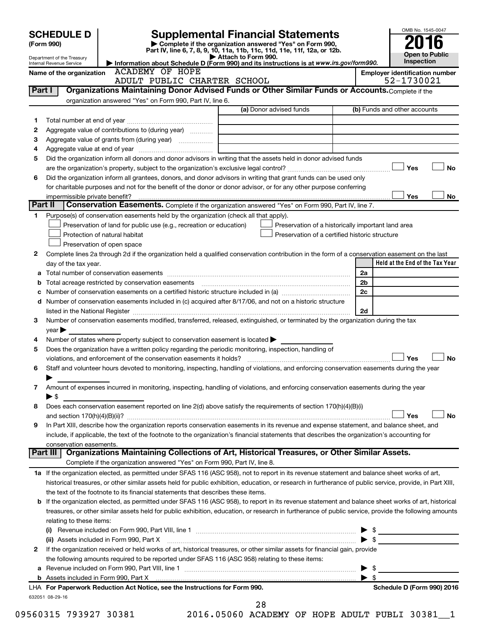|         | <b>SCHEDULE D</b><br>(Form 990)<br>Department of the Treasury<br>Internal Revenue Service |                                                                                                 | <b>Supplemental Financial Statements</b><br>Complete if the organization answered "Yes" on Form 990,<br>Part IV, line 6, 7, 8, 9, 10, 11a, 11b, 11c, 11d, 11e, 11f, 12a, or 12b.<br>$\blacktriangleright$ Attach to Form 990.<br>Information about Schedule D (Form 990) and its instructions is at www.irs.gov/form990. |                          | OMB No. 1545-0047<br><b>Open to Public</b><br>Inspection |
|---------|-------------------------------------------------------------------------------------------|-------------------------------------------------------------------------------------------------|--------------------------------------------------------------------------------------------------------------------------------------------------------------------------------------------------------------------------------------------------------------------------------------------------------------------------|--------------------------|----------------------------------------------------------|
|         | Name of the organization                                                                  | <b>ACADEMY OF HOPE</b>                                                                          |                                                                                                                                                                                                                                                                                                                          |                          | <b>Employer identification number</b>                    |
|         |                                                                                           | ADULT PUBLIC CHARTER SCHOOL                                                                     |                                                                                                                                                                                                                                                                                                                          |                          | 52-1730021                                               |
| Part I  |                                                                                           |                                                                                                 | Organizations Maintaining Donor Advised Funds or Other Similar Funds or Accounts. Complete if the                                                                                                                                                                                                                        |                          |                                                          |
|         |                                                                                           | organization answered "Yes" on Form 990, Part IV, line 6.                                       |                                                                                                                                                                                                                                                                                                                          |                          |                                                          |
|         |                                                                                           |                                                                                                 | (a) Donor advised funds                                                                                                                                                                                                                                                                                                  |                          | (b) Funds and other accounts                             |
| 1       |                                                                                           |                                                                                                 |                                                                                                                                                                                                                                                                                                                          |                          |                                                          |
| 2       |                                                                                           | Aggregate value of contributions to (during year)                                               |                                                                                                                                                                                                                                                                                                                          |                          |                                                          |
| з       |                                                                                           | Aggregate value of grants from (during year)                                                    |                                                                                                                                                                                                                                                                                                                          |                          |                                                          |
| 4       |                                                                                           |                                                                                                 |                                                                                                                                                                                                                                                                                                                          |                          |                                                          |
| 5       |                                                                                           |                                                                                                 | Did the organization inform all donors and donor advisors in writing that the assets held in donor advised funds                                                                                                                                                                                                         |                          |                                                          |
|         |                                                                                           |                                                                                                 |                                                                                                                                                                                                                                                                                                                          |                          | Yes<br>No                                                |
| 6       |                                                                                           |                                                                                                 | Did the organization inform all grantees, donors, and donor advisors in writing that grant funds can be used only                                                                                                                                                                                                        |                          |                                                          |
|         |                                                                                           |                                                                                                 | for charitable purposes and not for the benefit of the donor or donor advisor, or for any other purpose conferring                                                                                                                                                                                                       |                          | Yes<br>No                                                |
| Part II | impermissible private benefit?                                                            |                                                                                                 | Conservation Easements. Complete if the organization answered "Yes" on Form 990, Part IV, line 7.                                                                                                                                                                                                                        |                          |                                                          |
| 1.      |                                                                                           | Purpose(s) of conservation easements held by the organization (check all that apply).           |                                                                                                                                                                                                                                                                                                                          |                          |                                                          |
|         |                                                                                           | Preservation of land for public use (e.g., recreation or education)                             | Preservation of a historically important land area                                                                                                                                                                                                                                                                       |                          |                                                          |
|         |                                                                                           | Protection of natural habitat                                                                   | Preservation of a certified historic structure                                                                                                                                                                                                                                                                           |                          |                                                          |
|         |                                                                                           | Preservation of open space                                                                      |                                                                                                                                                                                                                                                                                                                          |                          |                                                          |
| 2       |                                                                                           |                                                                                                 | Complete lines 2a through 2d if the organization held a qualified conservation contribution in the form of a conservation easement on the last                                                                                                                                                                           |                          |                                                          |
|         | day of the tax year.                                                                      |                                                                                                 |                                                                                                                                                                                                                                                                                                                          |                          | Held at the End of the Tax Year                          |
| а       |                                                                                           |                                                                                                 |                                                                                                                                                                                                                                                                                                                          | 2a                       |                                                          |
| b       |                                                                                           |                                                                                                 |                                                                                                                                                                                                                                                                                                                          | 2 <sub>b</sub>           |                                                          |
| с       |                                                                                           |                                                                                                 |                                                                                                                                                                                                                                                                                                                          | 2c                       |                                                          |
| d       |                                                                                           |                                                                                                 | Number of conservation easements included in (c) acquired after 8/17/06, and not on a historic structure                                                                                                                                                                                                                 |                          |                                                          |
|         |                                                                                           |                                                                                                 |                                                                                                                                                                                                                                                                                                                          | 2d                       |                                                          |
| 3       |                                                                                           |                                                                                                 | Number of conservation easements modified, transferred, released, extinguished, or terminated by the organization during the tax                                                                                                                                                                                         |                          |                                                          |
|         | $\vee$ ear $\blacktriangleright$                                                          |                                                                                                 |                                                                                                                                                                                                                                                                                                                          |                          |                                                          |
| 4       |                                                                                           | Number of states where property subject to conservation easement is located >                   |                                                                                                                                                                                                                                                                                                                          |                          |                                                          |
| 5       |                                                                                           |                                                                                                 | Does the organization have a written policy regarding the periodic monitoring, inspection, handling of                                                                                                                                                                                                                   |                          |                                                          |
|         |                                                                                           | violations, and enforcement of the conservation easements it holds?                             |                                                                                                                                                                                                                                                                                                                          |                          | Yes<br>No                                                |
| 6       |                                                                                           |                                                                                                 | Staff and volunteer hours devoted to monitoring, inspecting, handling of violations, and enforcing conservation easements during the year                                                                                                                                                                                |                          |                                                          |
|         |                                                                                           |                                                                                                 |                                                                                                                                                                                                                                                                                                                          |                          |                                                          |
| 7       |                                                                                           |                                                                                                 | Amount of expenses incurred in monitoring, inspecting, handling of violations, and enforcing conservation easements during the year                                                                                                                                                                                      |                          |                                                          |
|         | $\blacktriangleright$ \$                                                                  |                                                                                                 |                                                                                                                                                                                                                                                                                                                          |                          |                                                          |
| 8       |                                                                                           |                                                                                                 | Does each conservation easement reported on line 2(d) above satisfy the requirements of section 170(h)(4)(B)(i)                                                                                                                                                                                                          |                          |                                                          |
|         |                                                                                           |                                                                                                 |                                                                                                                                                                                                                                                                                                                          |                          | Yes<br>No                                                |
| 9       |                                                                                           |                                                                                                 | In Part XIII, describe how the organization reports conservation easements in its revenue and expense statement, and balance sheet, and                                                                                                                                                                                  |                          |                                                          |
|         |                                                                                           |                                                                                                 | include, if applicable, the text of the footnote to the organization's financial statements that describes the organization's accounting for                                                                                                                                                                             |                          |                                                          |
|         | conservation easements.                                                                   |                                                                                                 |                                                                                                                                                                                                                                                                                                                          |                          |                                                          |
|         | Part III                                                                                  |                                                                                                 | Organizations Maintaining Collections of Art, Historical Treasures, or Other Similar Assets.                                                                                                                                                                                                                             |                          |                                                          |
|         |                                                                                           | Complete if the organization answered "Yes" on Form 990, Part IV, line 8.                       |                                                                                                                                                                                                                                                                                                                          |                          |                                                          |
|         |                                                                                           |                                                                                                 | 1a If the organization elected, as permitted under SFAS 116 (ASC 958), not to report in its revenue statement and balance sheet works of art,                                                                                                                                                                            |                          |                                                          |
|         |                                                                                           |                                                                                                 | historical treasures, or other similar assets held for public exhibition, education, or research in furtherance of public service, provide, in Part XIII,                                                                                                                                                                |                          |                                                          |
|         |                                                                                           | the text of the footnote to its financial statements that describes these items.                |                                                                                                                                                                                                                                                                                                                          |                          |                                                          |
| b       |                                                                                           |                                                                                                 | If the organization elected, as permitted under SFAS 116 (ASC 958), to report in its revenue statement and balance sheet works of art, historical                                                                                                                                                                        |                          |                                                          |
|         |                                                                                           |                                                                                                 | treasures, or other similar assets held for public exhibition, education, or research in furtherance of public service, provide the following amounts                                                                                                                                                                    |                          |                                                          |
|         | relating to these items:                                                                  |                                                                                                 |                                                                                                                                                                                                                                                                                                                          |                          |                                                          |
|         |                                                                                           |                                                                                                 |                                                                                                                                                                                                                                                                                                                          |                          | $\frac{1}{2}$                                            |
|         |                                                                                           | (ii) Assets included in Form 990, Part X                                                        |                                                                                                                                                                                                                                                                                                                          |                          | $\blacktriangleright$ \$                                 |
| 2       |                                                                                           |                                                                                                 | If the organization received or held works of art, historical treasures, or other similar assets for financial gain, provide                                                                                                                                                                                             |                          |                                                          |
|         |                                                                                           | the following amounts required to be reported under SFAS 116 (ASC 958) relating to these items: |                                                                                                                                                                                                                                                                                                                          |                          |                                                          |
| а       |                                                                                           |                                                                                                 |                                                                                                                                                                                                                                                                                                                          | $\blacktriangleright$ \$ |                                                          |
|         |                                                                                           |                                                                                                 |                                                                                                                                                                                                                                                                                                                          | $\blacktriangleright$ \$ |                                                          |
|         |                                                                                           | LHA For Paperwork Reduction Act Notice, see the Instructions for Form 990.                      |                                                                                                                                                                                                                                                                                                                          |                          | Schedule D (Form 990) 2016                               |
|         | 632051 08-29-16                                                                           |                                                                                                 |                                                                                                                                                                                                                                                                                                                          |                          |                                                          |
|         |                                                                                           |                                                                                                 | 28                                                                                                                                                                                                                                                                                                                       |                          |                                                          |

09560315 793927 30381 2016.05060 ACADEMY OF HOPE ADULT PUBLI 30381 1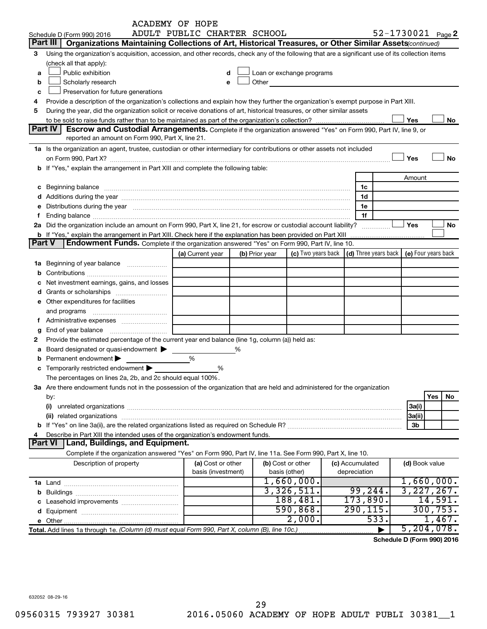|          |                                                                                                                                                                                                                                | <b>ACADEMY OF HOPE</b>      |   |                |                                                                                                                                                                                                                               |                                                                             |                   |              |
|----------|--------------------------------------------------------------------------------------------------------------------------------------------------------------------------------------------------------------------------------|-----------------------------|---|----------------|-------------------------------------------------------------------------------------------------------------------------------------------------------------------------------------------------------------------------------|-----------------------------------------------------------------------------|-------------------|--------------|
|          | Schedule D (Form 990) 2016                                                                                                                                                                                                     | ADULT PUBLIC CHARTER SCHOOL |   |                |                                                                                                                                                                                                                               |                                                                             | 52-1730021 Page 2 |              |
| Part III | Organizations Maintaining Collections of Art, Historical Treasures, or Other Similar Assets (continued)                                                                                                                        |                             |   |                |                                                                                                                                                                                                                               |                                                                             |                   |              |
| 3        | Using the organization's acquisition, accession, and other records, check any of the following that are a significant use of its collection items                                                                              |                             |   |                |                                                                                                                                                                                                                               |                                                                             |                   |              |
|          | (check all that apply):                                                                                                                                                                                                        |                             |   |                |                                                                                                                                                                                                                               |                                                                             |                   |              |
| a        | Public exhibition                                                                                                                                                                                                              | d                           |   |                | Loan or exchange programs                                                                                                                                                                                                     |                                                                             |                   |              |
| b        | Scholarly research                                                                                                                                                                                                             | e                           |   |                | Other and the contract of the contract of the contract of the contract of the contract of the contract of the contract of the contract of the contract of the contract of the contract of the contract of the contract of the |                                                                             |                   |              |
| c        | Preservation for future generations                                                                                                                                                                                            |                             |   |                |                                                                                                                                                                                                                               |                                                                             |                   |              |
|          |                                                                                                                                                                                                                                |                             |   |                |                                                                                                                                                                                                                               |                                                                             |                   |              |
| 4        | Provide a description of the organization's collections and explain how they further the organization's exempt purpose in Part XIII.                                                                                           |                             |   |                |                                                                                                                                                                                                                               |                                                                             |                   |              |
| 5        | During the year, did the organization solicit or receive donations of art, historical treasures, or other similar assets                                                                                                       |                             |   |                |                                                                                                                                                                                                                               |                                                                             |                   |              |
|          | Part IV                                                                                                                                                                                                                        |                             |   |                |                                                                                                                                                                                                                               |                                                                             | Yes               | No           |
|          | Escrow and Custodial Arrangements. Complete if the organization answered "Yes" on Form 990, Part IV, line 9, or                                                                                                                |                             |   |                |                                                                                                                                                                                                                               |                                                                             |                   |              |
|          | reported an amount on Form 990, Part X, line 21.                                                                                                                                                                               |                             |   |                |                                                                                                                                                                                                                               |                                                                             |                   |              |
|          | 1a Is the organization an agent, trustee, custodian or other intermediary for contributions or other assets not included                                                                                                       |                             |   |                |                                                                                                                                                                                                                               |                                                                             |                   |              |
|          | on Form 990, Part X? [11] matter and the contract of the contract of the contract of the contract of the contract of the contract of the contract of the contract of the contract of the contract of the contract of the contr |                             |   |                |                                                                                                                                                                                                                               |                                                                             | Yes               | No           |
|          | b If "Yes," explain the arrangement in Part XIII and complete the following table:                                                                                                                                             |                             |   |                |                                                                                                                                                                                                                               |                                                                             |                   |              |
|          |                                                                                                                                                                                                                                |                             |   |                |                                                                                                                                                                                                                               |                                                                             | Amount            |              |
|          |                                                                                                                                                                                                                                |                             |   |                |                                                                                                                                                                                                                               | 1c                                                                          |                   |              |
|          |                                                                                                                                                                                                                                |                             |   |                |                                                                                                                                                                                                                               | 1d                                                                          |                   |              |
|          | e Distributions during the year manufactured and an account of the year manufactured and account of the year manufactured and account of the USA of the Distributions during the year                                          |                             |   |                |                                                                                                                                                                                                                               | 1е                                                                          |                   |              |
|          | Ending balance <b>construction and construction of the construction of the construction of the construction</b>                                                                                                                |                             |   |                |                                                                                                                                                                                                                               | 1f                                                                          |                   |              |
|          | 2a Did the organization include an amount on Form 990, Part X, line 21, for escrow or custodial account liability?                                                                                                             |                             |   |                |                                                                                                                                                                                                                               |                                                                             | Yes               | No           |
|          |                                                                                                                                                                                                                                |                             |   |                |                                                                                                                                                                                                                               |                                                                             |                   |              |
| Part V   | <b>Endowment Funds.</b> Complete if the organization answered "Yes" on Form 990, Part IV, line 10.                                                                                                                             |                             |   |                |                                                                                                                                                                                                                               |                                                                             |                   |              |
|          |                                                                                                                                                                                                                                | (a) Current year            |   | (b) Prior year |                                                                                                                                                                                                                               | (c) Two years back $\vert$ (d) Three years back $\vert$ (e) Four years back |                   |              |
|          | 1a Beginning of year balance                                                                                                                                                                                                   |                             |   |                |                                                                                                                                                                                                                               |                                                                             |                   |              |
| b        |                                                                                                                                                                                                                                |                             |   |                |                                                                                                                                                                                                                               |                                                                             |                   |              |
|          | Net investment earnings, gains, and losses                                                                                                                                                                                     |                             |   |                |                                                                                                                                                                                                                               |                                                                             |                   |              |
|          |                                                                                                                                                                                                                                |                             |   |                |                                                                                                                                                                                                                               |                                                                             |                   |              |
|          |                                                                                                                                                                                                                                |                             |   |                |                                                                                                                                                                                                                               |                                                                             |                   |              |
|          | e Other expenditures for facilities                                                                                                                                                                                            |                             |   |                |                                                                                                                                                                                                                               |                                                                             |                   |              |
|          | and programs                                                                                                                                                                                                                   |                             |   |                |                                                                                                                                                                                                                               |                                                                             |                   |              |
| Ť.       |                                                                                                                                                                                                                                |                             |   |                |                                                                                                                                                                                                                               |                                                                             |                   |              |
| g        | End of year balance                                                                                                                                                                                                            |                             |   |                |                                                                                                                                                                                                                               |                                                                             |                   |              |
| 2        | Provide the estimated percentage of the current year end balance (line 1g, column (a)) held as:                                                                                                                                |                             |   |                |                                                                                                                                                                                                                               |                                                                             |                   |              |
| а        | Board designated or quasi-endowment                                                                                                                                                                                            |                             | ℅ |                |                                                                                                                                                                                                                               |                                                                             |                   |              |
| b        | Permanent endowment                                                                                                                                                                                                            | %                           |   |                |                                                                                                                                                                                                                               |                                                                             |                   |              |
|          | <b>c</b> Temporarily restricted endowment $\blacktriangleright$                                                                                                                                                                | %                           |   |                |                                                                                                                                                                                                                               |                                                                             |                   |              |
|          | The percentages on lines 2a, 2b, and 2c should equal 100%.                                                                                                                                                                     |                             |   |                |                                                                                                                                                                                                                               |                                                                             |                   |              |
|          | 3a Are there endowment funds not in the possession of the organization that are held and administered for the organization                                                                                                     |                             |   |                |                                                                                                                                                                                                                               |                                                                             |                   |              |
|          | by:                                                                                                                                                                                                                            |                             |   |                |                                                                                                                                                                                                                               |                                                                             |                   | Yes<br>No    |
|          | (i)                                                                                                                                                                                                                            |                             |   |                |                                                                                                                                                                                                                               |                                                                             | 3a(i)             |              |
|          |                                                                                                                                                                                                                                |                             |   |                |                                                                                                                                                                                                                               |                                                                             | 3a(ii)            |              |
|          |                                                                                                                                                                                                                                |                             |   |                |                                                                                                                                                                                                                               |                                                                             | 3b                |              |
| 4        | Describe in Part XIII the intended uses of the organization's endowment funds.                                                                                                                                                 |                             |   |                |                                                                                                                                                                                                                               |                                                                             |                   |              |
|          | <b>Part VI</b><br>Land, Buildings, and Equipment.                                                                                                                                                                              |                             |   |                |                                                                                                                                                                                                                               |                                                                             |                   |              |
|          | Complete if the organization answered "Yes" on Form 990, Part IV, line 11a. See Form 990, Part X, line 10.                                                                                                                     |                             |   |                |                                                                                                                                                                                                                               |                                                                             |                   |              |
|          |                                                                                                                                                                                                                                | (a) Cost or other           |   |                | (b) Cost or other                                                                                                                                                                                                             | (c) Accumulated                                                             | (d) Book value    |              |
|          | Description of property                                                                                                                                                                                                        | basis (investment)          |   |                | basis (other)                                                                                                                                                                                                                 | depreciation                                                                |                   |              |
|          |                                                                                                                                                                                                                                |                             |   |                | 1,660,000.                                                                                                                                                                                                                    |                                                                             |                   | 1,660,000.   |
|          |                                                                                                                                                                                                                                |                             |   |                |                                                                                                                                                                                                                               |                                                                             |                   |              |
|          |                                                                                                                                                                                                                                |                             |   |                | 3,326,511.                                                                                                                                                                                                                    | 99, 244.                                                                    |                   | 3,227,267.   |
|          |                                                                                                                                                                                                                                |                             |   |                | 188,481.                                                                                                                                                                                                                      | 173,890.                                                                    |                   | 14,591.      |
|          |                                                                                                                                                                                                                                |                             |   |                | 590, 868.                                                                                                                                                                                                                     | 290, 115.                                                                   |                   | 300, 753.    |
|          |                                                                                                                                                                                                                                |                             |   |                | 2,000.                                                                                                                                                                                                                        | 533.                                                                        |                   | 1,467.       |
|          |                                                                                                                                                                                                                                |                             |   |                |                                                                                                                                                                                                                               | ►                                                                           |                   | 5, 204, 078. |

**Schedule D (Form 990) 2016**

632052 08-29-16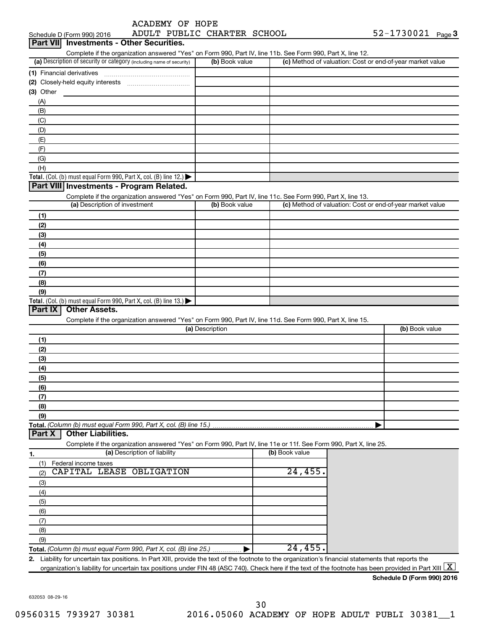| ACADEMY OF HOPE |  |
|-----------------|--|
|                 |  |

| <b>Part VII</b><br><b>Investments - Other Securities.</b><br>Complete if the organization answered "Yes" on Form 990, Part IV, line 11b. See Form 990, Part X, line 12.<br>(a) Description of security or category (including name of security)<br>(b) Book value<br>(c) Method of valuation: Cost or end-of-year market value<br>(1) Financial derivatives<br>$(3)$ Other<br>(A)<br>(B)<br>(C)<br>(D)<br>(E)<br>(F)<br>(G)<br>(H)<br>Total. (Col. (b) must equal Form 990, Part X, col. (B) line 12.)<br>Part VIII Investments - Program Related.<br>Complete if the organization answered "Yes" on Form 990, Part IV, line 11c. See Form 990, Part X, line 13.<br>(a) Description of investment<br>(c) Method of valuation: Cost or end-of-year market value<br>(b) Book value<br>(1)<br>(2)<br>(3)<br>(4)<br>(5)<br>(6)<br>(7)<br>(8)<br>(9)<br>Total. (Col. (b) must equal Form 990, Part X, col. (B) line 13.)<br>Part IX<br><b>Other Assets.</b><br>Complete if the organization answered "Yes" on Form 990, Part IV, line 11d. See Form 990, Part X, line 15.<br>(a) Description<br>(b) Book value<br>(1)<br>(2)<br>(3)<br>(4)<br>(5)<br>(6)<br>(7)<br>(8)<br>(9)<br>Total. (Column (b) must equal Form 990, Part X, col. (B) line 15.)<br><b>Other Liabilities.</b><br>Part X | Schedule D (Form 990) 2016 |  | ADULT PUBLIC CHARTER SCHOOL |  | $52 - 1730021$ Page 3 |  |
|---------------------------------------------------------------------------------------------------------------------------------------------------------------------------------------------------------------------------------------------------------------------------------------------------------------------------------------------------------------------------------------------------------------------------------------------------------------------------------------------------------------------------------------------------------------------------------------------------------------------------------------------------------------------------------------------------------------------------------------------------------------------------------------------------------------------------------------------------------------------------------------------------------------------------------------------------------------------------------------------------------------------------------------------------------------------------------------------------------------------------------------------------------------------------------------------------------------------------------------------------------------------------------------|----------------------------|--|-----------------------------|--|-----------------------|--|
|                                                                                                                                                                                                                                                                                                                                                                                                                                                                                                                                                                                                                                                                                                                                                                                                                                                                                                                                                                                                                                                                                                                                                                                                                                                                                       |                            |  |                             |  |                       |  |
|                                                                                                                                                                                                                                                                                                                                                                                                                                                                                                                                                                                                                                                                                                                                                                                                                                                                                                                                                                                                                                                                                                                                                                                                                                                                                       |                            |  |                             |  |                       |  |
|                                                                                                                                                                                                                                                                                                                                                                                                                                                                                                                                                                                                                                                                                                                                                                                                                                                                                                                                                                                                                                                                                                                                                                                                                                                                                       |                            |  |                             |  |                       |  |
|                                                                                                                                                                                                                                                                                                                                                                                                                                                                                                                                                                                                                                                                                                                                                                                                                                                                                                                                                                                                                                                                                                                                                                                                                                                                                       |                            |  |                             |  |                       |  |
|                                                                                                                                                                                                                                                                                                                                                                                                                                                                                                                                                                                                                                                                                                                                                                                                                                                                                                                                                                                                                                                                                                                                                                                                                                                                                       |                            |  |                             |  |                       |  |
|                                                                                                                                                                                                                                                                                                                                                                                                                                                                                                                                                                                                                                                                                                                                                                                                                                                                                                                                                                                                                                                                                                                                                                                                                                                                                       |                            |  |                             |  |                       |  |
|                                                                                                                                                                                                                                                                                                                                                                                                                                                                                                                                                                                                                                                                                                                                                                                                                                                                                                                                                                                                                                                                                                                                                                                                                                                                                       |                            |  |                             |  |                       |  |
|                                                                                                                                                                                                                                                                                                                                                                                                                                                                                                                                                                                                                                                                                                                                                                                                                                                                                                                                                                                                                                                                                                                                                                                                                                                                                       |                            |  |                             |  |                       |  |
|                                                                                                                                                                                                                                                                                                                                                                                                                                                                                                                                                                                                                                                                                                                                                                                                                                                                                                                                                                                                                                                                                                                                                                                                                                                                                       |                            |  |                             |  |                       |  |
|                                                                                                                                                                                                                                                                                                                                                                                                                                                                                                                                                                                                                                                                                                                                                                                                                                                                                                                                                                                                                                                                                                                                                                                                                                                                                       |                            |  |                             |  |                       |  |
|                                                                                                                                                                                                                                                                                                                                                                                                                                                                                                                                                                                                                                                                                                                                                                                                                                                                                                                                                                                                                                                                                                                                                                                                                                                                                       |                            |  |                             |  |                       |  |
|                                                                                                                                                                                                                                                                                                                                                                                                                                                                                                                                                                                                                                                                                                                                                                                                                                                                                                                                                                                                                                                                                                                                                                                                                                                                                       |                            |  |                             |  |                       |  |
|                                                                                                                                                                                                                                                                                                                                                                                                                                                                                                                                                                                                                                                                                                                                                                                                                                                                                                                                                                                                                                                                                                                                                                                                                                                                                       |                            |  |                             |  |                       |  |
|                                                                                                                                                                                                                                                                                                                                                                                                                                                                                                                                                                                                                                                                                                                                                                                                                                                                                                                                                                                                                                                                                                                                                                                                                                                                                       |                            |  |                             |  |                       |  |
|                                                                                                                                                                                                                                                                                                                                                                                                                                                                                                                                                                                                                                                                                                                                                                                                                                                                                                                                                                                                                                                                                                                                                                                                                                                                                       |                            |  |                             |  |                       |  |
|                                                                                                                                                                                                                                                                                                                                                                                                                                                                                                                                                                                                                                                                                                                                                                                                                                                                                                                                                                                                                                                                                                                                                                                                                                                                                       |                            |  |                             |  |                       |  |
|                                                                                                                                                                                                                                                                                                                                                                                                                                                                                                                                                                                                                                                                                                                                                                                                                                                                                                                                                                                                                                                                                                                                                                                                                                                                                       |                            |  |                             |  |                       |  |
|                                                                                                                                                                                                                                                                                                                                                                                                                                                                                                                                                                                                                                                                                                                                                                                                                                                                                                                                                                                                                                                                                                                                                                                                                                                                                       |                            |  |                             |  |                       |  |
|                                                                                                                                                                                                                                                                                                                                                                                                                                                                                                                                                                                                                                                                                                                                                                                                                                                                                                                                                                                                                                                                                                                                                                                                                                                                                       |                            |  |                             |  |                       |  |
|                                                                                                                                                                                                                                                                                                                                                                                                                                                                                                                                                                                                                                                                                                                                                                                                                                                                                                                                                                                                                                                                                                                                                                                                                                                                                       |                            |  |                             |  |                       |  |
|                                                                                                                                                                                                                                                                                                                                                                                                                                                                                                                                                                                                                                                                                                                                                                                                                                                                                                                                                                                                                                                                                                                                                                                                                                                                                       |                            |  |                             |  |                       |  |
|                                                                                                                                                                                                                                                                                                                                                                                                                                                                                                                                                                                                                                                                                                                                                                                                                                                                                                                                                                                                                                                                                                                                                                                                                                                                                       |                            |  |                             |  |                       |  |
|                                                                                                                                                                                                                                                                                                                                                                                                                                                                                                                                                                                                                                                                                                                                                                                                                                                                                                                                                                                                                                                                                                                                                                                                                                                                                       |                            |  |                             |  |                       |  |
|                                                                                                                                                                                                                                                                                                                                                                                                                                                                                                                                                                                                                                                                                                                                                                                                                                                                                                                                                                                                                                                                                                                                                                                                                                                                                       |                            |  |                             |  |                       |  |
|                                                                                                                                                                                                                                                                                                                                                                                                                                                                                                                                                                                                                                                                                                                                                                                                                                                                                                                                                                                                                                                                                                                                                                                                                                                                                       |                            |  |                             |  |                       |  |
|                                                                                                                                                                                                                                                                                                                                                                                                                                                                                                                                                                                                                                                                                                                                                                                                                                                                                                                                                                                                                                                                                                                                                                                                                                                                                       |                            |  |                             |  |                       |  |
|                                                                                                                                                                                                                                                                                                                                                                                                                                                                                                                                                                                                                                                                                                                                                                                                                                                                                                                                                                                                                                                                                                                                                                                                                                                                                       |                            |  |                             |  |                       |  |
|                                                                                                                                                                                                                                                                                                                                                                                                                                                                                                                                                                                                                                                                                                                                                                                                                                                                                                                                                                                                                                                                                                                                                                                                                                                                                       |                            |  |                             |  |                       |  |
|                                                                                                                                                                                                                                                                                                                                                                                                                                                                                                                                                                                                                                                                                                                                                                                                                                                                                                                                                                                                                                                                                                                                                                                                                                                                                       |                            |  |                             |  |                       |  |
|                                                                                                                                                                                                                                                                                                                                                                                                                                                                                                                                                                                                                                                                                                                                                                                                                                                                                                                                                                                                                                                                                                                                                                                                                                                                                       |                            |  |                             |  |                       |  |
|                                                                                                                                                                                                                                                                                                                                                                                                                                                                                                                                                                                                                                                                                                                                                                                                                                                                                                                                                                                                                                                                                                                                                                                                                                                                                       |                            |  |                             |  |                       |  |
|                                                                                                                                                                                                                                                                                                                                                                                                                                                                                                                                                                                                                                                                                                                                                                                                                                                                                                                                                                                                                                                                                                                                                                                                                                                                                       |                            |  |                             |  |                       |  |
|                                                                                                                                                                                                                                                                                                                                                                                                                                                                                                                                                                                                                                                                                                                                                                                                                                                                                                                                                                                                                                                                                                                                                                                                                                                                                       |                            |  |                             |  |                       |  |
|                                                                                                                                                                                                                                                                                                                                                                                                                                                                                                                                                                                                                                                                                                                                                                                                                                                                                                                                                                                                                                                                                                                                                                                                                                                                                       |                            |  |                             |  |                       |  |
|                                                                                                                                                                                                                                                                                                                                                                                                                                                                                                                                                                                                                                                                                                                                                                                                                                                                                                                                                                                                                                                                                                                                                                                                                                                                                       |                            |  |                             |  |                       |  |
|                                                                                                                                                                                                                                                                                                                                                                                                                                                                                                                                                                                                                                                                                                                                                                                                                                                                                                                                                                                                                                                                                                                                                                                                                                                                                       |                            |  |                             |  |                       |  |
|                                                                                                                                                                                                                                                                                                                                                                                                                                                                                                                                                                                                                                                                                                                                                                                                                                                                                                                                                                                                                                                                                                                                                                                                                                                                                       |                            |  |                             |  |                       |  |
|                                                                                                                                                                                                                                                                                                                                                                                                                                                                                                                                                                                                                                                                                                                                                                                                                                                                                                                                                                                                                                                                                                                                                                                                                                                                                       |                            |  |                             |  |                       |  |
|                                                                                                                                                                                                                                                                                                                                                                                                                                                                                                                                                                                                                                                                                                                                                                                                                                                                                                                                                                                                                                                                                                                                                                                                                                                                                       |                            |  |                             |  |                       |  |
|                                                                                                                                                                                                                                                                                                                                                                                                                                                                                                                                                                                                                                                                                                                                                                                                                                                                                                                                                                                                                                                                                                                                                                                                                                                                                       |                            |  |                             |  |                       |  |
|                                                                                                                                                                                                                                                                                                                                                                                                                                                                                                                                                                                                                                                                                                                                                                                                                                                                                                                                                                                                                                                                                                                                                                                                                                                                                       |                            |  |                             |  |                       |  |
|                                                                                                                                                                                                                                                                                                                                                                                                                                                                                                                                                                                                                                                                                                                                                                                                                                                                                                                                                                                                                                                                                                                                                                                                                                                                                       |                            |  |                             |  |                       |  |
| Complete if the organization answered "Yes" on Form 990, Part IV, line 11e or 11f. See Form 990, Part X, line 25.<br>(a) Description of liability<br>(b) Book value                                                                                                                                                                                                                                                                                                                                                                                                                                                                                                                                                                                                                                                                                                                                                                                                                                                                                                                                                                                                                                                                                                                   |                            |  |                             |  |                       |  |
| 1.                                                                                                                                                                                                                                                                                                                                                                                                                                                                                                                                                                                                                                                                                                                                                                                                                                                                                                                                                                                                                                                                                                                                                                                                                                                                                    |                            |  |                             |  |                       |  |
| Federal income taxes<br>(1)<br>CAPITAL LEASE OBLIGATION<br>24,455.                                                                                                                                                                                                                                                                                                                                                                                                                                                                                                                                                                                                                                                                                                                                                                                                                                                                                                                                                                                                                                                                                                                                                                                                                    |                            |  |                             |  |                       |  |
| (2)                                                                                                                                                                                                                                                                                                                                                                                                                                                                                                                                                                                                                                                                                                                                                                                                                                                                                                                                                                                                                                                                                                                                                                                                                                                                                   |                            |  |                             |  |                       |  |
| (3)                                                                                                                                                                                                                                                                                                                                                                                                                                                                                                                                                                                                                                                                                                                                                                                                                                                                                                                                                                                                                                                                                                                                                                                                                                                                                   |                            |  |                             |  |                       |  |
| (4)                                                                                                                                                                                                                                                                                                                                                                                                                                                                                                                                                                                                                                                                                                                                                                                                                                                                                                                                                                                                                                                                                                                                                                                                                                                                                   |                            |  |                             |  |                       |  |
| (5)                                                                                                                                                                                                                                                                                                                                                                                                                                                                                                                                                                                                                                                                                                                                                                                                                                                                                                                                                                                                                                                                                                                                                                                                                                                                                   |                            |  |                             |  |                       |  |
| (6)                                                                                                                                                                                                                                                                                                                                                                                                                                                                                                                                                                                                                                                                                                                                                                                                                                                                                                                                                                                                                                                                                                                                                                                                                                                                                   |                            |  |                             |  |                       |  |
| (7)                                                                                                                                                                                                                                                                                                                                                                                                                                                                                                                                                                                                                                                                                                                                                                                                                                                                                                                                                                                                                                                                                                                                                                                                                                                                                   |                            |  |                             |  |                       |  |
| (8)                                                                                                                                                                                                                                                                                                                                                                                                                                                                                                                                                                                                                                                                                                                                                                                                                                                                                                                                                                                                                                                                                                                                                                                                                                                                                   |                            |  |                             |  |                       |  |
| (9)                                                                                                                                                                                                                                                                                                                                                                                                                                                                                                                                                                                                                                                                                                                                                                                                                                                                                                                                                                                                                                                                                                                                                                                                                                                                                   |                            |  |                             |  |                       |  |
| 24,455.<br>Total. (Column (b) must equal Form 990, Part X, col. (B) line 25.)  ▶                                                                                                                                                                                                                                                                                                                                                                                                                                                                                                                                                                                                                                                                                                                                                                                                                                                                                                                                                                                                                                                                                                                                                                                                      |                            |  |                             |  |                       |  |
| 2. Liability for uncertain tax positions. In Part XIII, provide the text of the footnote to the organization's financial statements that reports the<br>organization's liability for uncertain tax positions under FIN 48 (ASC 740). Check here if the text of the footnote has been provided in Part XIII $\boxed{\text{X}}$                                                                                                                                                                                                                                                                                                                                                                                                                                                                                                                                                                                                                                                                                                                                                                                                                                                                                                                                                         |                            |  |                             |  |                       |  |

**Schedule D (Form 990) 2016**

632053 08-29-16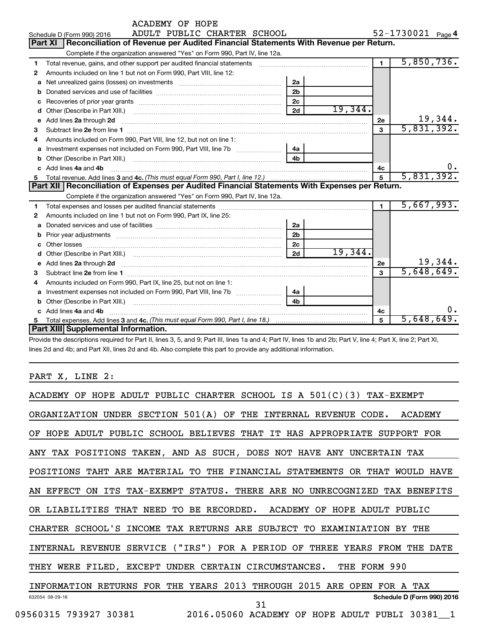|    | <b>ACADEMY OF HOPE</b>                                                                                                                                                                                                              |                |            |                   |            |    |  |  |  |  |
|----|-------------------------------------------------------------------------------------------------------------------------------------------------------------------------------------------------------------------------------------|----------------|------------|-------------------|------------|----|--|--|--|--|
|    | ADULT PUBLIC CHARTER SCHOOL<br>Schedule D (Form 990) 2016                                                                                                                                                                           |                |            | 52-1730021 Page 4 |            |    |  |  |  |  |
|    | Reconciliation of Revenue per Audited Financial Statements With Revenue per Return.<br><b>Part XI</b>                                                                                                                               |                |            |                   |            |    |  |  |  |  |
|    | Complete if the organization answered "Yes" on Form 990, Part IV, line 12a.                                                                                                                                                         |                |            |                   |            |    |  |  |  |  |
| 1  | Total revenue, gains, and other support per audited financial statements [11] [11] Total revenue, gains, and other support per audited financial statements                                                                         |                |            | $\overline{1}$    | 5,850,736. |    |  |  |  |  |
| 2  | Amounts included on line 1 but not on Form 990, Part VIII, line 12:                                                                                                                                                                 |                |            |                   |            |    |  |  |  |  |
| a  | Net unrealized gains (losses) on investments [11] [11] Net unrealized gains (losses) on investments [11] [12]                                                                                                                       | 2a             |            |                   |            |    |  |  |  |  |
| b  |                                                                                                                                                                                                                                     | 2 <sub>b</sub> |            |                   |            |    |  |  |  |  |
| c  |                                                                                                                                                                                                                                     | 2 <sub>c</sub> |            |                   |            |    |  |  |  |  |
| d  |                                                                                                                                                                                                                                     | 2d             | 19,344.    |                   |            |    |  |  |  |  |
| e  | Add lines 2a through 2d                                                                                                                                                                                                             |                |            | 2е                | 19,344.    |    |  |  |  |  |
| З  |                                                                                                                                                                                                                                     |                |            | 3                 | 5,831,392. |    |  |  |  |  |
| 4  | Amounts included on Form 990, Part VIII, line 12, but not on line 1:                                                                                                                                                                |                |            |                   |            |    |  |  |  |  |
| a  |                                                                                                                                                                                                                                     | 4a             |            |                   |            |    |  |  |  |  |
| b  |                                                                                                                                                                                                                                     | 4 <sub>h</sub> |            |                   |            |    |  |  |  |  |
|    | c Add lines 4a and 4b                                                                                                                                                                                                               | 4с             |            | 0.                |            |    |  |  |  |  |
| 5  |                                                                                                                                                                                                                                     | 5              | 5,831,392. |                   |            |    |  |  |  |  |
|    | Part XII   Reconciliation of Expenses per Audited Financial Statements With Expenses per Return.                                                                                                                                    |                |            |                   |            |    |  |  |  |  |
|    | Complete if the organization answered "Yes" on Form 990, Part IV, line 12a.                                                                                                                                                         |                |            |                   |            |    |  |  |  |  |
| 1  |                                                                                                                                                                                                                                     |                |            | $\blacksquare$    | 5,667,993. |    |  |  |  |  |
| 2  | Amounts included on line 1 but not on Form 990, Part IX, line 25:                                                                                                                                                                   |                |            |                   |            |    |  |  |  |  |
| a  |                                                                                                                                                                                                                                     | 2a             |            |                   |            |    |  |  |  |  |
| b  |                                                                                                                                                                                                                                     | 2 <sub>b</sub> |            |                   |            |    |  |  |  |  |
| c. |                                                                                                                                                                                                                                     | 2 <sub>c</sub> |            |                   |            |    |  |  |  |  |
| d  |                                                                                                                                                                                                                                     | 2d             | 19,344.    |                   |            |    |  |  |  |  |
| е  | Add lines 2a through 2d <b>[10]</b> University of the state of the state of the state of the state of the state of the state of the state of the state of the state of the state of the state of the state of the state of the stat |                |            | 2е                | 19,344.    |    |  |  |  |  |
| 3  |                                                                                                                                                                                                                                     |                |            | 3                 | 5,648,649. |    |  |  |  |  |
| 4  | Amounts included on Form 990, Part IX, line 25, but not on line 1:                                                                                                                                                                  |                |            |                   |            |    |  |  |  |  |
| a  |                                                                                                                                                                                                                                     | 4a             |            |                   |            |    |  |  |  |  |
| b  |                                                                                                                                                                                                                                     |                |            |                   |            |    |  |  |  |  |
|    | c Add lines 4a and 4b                                                                                                                                                                                                               |                |            | 4c                |            | 0. |  |  |  |  |
| 5  |                                                                                                                                                                                                                                     |                |            | 5                 | 5,648,649. |    |  |  |  |  |
|    | Part XIII Supplemental Information.                                                                                                                                                                                                 |                |            |                   |            |    |  |  |  |  |

Provide the descriptions required for Part II, lines 3, 5, and 9; Part III, lines 1a and 4; Part IV, lines 1b and 2b; Part V, line 4; Part X, line 2; Part XI, lines 2d and 4b; and Part XII, lines 2d and 4b. Also complete this part to provide any additional information.

PART X, LINE 2:

| ACADEMY OF HOPE ADULT PUBLIC CHARTER SCHOOL IS A $501(C)(3)$ TAX-EXEMPT    |
|----------------------------------------------------------------------------|
| ORGANIZATION UNDER SECTION 501(A) OF THE INTERNAL REVENUE CODE.<br>ACADEMY |
| OF HOPE ADULT PUBLIC SCHOOL BELIEVES THAT IT HAS APPROPRIATE SUPPORT FOR   |
| ANY TAX POSITIONS TAKEN, AND AS SUCH, DOES NOT HAVE ANY UNCERTAIN TAX      |
| POSITIONS TAHT ARE MATERIAL TO THE FINANCIAL STATEMENTS OR THAT WOULD HAVE |
| AN EFFECT ON ITS TAX-EXEMPT STATUS. THERE ARE NO UNRECOGNIZED TAX BENEFITS |
| OR LIABILITIES THAT NEED TO BE RECORDED. ACADEMY OF HOPE ADULT PUBLIC      |
| CHARTER SCHOOL'S INCOME TAX RETURNS ARE SUBJECT TO EXAMINIATION BY THE     |
| INTERNAL REVENUE SERVICE ("IRS") FOR A PERIOD OF THREE YEARS FROM THE DATE |
| THEY WERE FILED, EXCEPT UNDER CERTAIN CIRCUMSTANCES. THE FORM 990          |
| INFORMATION RETURNS FOR THE YEARS 2013 THROUGH 2015 ARE OPEN FOR A TAX     |
| Schedule D (Form 990) 2016<br>632054 08-29-16<br>31                        |
| 09560315 793927 30381 2016.05060 ACADEMY OF HOPE ADULT PUBLI 30381 1       |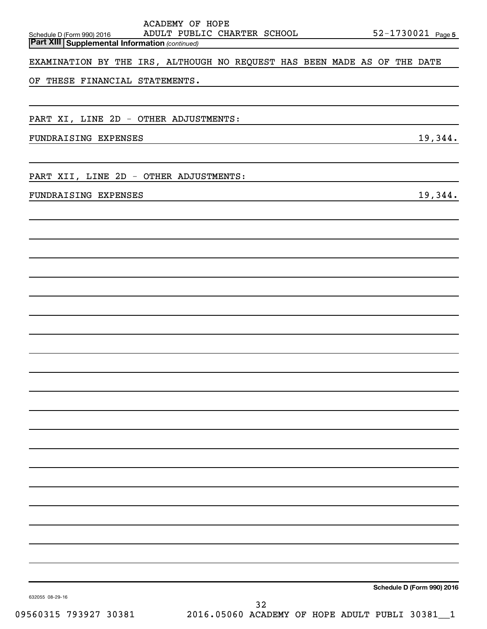| <b>ACADEMY OF HOPE</b><br>ADULT PUBLIC CHARTER SCHOOL<br>Schedule D (Form 990) 2016 |    |  | 52-1730021 Page 5          |
|-------------------------------------------------------------------------------------|----|--|----------------------------|
| <b>Part XIII Supplemental Information (continued)</b>                               |    |  |                            |
| EXAMINATION BY THE IRS, ALTHOUGH NO REQUEST HAS BEEN MADE AS OF THE DATE            |    |  |                            |
| OF THESE FINANCIAL STATEMENTS.                                                      |    |  |                            |
|                                                                                     |    |  |                            |
|                                                                                     |    |  |                            |
| PART XI, LINE 2D - OTHER ADJUSTMENTS:                                               |    |  |                            |
| FUNDRAISING EXPENSES                                                                |    |  | 19,344.                    |
|                                                                                     |    |  |                            |
| PART XII, LINE 2D - OTHER ADJUSTMENTS:                                              |    |  |                            |
| FUNDRAISING EXPENSES                                                                |    |  | 19,344.                    |
|                                                                                     |    |  |                            |
|                                                                                     |    |  |                            |
|                                                                                     |    |  |                            |
|                                                                                     |    |  |                            |
|                                                                                     |    |  |                            |
|                                                                                     |    |  |                            |
|                                                                                     |    |  |                            |
|                                                                                     |    |  |                            |
|                                                                                     |    |  |                            |
|                                                                                     |    |  |                            |
|                                                                                     |    |  |                            |
|                                                                                     |    |  |                            |
|                                                                                     |    |  |                            |
|                                                                                     |    |  |                            |
|                                                                                     |    |  |                            |
|                                                                                     |    |  |                            |
|                                                                                     |    |  |                            |
|                                                                                     |    |  |                            |
|                                                                                     |    |  |                            |
|                                                                                     |    |  |                            |
|                                                                                     |    |  |                            |
|                                                                                     |    |  |                            |
|                                                                                     |    |  |                            |
|                                                                                     |    |  |                            |
|                                                                                     |    |  |                            |
|                                                                                     |    |  |                            |
|                                                                                     |    |  |                            |
| 632055 08-29-16                                                                     |    |  | Schedule D (Form 990) 2016 |
|                                                                                     | 32 |  |                            |

09560315 793927 30381 2016.05060 ACADEMY OF HOPE ADULT PUBLI 30381 1 32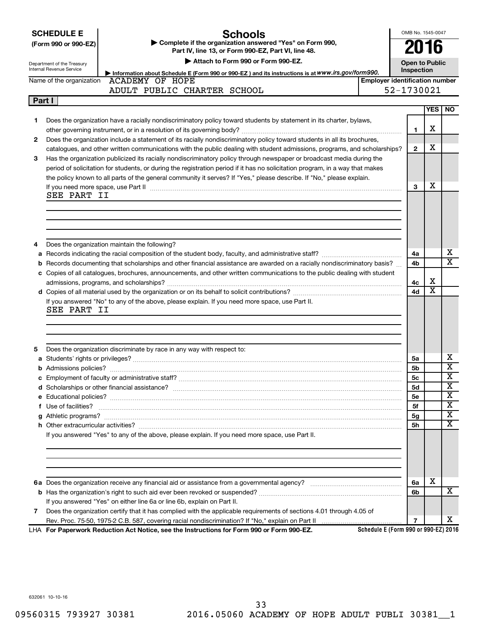|  | <b>SCHEDULE E</b> |  |
|--|-------------------|--|
|  |                   |  |

# **Schools**

**(Form 990 or 990-EZ) | Complete if the organization answered "Yes" on Form 990, Part IV, line 13, or Form 990-EZ, Part VI, line 48.**

OMB No. 1545-0047

**2016**

|    | Department of the Treasury<br>Internal Revenue Service | Attach to Form 990 or Form 990-EZ.                                                                                                                                                                                                 |                                       | <b>Open to Public</b><br>Inspection |                         |                               |
|----|--------------------------------------------------------|------------------------------------------------------------------------------------------------------------------------------------------------------------------------------------------------------------------------------------|---------------------------------------|-------------------------------------|-------------------------|-------------------------------|
|    |                                                        | Information about Schedule E (Form 990 or 990-EZ) and its instructions is at WWW.irs.gov/form990.<br>Name of the organization ACADEMY OF HOPE                                                                                      | <b>Employer identification number</b> |                                     |                         |                               |
|    |                                                        | ADULT PUBLIC CHARTER SCHOOL                                                                                                                                                                                                        |                                       | 52-1730021                          |                         |                               |
|    | Part I                                                 |                                                                                                                                                                                                                                    |                                       |                                     |                         |                               |
|    |                                                        |                                                                                                                                                                                                                                    |                                       |                                     | YES                     | NO.                           |
| 1. |                                                        | Does the organization have a racially nondiscriminatory policy toward students by statement in its charter, bylaws,                                                                                                                |                                       |                                     |                         |                               |
|    |                                                        |                                                                                                                                                                                                                                    |                                       | 1                                   | х                       |                               |
| 2  |                                                        | Does the organization include a statement of its racially nondiscriminatory policy toward students in all its brochures,                                                                                                           |                                       |                                     |                         |                               |
|    |                                                        | catalogues, and other written communications with the public dealing with student admissions, programs, and scholarships?                                                                                                          |                                       | $\mathbf{2}$                        | х                       |                               |
| 3  |                                                        | Has the organization publicized its racially nondiscriminatory policy through newspaper or broadcast media during the                                                                                                              |                                       |                                     |                         |                               |
|    |                                                        | period of solicitation for students, or during the registration period if it has no solicitation program, in a way that makes                                                                                                      |                                       |                                     |                         |                               |
|    |                                                        | the policy known to all parts of the general community it serves? If "Yes," please describe. If "No," please explain.                                                                                                              |                                       |                                     |                         |                               |
|    |                                                        | If you need more space, use Part II manufactured and continuum contract to the Part II manufactured and the contract of the contract of the contract of the contract of the contract of the contract of the contract of the co     |                                       | 3                                   | х                       |                               |
|    | SEE PART II                                            |                                                                                                                                                                                                                                    |                                       |                                     |                         |                               |
|    |                                                        |                                                                                                                                                                                                                                    |                                       |                                     |                         |                               |
|    |                                                        |                                                                                                                                                                                                                                    |                                       |                                     |                         |                               |
|    |                                                        |                                                                                                                                                                                                                                    |                                       |                                     |                         |                               |
|    |                                                        |                                                                                                                                                                                                                                    |                                       |                                     |                         |                               |
| 4  |                                                        | Does the organization maintain the following?                                                                                                                                                                                      |                                       |                                     |                         |                               |
| a  |                                                        |                                                                                                                                                                                                                                    |                                       | 4a                                  |                         | х                             |
|    |                                                        | <b>b</b> Records documenting that scholarships and other financial assistance are awarded on a racially nondiscriminatory basis?                                                                                                   |                                       | 4b                                  |                         | $\overline{\text{x}}$         |
|    |                                                        | c Copies of all catalogues, brochures, announcements, and other written communications to the public dealing with student                                                                                                          |                                       |                                     |                         |                               |
|    |                                                        |                                                                                                                                                                                                                                    |                                       | 4c                                  | х                       |                               |
|    |                                                        |                                                                                                                                                                                                                                    |                                       | 4d                                  | $\overline{\textbf{x}}$ |                               |
|    | SEE PART II                                            | If you answered "No" to any of the above, please explain. If you need more space, use Part II.                                                                                                                                     |                                       |                                     |                         |                               |
|    |                                                        |                                                                                                                                                                                                                                    |                                       |                                     |                         |                               |
|    |                                                        |                                                                                                                                                                                                                                    |                                       |                                     |                         |                               |
|    |                                                        |                                                                                                                                                                                                                                    |                                       |                                     |                         |                               |
| 5  |                                                        | Does the organization discriminate by race in any way with respect to:                                                                                                                                                             |                                       |                                     |                         |                               |
|    |                                                        |                                                                                                                                                                                                                                    |                                       | 5a                                  |                         | х                             |
|    |                                                        |                                                                                                                                                                                                                                    |                                       | 5b                                  |                         | $\overline{\mathbf{x}}$       |
|    |                                                        |                                                                                                                                                                                                                                    |                                       | 5с                                  |                         | $\overline{\mathbf{x}}$       |
|    |                                                        |                                                                                                                                                                                                                                    |                                       | 5d                                  |                         | х                             |
|    |                                                        |                                                                                                                                                                                                                                    |                                       | <b>5e</b>                           |                         | $\overline{\mathbf{x}}$       |
|    |                                                        | f Use of facilities? <b>www.communities.</b> We can be a series of the contract of the contract of the contract of the contract of the contract of the contract of the contract of the contract of the contract of the contract of |                                       | 5f                                  |                         | $\overline{\text{X}}$         |
|    |                                                        |                                                                                                                                                                                                                                    |                                       | 5g                                  |                         | $\overline{\mathbf{x}}$<br>∡⊾ |
|    |                                                        |                                                                                                                                                                                                                                    |                                       | 5h                                  |                         | $\overline{\textbf{x}}$       |
|    |                                                        | If you answered "Yes" to any of the above, please explain. If you need more space, use Part II.                                                                                                                                    |                                       |                                     |                         |                               |
|    |                                                        |                                                                                                                                                                                                                                    |                                       |                                     |                         |                               |
|    |                                                        |                                                                                                                                                                                                                                    |                                       |                                     |                         |                               |
|    |                                                        |                                                                                                                                                                                                                                    |                                       |                                     |                         |                               |
|    |                                                        |                                                                                                                                                                                                                                    |                                       |                                     |                         |                               |
|    |                                                        |                                                                                                                                                                                                                                    |                                       | 6a                                  | X                       |                               |
|    |                                                        |                                                                                                                                                                                                                                    |                                       | 6b                                  |                         | x                             |
|    |                                                        | If you answered "Yes" on either line 6a or line 6b, explain on Part II.                                                                                                                                                            |                                       |                                     |                         |                               |
| 7  |                                                        | Does the organization certify that it has complied with the applicable requirements of sections 4.01 through 4.05 of                                                                                                               |                                       |                                     |                         |                               |

**Schedule E (Form 990 or 990-EZ) 2016**

**7**

X

**For Paperwork Reduction Act Notice, see the Instructions for Form 990 or Form 990-EZ.** LHA

Rev. Proc. 75-50, 1975-2 C.B. 587, covering racial nondiscrimination? If "No," explain on Part II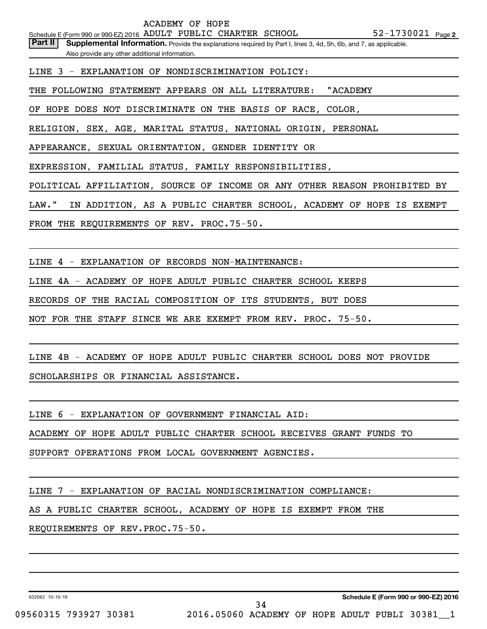Part II | Supplemental Information. Provide the explanations required by Part I, lines 3, 4d, 5h, 6b, and 7, as applicable. Also provide any other additional information.

LINE 3 - EXPLANATION OF NONDISCRIMINATION POLICY:

THE FOLLOWING STATEMENT APPEARS ON ALL LITERATURE: "ACADEMY

OF HOPE DOES NOT DISCRIMINATE ON THE BASIS OF RACE, COLOR,

RELIGION, SEX, AGE, MARITAL STATUS, NATIONAL ORIGIN, PERSONAL

APPEARANCE, SEXUAL ORIENTATION, GENDER IDENTITY OR

EXPRESSION, FAMILIAL STATUS, FAMILY RESPONSIBILITIES,

POLITICAL AFFILIATION, SOURCE OF INCOME OR ANY OTHER REASON PROHIBITED BY

LAW." IN ADDITION, AS A PUBLIC CHARTER SCHOOL, ACADEMY OF HOPE IS EXEMPT

FROM THE REQUIREMENTS OF REV. PROC.75-50.

LINE 4 - EXPLANATION OF RECORDS NON-MAINTENANCE:

LINE 4A - ACADEMY OF HOPE ADULT PUBLIC CHARTER SCHOOL KEEPS

RECORDS OF THE RACIAL COMPOSITION OF ITS STUDENTS, BUT DOES

NOT FOR THE STAFF SINCE WE ARE EXEMPT FROM REV. PROC. 75-50.

LINE 4B - ACADEMY OF HOPE ADULT PUBLIC CHARTER SCHOOL DOES NOT PROVIDE SCHOLARSHIPS OR FINANCIAL ASSISTANCE.

LINE 6 - EXPLANATION OF GOVERNMENT FINANCIAL AID:

ACADEMY OF HOPE ADULT PUBLIC CHARTER SCHOOL RECEIVES GRANT FUNDS TO

SUPPORT OPERATIONS FROM LOCAL GOVERNMENT AGENCIES.

LINE 7 - EXPLANATION OF RACIAL NONDISCRIMINATION COMPLIANCE:

AS A PUBLIC CHARTER SCHOOL, ACADEMY OF HOPE IS EXEMPT FROM THE

REQUIREMENTS OF REV.PROC.75-50.

632062 10-10-16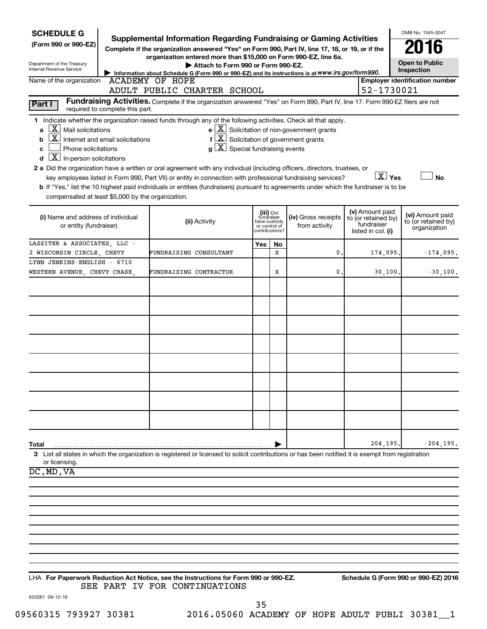| <b>SCHEDULE G</b><br>(Form 990 or 990-EZ)<br>Department of the Treasury<br><b>Internal Revenue Service</b>                                                                                                                                                                                                                                                                                                                                                                                                                                                                                                     | <b>Supplemental Information Regarding Fundraising or Gaming Activities</b><br>Complete if the organization answered "Yes" on Form 990, Part IV, line 17, 18, or 19, or if the<br>organization entered more than \$15,000 on Form 990-EZ, line 6a.<br>Attach to Form 990 or Form 990-EZ.<br>Information about Schedule G (Form 990 or 990-EZ) and its instructions is at WWW.irs.gov/form990. |                                         |                                 |                                                              |                                                                            | OMB No. 1545-0047<br><b>Open to Public</b><br>Inspection |
|----------------------------------------------------------------------------------------------------------------------------------------------------------------------------------------------------------------------------------------------------------------------------------------------------------------------------------------------------------------------------------------------------------------------------------------------------------------------------------------------------------------------------------------------------------------------------------------------------------------|----------------------------------------------------------------------------------------------------------------------------------------------------------------------------------------------------------------------------------------------------------------------------------------------------------------------------------------------------------------------------------------------|-----------------------------------------|---------------------------------|--------------------------------------------------------------|----------------------------------------------------------------------------|----------------------------------------------------------|
| Name of the organization                                                                                                                                                                                                                                                                                                                                                                                                                                                                                                                                                                                       | <b>ACADEMY OF HOPE</b><br>ADULT PUBLIC CHARTER SCHOOL                                                                                                                                                                                                                                                                                                                                        |                                         |                                 |                                                              | 52-1730021                                                                 | <b>Employer identification number</b>                    |
| Part I<br>required to complete this part.                                                                                                                                                                                                                                                                                                                                                                                                                                                                                                                                                                      | Fundraising Activities. Complete if the organization answered "Yes" on Form 990, Part IV, line 17. Form 990-EZ filers are not                                                                                                                                                                                                                                                                |                                         |                                 |                                                              |                                                                            |                                                          |
| 1 Indicate whether the organization raised funds through any of the following activities. Check all that apply.<br>$X$ Mail solicitations<br>a<br>$\mathbf{X}$<br>Internet and email solicitations<br>b<br>Phone solicitations<br>с<br>$\overline{X}$ In-person solicitations<br>d<br>2 a Did the organization have a written or oral agreement with any individual (including officers, directors, trustees, or<br>b If "Yes," list the 10 highest paid individuals or entities (fundraisers) pursuant to agreements under which the fundraiser is to be<br>compensated at least \$5,000 by the organization. | $f\left[\frac{X}{X}\right]$ Solicitation of government grants<br>$ \mathbf{X} $ Special fundraising events<br>q<br>key employees listed in Form 990, Part VII) or entity in connection with professional fundraising services?                                                                                                                                                               |                                         |                                 | $e$ $\boxed{\text{X}}$ Solicitation of non-government grants | $X \times$                                                                 | <b>No</b>                                                |
| (i) Name and address of individual<br>or entity (fundraiser)                                                                                                                                                                                                                                                                                                                                                                                                                                                                                                                                                   | (ii) Activity                                                                                                                                                                                                                                                                                                                                                                                | (iii) Did<br>fundraiser<br>have custody | or control of<br>?contributions | (iv) Gross receipts<br>from activity                         | (v) Amount paid<br>to (or retained by)<br>fundraiser<br>listed in col. (i) | (vi) Amount paid<br>to (or retained by)<br>organization  |
| LASSITER & ASSOCIATES, LLC -                                                                                                                                                                                                                                                                                                                                                                                                                                                                                                                                                                                   |                                                                                                                                                                                                                                                                                                                                                                                              | Yes                                     | No                              |                                                              |                                                                            |                                                          |
| 2 WISCONSIN CIRCLE, CHEVY<br>LYNN JENKINS-ENGLISH - 6710                                                                                                                                                                                                                                                                                                                                                                                                                                                                                                                                                       | FUNDRAISING CONSULTANT                                                                                                                                                                                                                                                                                                                                                                       |                                         | X                               | 0.                                                           | 174,095                                                                    | $-174.095.$                                              |
| WESTERN AVENUE, CHEVY CHASE,                                                                                                                                                                                                                                                                                                                                                                                                                                                                                                                                                                                   | FUNDRAISING CONTRACTOR                                                                                                                                                                                                                                                                                                                                                                       |                                         | х                               | 0.                                                           | 30,100                                                                     | $-30,100.$                                               |
|                                                                                                                                                                                                                                                                                                                                                                                                                                                                                                                                                                                                                |                                                                                                                                                                                                                                                                                                                                                                                              |                                         |                                 |                                                              |                                                                            |                                                          |
|                                                                                                                                                                                                                                                                                                                                                                                                                                                                                                                                                                                                                |                                                                                                                                                                                                                                                                                                                                                                                              |                                         |                                 |                                                              |                                                                            |                                                          |
| Total<br>3 List all states in which the organization is registered or licensed to solicit contributions or has been notified it is exempt from registration<br>or licensing.                                                                                                                                                                                                                                                                                                                                                                                                                                   |                                                                                                                                                                                                                                                                                                                                                                                              |                                         |                                 |                                                              | 204,195                                                                    | $-204, 195.$                                             |
| DC, MD, VA                                                                                                                                                                                                                                                                                                                                                                                                                                                                                                                                                                                                     |                                                                                                                                                                                                                                                                                                                                                                                              |                                         |                                 |                                                              |                                                                            |                                                          |
|                                                                                                                                                                                                                                                                                                                                                                                                                                                                                                                                                                                                                |                                                                                                                                                                                                                                                                                                                                                                                              |                                         |                                 |                                                              |                                                                            |                                                          |
|                                                                                                                                                                                                                                                                                                                                                                                                                                                                                                                                                                                                                |                                                                                                                                                                                                                                                                                                                                                                                              |                                         |                                 |                                                              |                                                                            |                                                          |
|                                                                                                                                                                                                                                                                                                                                                                                                                                                                                                                                                                                                                |                                                                                                                                                                                                                                                                                                                                                                                              |                                         |                                 |                                                              |                                                                            |                                                          |
|                                                                                                                                                                                                                                                                                                                                                                                                                                                                                                                                                                                                                |                                                                                                                                                                                                                                                                                                                                                                                              |                                         |                                 |                                                              |                                                                            |                                                          |
|                                                                                                                                                                                                                                                                                                                                                                                                                                                                                                                                                                                                                |                                                                                                                                                                                                                                                                                                                                                                                              |                                         |                                 |                                                              |                                                                            |                                                          |
|                                                                                                                                                                                                                                                                                                                                                                                                                                                                                                                                                                                                                |                                                                                                                                                                                                                                                                                                                                                                                              |                                         |                                 |                                                              |                                                                            |                                                          |
|                                                                                                                                                                                                                                                                                                                                                                                                                                                                                                                                                                                                                |                                                                                                                                                                                                                                                                                                                                                                                              |                                         |                                 |                                                              |                                                                            |                                                          |

### **For Paperwork Reduction Act Notice, see the Instructions for Form 990 or 990-EZ. Schedule G (Form 990 or 990-EZ) 2016** LHA SEE PART IV FOR CONTINUATIONS

632081 09-12-16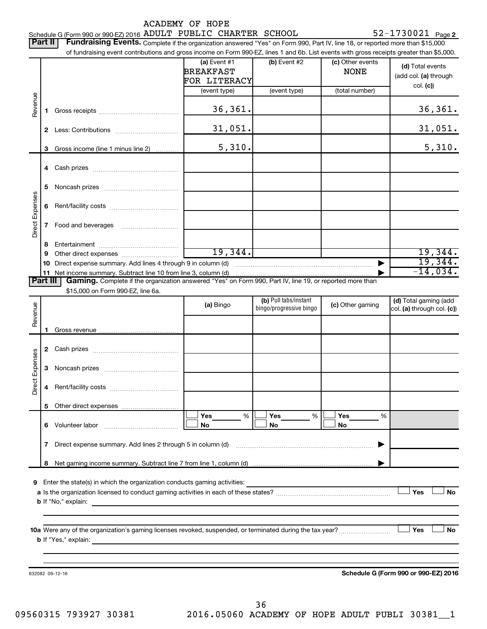|                 |          | Schedule G (Form 990 or 990-EZ) 2016 ADULT PUBLIC CHARTER SCHOOL                                                                                                            | <b>ACADEMY OF HOPE</b>                             |                         |                                 | $52 - 1730021$ Page 2                     |
|-----------------|----------|-----------------------------------------------------------------------------------------------------------------------------------------------------------------------------|----------------------------------------------------|-------------------------|---------------------------------|-------------------------------------------|
|                 | Part II  | Fundraising Events. Complete if the organization answered "Yes" on Form 990, Part IV, line 18, or reported more than \$15,000                                               |                                                    |                         |                                 |                                           |
|                 |          | of fundraising event contributions and gross income on Form 990-EZ, lines 1 and 6b. List events with gross receipts greater than \$5,000.                                   |                                                    |                         |                                 |                                           |
|                 |          |                                                                                                                                                                             | (a) Event $#1$<br><b>BREAKFAST</b><br>FOR LITERACY | (b) Event #2            | (c) Other events<br><b>NONE</b> | (d) Total events<br>(add col. (a) through |
|                 |          |                                                                                                                                                                             | (event type)                                       | (event type)            | (total number)                  | col. (c))                                 |
| Revenue         | 1.       |                                                                                                                                                                             | 36, 361.                                           |                         |                                 | 36, 361.                                  |
|                 |          |                                                                                                                                                                             | 31,051.                                            |                         |                                 | <u>31,051.</u>                            |
|                 | 3        | Gross income (line 1 minus line 2)                                                                                                                                          | 5,310.                                             |                         |                                 | 5,310.                                    |
|                 |          |                                                                                                                                                                             |                                                    |                         |                                 |                                           |
|                 | 5        |                                                                                                                                                                             |                                                    |                         |                                 |                                           |
|                 | 6        |                                                                                                                                                                             |                                                    |                         |                                 |                                           |
| Direct Expenses |          |                                                                                                                                                                             |                                                    |                         |                                 |                                           |
|                 | 8        |                                                                                                                                                                             |                                                    |                         |                                 |                                           |
|                 |          |                                                                                                                                                                             | 19,344.                                            |                         |                                 | 19,344.                                   |
|                 |          | 10 Direct expense summary. Add lines 4 through 9 in column (d)                                                                                                              |                                                    |                         |                                 | 19,344.<br>$-14,034$ .                    |
|                 | Part III | 11 Net income summary. Subtract line 10 from line 3, column (d)<br>Gaming. Complete if the organization answered "Yes" on Form 990, Part IV, line 19, or reported more than |                                                    |                         |                                 |                                           |
|                 |          | \$15,000 on Form 990-EZ, line 6a.                                                                                                                                           |                                                    |                         |                                 |                                           |
|                 |          |                                                                                                                                                                             | (a) Bingo                                          | (b) Pull tabs/instant   | (c) Other gaming                | (d) Total gaming (add                     |
| Revenue         |          |                                                                                                                                                                             |                                                    | bingo/progressive bingo |                                 | col. (a) through col. (c))                |
|                 |          |                                                                                                                                                                             |                                                    |                         |                                 |                                           |
|                 | 1        |                                                                                                                                                                             |                                                    |                         |                                 |                                           |
|                 |          |                                                                                                                                                                             |                                                    |                         |                                 |                                           |
| Expenses        |          |                                                                                                                                                                             |                                                    |                         |                                 |                                           |
| Direct          | 4        |                                                                                                                                                                             |                                                    |                         |                                 |                                           |
|                 | 5        |                                                                                                                                                                             |                                                    |                         |                                 |                                           |
|                 |          | 6 Volunteer labor                                                                                                                                                           | Yes<br>%<br>No                                     | Yes<br>%<br>No          | Yes<br>No                       | %                                         |
|                 |          | 7 Direct expense summary. Add lines 2 through 5 in column (d) manufactured expense summary. Add lines 2 through 5 in column (d)                                             |                                                    |                         |                                 |                                           |
|                 | 8        |                                                                                                                                                                             |                                                    |                         |                                 |                                           |
|                 |          | Enter the state(s) in which the organization conducts gaming activities:                                                                                                    |                                                    |                         |                                 |                                           |
| 9               |          | <b>b</b> If "No," explain:<br>the control of the control of the control of the control of the control of the control of                                                     |                                                    |                         |                                 | Yes<br>No                                 |
|                 |          |                                                                                                                                                                             |                                                    |                         |                                 |                                           |
|                 |          | <b>b</b> If "Yes," explain:<br>and the state of the state of the state of the state of the state of the state of the                                                        |                                                    |                         |                                 | Yes<br><b>No</b>                          |
|                 |          |                                                                                                                                                                             |                                                    |                         |                                 |                                           |
|                 |          | 632082 09-12-16                                                                                                                                                             |                                                    |                         |                                 | Schedule G (Form 990 or 990-EZ) 2016      |
|                 |          |                                                                                                                                                                             |                                                    |                         |                                 |                                           |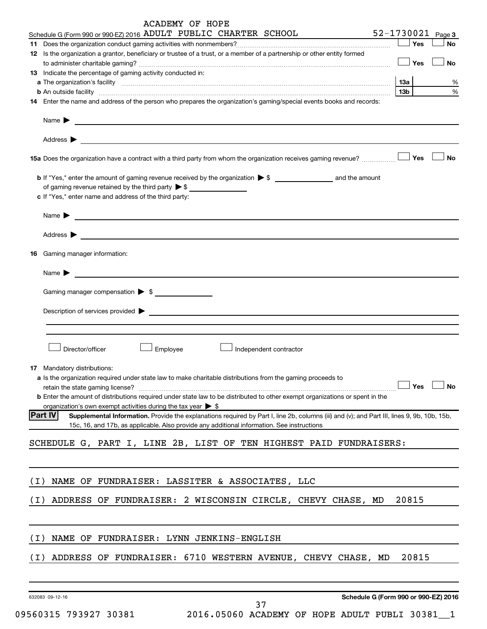|       | ACADEMY OF HOPE                                                                                                                                                                                                                           |                   |           |
|-------|-------------------------------------------------------------------------------------------------------------------------------------------------------------------------------------------------------------------------------------------|-------------------|-----------|
|       | Schedule G (Form 990 or 990-EZ) 2016 ADULT PUBLIC CHARTER SCHOOL                                                                                                                                                                          | 52-1730021 Page 3 |           |
|       | 12 Is the organization a grantor, beneficiary or trustee of a trust, or a member of a partnership or other entity formed                                                                                                                  | Yes               | <b>No</b> |
|       |                                                                                                                                                                                                                                           | Yes               | <b>No</b> |
|       | 13 Indicate the percentage of gaming activity conducted in:                                                                                                                                                                               |                   |           |
|       |                                                                                                                                                                                                                                           | 13a               | %         |
|       | b An outside facility www.commutation.com/commutation.com/commutation.com/commutation/commutation/commutation/                                                                                                                            | 13 <sub>b</sub>   | %         |
|       | 14 Enter the name and address of the person who prepares the organization's gaming/special events books and records:                                                                                                                      |                   |           |
|       | Name $\blacktriangleright$<br><u> 1989 - Johann John Stein, markin sammen bestemmer og det blev til starte og det blev til starte og det blev </u>                                                                                        |                   |           |
|       | Address $\blacktriangleright$<br><u> 1989 - Johann John Stone, meil in der Stone aus der Stone aus der Stone aus der Stone aus der Stone aus der S</u>                                                                                    |                   |           |
|       | 15a Does the organization have a contract with a third party from whom the organization receives gaming revenue?                                                                                                                          | Yes               | <b>No</b> |
|       |                                                                                                                                                                                                                                           |                   |           |
|       | of gaming revenue retained by the third party $\triangleright$ \$                                                                                                                                                                         |                   |           |
|       | c If "Yes," enter name and address of the third party:                                                                                                                                                                                    |                   |           |
|       | Name $\blacktriangleright$                                                                                                                                                                                                                |                   |           |
|       | Address $\blacktriangleright$                                                                                                                                                                                                             |                   |           |
|       | <b>16</b> Gaming manager information:                                                                                                                                                                                                     |                   |           |
|       | Name $\blacktriangleright$<br><u> 1989 - Andrea Stadt Britain, fransk politik (d. 1989)</u>                                                                                                                                               |                   |           |
|       | Gaming manager compensation > \$                                                                                                                                                                                                          |                   |           |
|       | Description of services provided >                                                                                                                                                                                                        |                   |           |
|       | <u> Alexandria de la contrada de la contrada de la contrada de la contrada de la contrada de la contrada de la c</u>                                                                                                                      |                   |           |
|       |                                                                                                                                                                                                                                           |                   |           |
|       | Director/officer<br>Employee<br>Independent contractor                                                                                                                                                                                    |                   |           |
|       | 17 Mandatory distributions:                                                                                                                                                                                                               |                   |           |
|       | a Is the organization required under state law to make charitable distributions from the gaming proceeds to                                                                                                                               |                   |           |
|       | retain the state gaming license?                                                                                                                                                                                                          | Yes               | No        |
|       | <b>b</b> Enter the amount of distributions required under state law to be distributed to other exempt organizations or spent in the                                                                                                       |                   |           |
|       | organization's own exempt activities during the tax year $\triangleright$ \$<br><b>Part IV</b>                                                                                                                                            |                   |           |
|       | Supplemental Information. Provide the explanations required by Part I, line 2b, columns (iii) and (v); and Part III, lines 9, 9b, 10b, 15b,<br>15c, 16, and 17b, as applicable. Also provide any additional information. See instructions |                   |           |
|       | SCHEDULE G, PART I, LINE 2B, LIST OF TEN HIGHEST PAID FUNDRAISERS:                                                                                                                                                                        |                   |           |
|       |                                                                                                                                                                                                                                           |                   |           |
| ( I ) | NAME OF FUNDRAISER: LASSITER & ASSOCIATES, LLC                                                                                                                                                                                            |                   |           |
|       |                                                                                                                                                                                                                                           |                   |           |
| (I)   | ADDRESS OF FUNDRAISER: 2 WISCONSIN CIRCLE, CHEVY CHASE, MD                                                                                                                                                                                | 20815             |           |
|       |                                                                                                                                                                                                                                           |                   |           |
| (I)   | NAME OF FUNDRAISER: LYNN JENKINS-ENGLISH                                                                                                                                                                                                  |                   |           |
| (I)   | ADDRESS OF FUNDRAISER: 6710 WESTERN AVENUE, CHEVY CHASE, MD                                                                                                                                                                               | 20815             |           |
|       |                                                                                                                                                                                                                                           |                   |           |
|       | Schedule G (Form 990 or 990-EZ) 2016<br>632083 09-12-16                                                                                                                                                                                   |                   |           |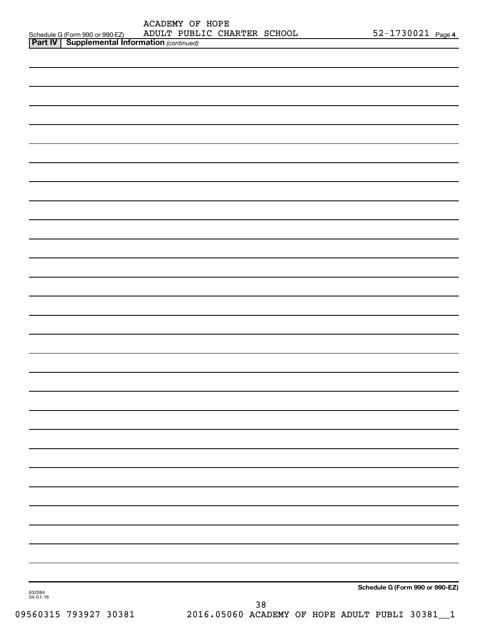| ACADEMY OF HOPE                                       |  |  |                             |  |                       |  |
|-------------------------------------------------------|--|--|-----------------------------|--|-----------------------|--|
| Schedule G (Form 990 or 990-EZ)                       |  |  | ADULT PUBLIC CHARTER SCHOOL |  | $52 - 1730021$ Page 4 |  |
| <b>Part IV   Supplemental Information (continued)</b> |  |  |                             |  |                       |  |

| 632084<br>04-01-16 |    | Schedule G (Form 990 or 990-EZ) |
|--------------------|----|---------------------------------|
|                    | 38 |                                 |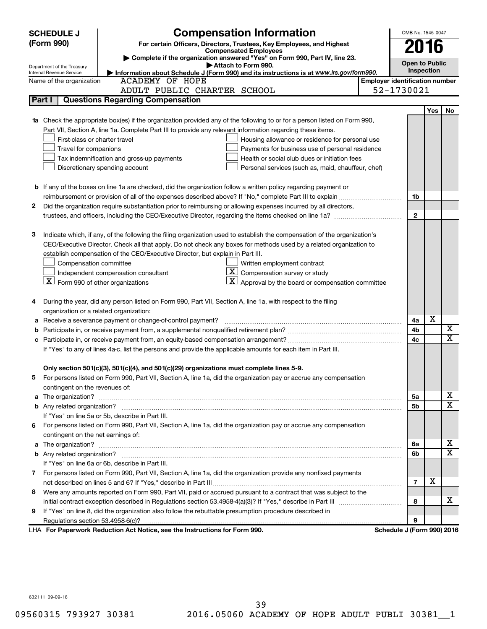|            | <b>SCHEDULE J</b>                                      | <b>Compensation Information</b>                                                                                           |                                       | OMB No. 1545-0047          |      |                         |  |
|------------|--------------------------------------------------------|---------------------------------------------------------------------------------------------------------------------------|---------------------------------------|----------------------------|------|-------------------------|--|
| (Form 990) |                                                        | For certain Officers, Directors, Trustees, Key Employees, and Highest                                                     |                                       |                            |      |                         |  |
|            |                                                        | <b>Compensated Employees</b>                                                                                              |                                       |                            | 2016 |                         |  |
|            |                                                        | Complete if the organization answered "Yes" on Form 990, Part IV, line 23.<br>Attach to Form 990.                         |                                       | <b>Open to Public</b>      |      |                         |  |
|            | Department of the Treasury<br>Internal Revenue Service | Information about Schedule J (Form 990) and its instructions is at www.irs.gov/form990.                                   | Inspection                            |                            |      |                         |  |
|            | Name of the organization                               | <b>ACADEMY OF HOPE</b>                                                                                                    | <b>Employer identification number</b> |                            |      |                         |  |
|            |                                                        | ADULT PUBLIC CHARTER SCHOOL                                                                                               |                                       | 52-1730021                 |      |                         |  |
| Part I     |                                                        | <b>Questions Regarding Compensation</b>                                                                                   |                                       |                            |      |                         |  |
|            |                                                        |                                                                                                                           |                                       |                            | Yes  | No                      |  |
|            |                                                        | Check the appropriate box(es) if the organization provided any of the following to or for a person listed on Form 990,    |                                       |                            |      |                         |  |
|            |                                                        | Part VII, Section A, line 1a. Complete Part III to provide any relevant information regarding these items.                |                                       |                            |      |                         |  |
|            | First-class or charter travel                          | Housing allowance or residence for personal use                                                                           |                                       |                            |      |                         |  |
|            | Travel for companions                                  | Payments for business use of personal residence                                                                           |                                       |                            |      |                         |  |
|            |                                                        | Health or social club dues or initiation fees<br>Tax indemnification and gross-up payments                                |                                       |                            |      |                         |  |
|            |                                                        | Discretionary spending account<br>Personal services (such as, maid, chauffeur, chef)                                      |                                       |                            |      |                         |  |
|            |                                                        |                                                                                                                           |                                       |                            |      |                         |  |
|            |                                                        | <b>b</b> If any of the boxes on line 1a are checked, did the organization follow a written policy regarding payment or    |                                       |                            |      |                         |  |
|            |                                                        |                                                                                                                           |                                       | 1b                         |      |                         |  |
| 2          |                                                        | Did the organization require substantiation prior to reimbursing or allowing expenses incurred by all directors,          |                                       |                            |      |                         |  |
|            |                                                        |                                                                                                                           |                                       | $\mathbf{2}$               |      |                         |  |
|            |                                                        |                                                                                                                           |                                       |                            |      |                         |  |
| з          |                                                        | Indicate which, if any, of the following the filing organization used to establish the compensation of the organization's |                                       |                            |      |                         |  |
|            |                                                        | CEO/Executive Director. Check all that apply. Do not check any boxes for methods used by a related organization to        |                                       |                            |      |                         |  |
|            |                                                        | establish compensation of the CEO/Executive Director, but explain in Part III.                                            |                                       |                            |      |                         |  |
|            | Compensation committee                                 | Written employment contract                                                                                               |                                       |                            |      |                         |  |
|            |                                                        | $ \mathbf{X} $ Compensation survey or study<br>Independent compensation consultant                                        |                                       |                            |      |                         |  |
|            | $X$ Form 990 of other organizations                    | $ \mathbf{X} $ Approval by the board or compensation committee                                                            |                                       |                            |      |                         |  |
|            |                                                        |                                                                                                                           |                                       |                            |      |                         |  |
| 4          |                                                        | During the year, did any person listed on Form 990, Part VII, Section A, line 1a, with respect to the filing              |                                       |                            |      |                         |  |
|            |                                                        | organization or a related organization:                                                                                   |                                       |                            |      |                         |  |
| а          |                                                        | Receive a severance payment or change-of-control payment?                                                                 |                                       | 4a                         | X    |                         |  |
| b          |                                                        |                                                                                                                           |                                       | 4b                         |      | X                       |  |
|            |                                                        |                                                                                                                           |                                       | 4c                         |      | $\mathbf x$             |  |
|            |                                                        | If "Yes" to any of lines 4a-c, list the persons and provide the applicable amounts for each item in Part III.             |                                       |                            |      |                         |  |
|            |                                                        |                                                                                                                           |                                       |                            |      |                         |  |
|            |                                                        | Only section 501(c)(3), 501(c)(4), and 501(c)(29) organizations must complete lines 5-9.                                  |                                       |                            |      |                         |  |
|            |                                                        | For persons listed on Form 990, Part VII, Section A, line 1a, did the organization pay or accrue any compensation         |                                       |                            |      |                         |  |
|            | contingent on the revenues of:                         |                                                                                                                           |                                       |                            |      |                         |  |
| a          |                                                        |                                                                                                                           |                                       | 5а                         |      | x                       |  |
|            |                                                        |                                                                                                                           |                                       | 5b                         |      | X                       |  |
|            |                                                        | If "Yes" on line 5a or 5b, describe in Part III.                                                                          |                                       |                            |      |                         |  |
| 6.         |                                                        | For persons listed on Form 990, Part VII, Section A, line 1a, did the organization pay or accrue any compensation         |                                       |                            |      |                         |  |
|            | contingent on the net earnings of:                     |                                                                                                                           |                                       |                            |      |                         |  |
| a          |                                                        |                                                                                                                           |                                       | 6a                         |      | х                       |  |
|            |                                                        |                                                                                                                           |                                       | 6b                         |      | $\overline{\mathbf{X}}$ |  |
|            |                                                        | If "Yes" on line 6a or 6b, describe in Part III.                                                                          |                                       |                            |      |                         |  |
|            |                                                        | 7 For persons listed on Form 990, Part VII, Section A, line 1a, did the organization provide any nonfixed payments        |                                       |                            |      |                         |  |
|            |                                                        |                                                                                                                           |                                       | 7                          | X    |                         |  |
| 8          |                                                        | Were any amounts reported on Form 990, Part VII, paid or accrued pursuant to a contract that was subject to the           |                                       |                            |      |                         |  |
|            |                                                        |                                                                                                                           |                                       | 8                          |      | x                       |  |
| 9          |                                                        | If "Yes" on line 8, did the organization also follow the rebuttable presumption procedure described in                    |                                       |                            |      |                         |  |
|            |                                                        |                                                                                                                           |                                       | 9                          |      |                         |  |
|            |                                                        | LHA For Paperwork Reduction Act Notice, see the Instructions for Form 990.                                                |                                       | Schedule J (Form 990) 2016 |      |                         |  |

632111 09-09-16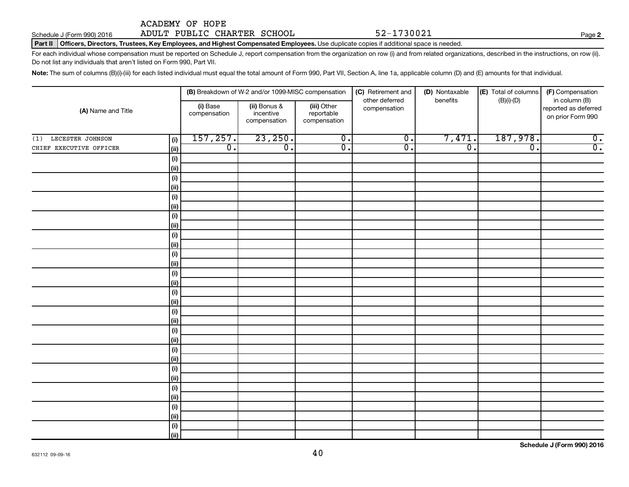# Schedule J (Form 990) 2016 Page ADULT PUBLIC CHARTER SCHOOL 52-1730021

Part II | Officers, Directors, Trustees, Key Employees, and Highest Compensated Employees. Use duplicate copies if additional space is needed.

For each individual whose compensation must be reported on Schedule J, report compensation from the organization on row (i) and from related organizations, described in the instructions, on row (ii). Do not list any individuals that aren't listed on Form 990, Part VII.

Note: The sum of columns (B)(i)-(iii) for each listed individual must equal the total amount of Form 990, Part VII, Section A, line 1a, applicable column (D) and (E) amounts for that individual.

|                         |                     |                          | (B) Breakdown of W-2 and/or 1099-MISC compensation |                                           | (C) Retirement and             | (D) Nontaxable   | (E) Total of columns | (F) Compensation                                           |
|-------------------------|---------------------|--------------------------|----------------------------------------------------|-------------------------------------------|--------------------------------|------------------|----------------------|------------------------------------------------------------|
| (A) Name and Title      |                     | (i) Base<br>compensation | (ii) Bonus &<br>incentive<br>compensation          | (iii) Other<br>reportable<br>compensation | other deferred<br>compensation | benefits         | $(B)(i)-(D)$         | in column (B)<br>reported as deferred<br>on prior Form 990 |
| LECESTER JOHNSON<br>(1) | (i)                 | 157, 257.                | 23,250.                                            | $\overline{0}$ .                          | $\overline{0}$ .               | 7,471.           | 187,978.             | $\overline{\mathbf{0}}$ .                                  |
| CHIEF EXECUTIVE OFFICER | $\vert$ (ii)        | $\overline{0}$ .         | $\overline{0}$ .                                   | $\overline{0}$ .                          | $\overline{0}$ .               | $\overline{0}$ . | $\overline{0}$ .     | $\overline{0}$ .                                           |
|                         | (i)                 |                          |                                                    |                                           |                                |                  |                      |                                                            |
|                         | (ii)                |                          |                                                    |                                           |                                |                  |                      |                                                            |
|                         | (i)                 |                          |                                                    |                                           |                                |                  |                      |                                                            |
|                         | (ii)                |                          |                                                    |                                           |                                |                  |                      |                                                            |
|                         | (i)                 |                          |                                                    |                                           |                                |                  |                      |                                                            |
|                         | (ii)                |                          |                                                    |                                           |                                |                  |                      |                                                            |
|                         | (i)                 |                          |                                                    |                                           |                                |                  |                      |                                                            |
|                         | (ii)                |                          |                                                    |                                           |                                |                  |                      |                                                            |
|                         | (i)                 |                          |                                                    |                                           |                                |                  |                      |                                                            |
|                         | $\vert$ (ii)        |                          |                                                    |                                           |                                |                  |                      |                                                            |
|                         | (i)                 |                          |                                                    |                                           |                                |                  |                      |                                                            |
|                         | $\vert$ (ii)        |                          |                                                    |                                           |                                |                  |                      |                                                            |
|                         | (i)                 |                          |                                                    |                                           |                                |                  |                      |                                                            |
|                         | $\vert$ (ii)<br>(i) |                          |                                                    |                                           |                                |                  |                      |                                                            |
|                         | $\vert$ (ii)        |                          |                                                    |                                           |                                |                  |                      |                                                            |
|                         | (i)                 |                          |                                                    |                                           |                                |                  |                      |                                                            |
|                         | $\vert$ (ii)        |                          |                                                    |                                           |                                |                  |                      |                                                            |
|                         | (i)                 |                          |                                                    |                                           |                                |                  |                      |                                                            |
|                         | $\vert$ (ii)        |                          |                                                    |                                           |                                |                  |                      |                                                            |
|                         | (i)                 |                          |                                                    |                                           |                                |                  |                      |                                                            |
|                         | $\vert$ (ii)        |                          |                                                    |                                           |                                |                  |                      |                                                            |
|                         | (i)                 |                          |                                                    |                                           |                                |                  |                      |                                                            |
|                         | $\vert$ (ii)        |                          |                                                    |                                           |                                |                  |                      |                                                            |
|                         | (i)                 |                          |                                                    |                                           |                                |                  |                      |                                                            |
|                         | $\vert$ (ii)        |                          |                                                    |                                           |                                |                  |                      |                                                            |
|                         | (i)                 |                          |                                                    |                                           |                                |                  |                      |                                                            |
|                         | $\vert$ (ii)        |                          |                                                    |                                           |                                |                  |                      |                                                            |
|                         | (i)                 |                          |                                                    |                                           |                                |                  |                      |                                                            |
|                         | (iii)               |                          |                                                    |                                           |                                |                  |                      |                                                            |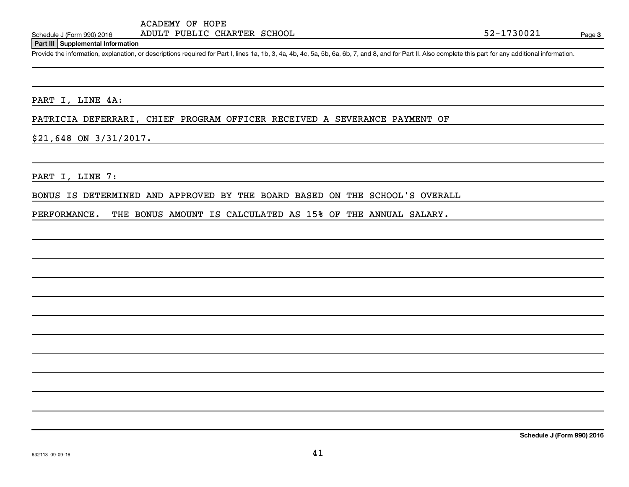### **Part III Supplemental Information**

Provide the information, explanation, or descriptions required for Part I, lines 1a, 1b, 3, 4a, 4b, 4c, 5a, 5b, 6a, 6b, 7, and 8, and for Part II. Also complete this part for any additional information.

PART I, LINE 4A:

PATRICIA DEFERRARI, CHIEF PROGRAM OFFICER RECEIVED A SEVERANCE PAYMENT OF

\$21,648 ON 3/31/2017.

PART I, LINE 7:

BONUS IS DETERMINED AND APPROVED BY THE BOARD BASED ON THE SCHOOL'S OVERALL

PERFORMANCE. THE BONUS AMOUNT IS CALCULATED AS 15% OF THE ANNUAL SALARY.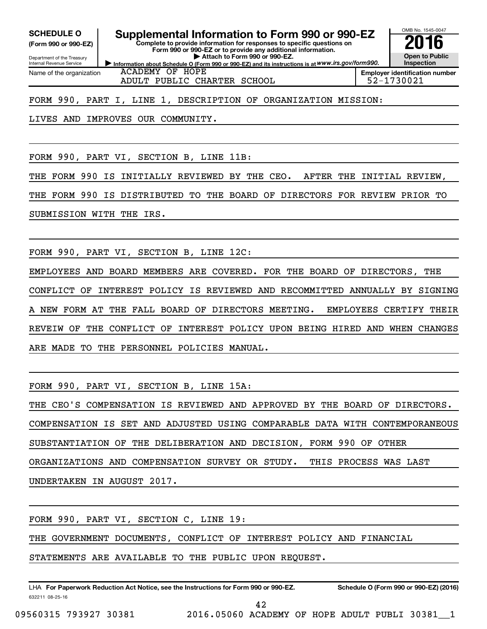**(Form 990 or 990-EZ)**

Department of the Treasury Internal Revenue Service Name of the organization

**SCHEDULE O Supplemental Information to Form 990 or 990-EZ 2016**

**Information about Schedule O (Form 990 or 990-EZ) and its instructions is at WWW.irs.gov/form990. Complete to provide information for responses to specific questions on Form 990 or 990-EZ or to provide any additional information. | Attach to Form 990 or 990-EZ.**



ACADEMY OF HOPE ADULT PUBLIC CHARTER SCHOOL  $\vert$  52-1730021

**Employer identification number**

FORM 990, PART I, LINE 1, DESCRIPTION OF ORGANIZATION MISSION:

LIVES AND IMPROVES OUR COMMUNITY.

FORM 990, PART VI, SECTION B, LINE 11B:

THE FORM 990 IS INITIALLY REVIEWED BY THE CEO. AFTER THE INITIAL REVIEW,

THE FORM 990 IS DISTRIBUTED TO THE BOARD OF DIRECTORS FOR REVIEW PRIOR TO

SUBMISSION WITH THE IRS.

FORM 990, PART VI, SECTION B, LINE 12C:

EMPLOYEES AND BOARD MEMBERS ARE COVERED. FOR THE BOARD OF DIRECTORS, THE CONFLICT OF INTEREST POLICY IS REVIEWED AND RECOMMITTED ANNUALLY BY SIGNING NEW FORM AT THE FALL BOARD OF DIRECTORS MEETING. EMPLOYEES CERTIFY THEIR REVEIW OF THE CONFLICT OF INTEREST POLICY UPON BEING HIRED AND WHEN CHANGES ARE MADE TO THE PERSONNEL POLICIES MANUAL.

FORM 990, PART VI, SECTION B, LINE 15A:

THE CEO'S COMPENSATION IS REVIEWED AND APPROVED BY THE BOARD OF DIRECTORS. COMPENSATION IS SET AND ADJUSTED USING COMPARABLE DATA WITH CONTEMPORANEOUS SUBSTANTIATION OF THE DELIBERATION AND DECISION, FORM 990 OF OTHER ORGANIZATIONS AND COMPENSATION SURVEY OR STUDY. THIS PROCESS WAS LAST UNDERTAKEN IN AUGUST 2017.

FORM 990, PART VI, SECTION C, LINE 19:

THE GOVERNMENT DOCUMENTS, CONFLICT OF INTEREST POLICY AND FINANCIAL

STATEMENTS ARE AVAILABLE TO THE PUBLIC UPON REQUEST.

632211 08-25-16 LHA For Paperwork Reduction Act Notice, see the Instructions for Form 990 or 990-EZ. Schedule O (Form 990 or 990-EZ) (2016)